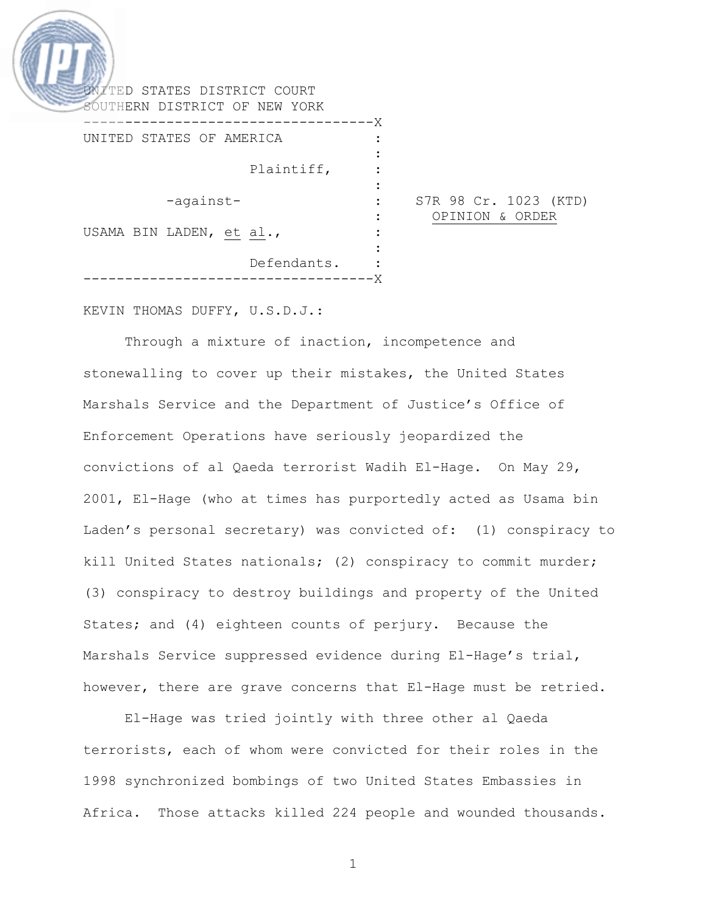| SOUTHERN DISTRICT OF NEW YORK                                        |  |
|----------------------------------------------------------------------|--|
| $-\times$<br>$\qquad \qquad - - - - - -$<br>UNITED STATES OF AMERICA |  |
| Plaintiff,                                                           |  |
| S7R 98 Cr. 1023 (KTD)<br>-against-<br>OPINION & ORDER                |  |
| USAMA BIN LADEN, et al.,                                             |  |
| Defendants.                                                          |  |

KEVIN THOMAS DUFFY, U.S.D.J.:

Through a mixture of inaction, incompetence and stonewalling to cover up their mistakes, the United States Marshals Service and the Department of Justice's Office of Enforcement Operations have seriously jeopardized the convictions of al Qaeda terrorist Wadih El-Hage. On May 29, 2001, El-Hage (who at times has purportedly acted as Usama bin Laden's personal secretary) was convicted of: (1) conspiracy to kill United States nationals; (2) conspiracy to commit murder; (3) conspiracy to destroy buildings and property of the United States; and (4) eighteen counts of perjury. Because the Marshals Service suppressed evidence during El-Hage's trial, however, there are grave concerns that El-Hage must be retried.

El-Hage was tried jointly with three other al Qaeda terrorists, each of whom were convicted for their roles in the 1998 synchronized bombings of two United States Embassies in Africa. Those attacks killed 224 people and wounded thousands.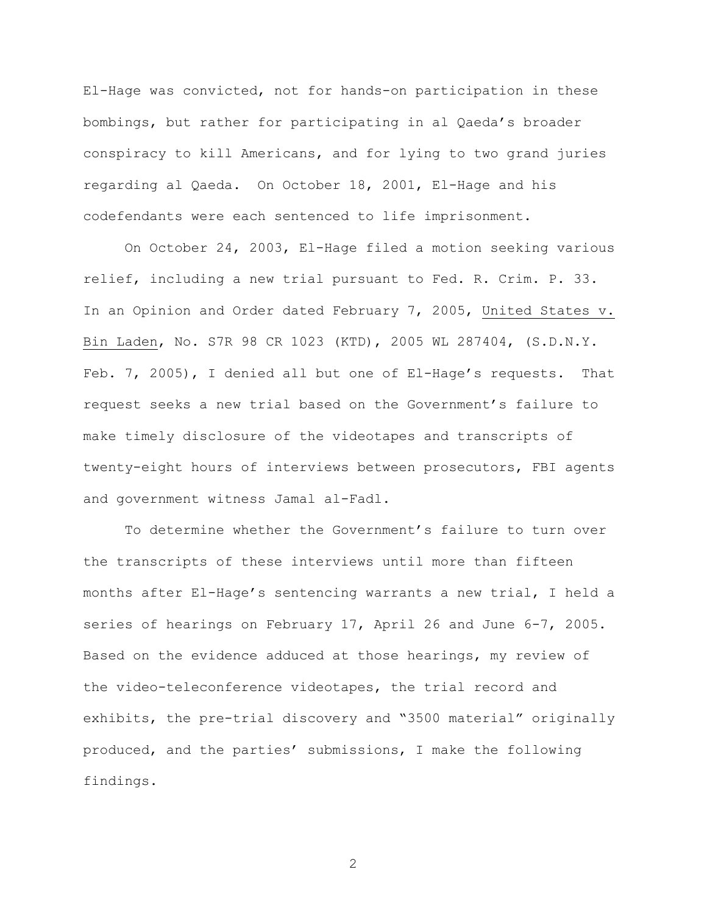El-Hage was convicted, not for hands-on participation in these bombings, but rather for participating in al Qaeda's broader conspiracy to kill Americans, and for lying to two grand juries regarding al Qaeda. On October 18, 2001, El-Hage and his codefendants were each sentenced to life imprisonment.

On October 24, 2003, El-Hage filed a motion seeking various relief, including a new trial pursuant to Fed. R. Crim. P. 33. In an Opinion and Order dated February 7, 2005, United States v. Bin Laden, No. S7R 98 CR 1023 (KTD), 2005 WL 287404, (S.D.N.Y. Feb. 7, 2005), I denied all but one of El-Hage's requests. That request seeks a new trial based on the Government's failure to make timely disclosure of the videotapes and transcripts of twenty-eight hours of interviews between prosecutors, FBI agents and government witness Jamal al-Fadl.

To determine whether the Government's failure to turn over the transcripts of these interviews until more than fifteen months after El-Hage's sentencing warrants a new trial, I held a series of hearings on February 17, April 26 and June 6-7, 2005. Based on the evidence adduced at those hearings, my review of the video-teleconference videotapes, the trial record and exhibits, the pre-trial discovery and "3500 material" originally produced, and the parties' submissions, I make the following findings.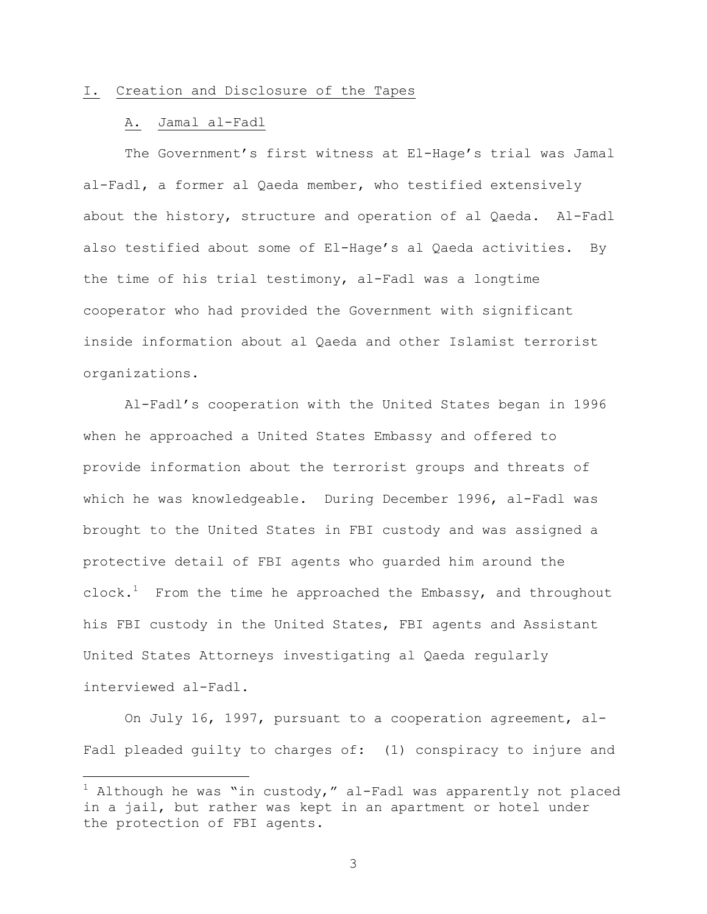#### I. Creation and Disclosure of the Tapes

## A. Jamal al-Fadl

i

The Government's first witness at El-Hage's trial was Jamal al-Fadl, a former al Qaeda member, who testified extensively about the history, structure and operation of al Qaeda. Al-Fadl also testified about some of El-Hage's al Qaeda activities. By the time of his trial testimony, al-Fadl was a longtime cooperator who had provided the Government with significant inside information about al Qaeda and other Islamist terrorist organizations.

Al-Fadl's cooperation with the United States began in 1996 when he approached a United States Embassy and offered to provide information about the terrorist groups and threats of which he was knowledgeable. During December 1996, al-Fadl was brought to the United States in FBI custody and was assigned a protective detail of FBI agents who guarded him around the  $\texttt{clock.}^1$  From the time he approached the Embassy, and throughout his FBI custody in the United States, FBI agents and Assistant United States Attorneys investigating al Qaeda regularly interviewed al-Fadl.

On July 16, 1997, pursuant to a cooperation agreement, al-Fadl pleaded guilty to charges of: (1) conspiracy to injure and

 $^1$  Although he was "in custody," al-Fadl was apparently not placed in a jail, but rather was kept in an apartment or hotel under the protection of FBI agents.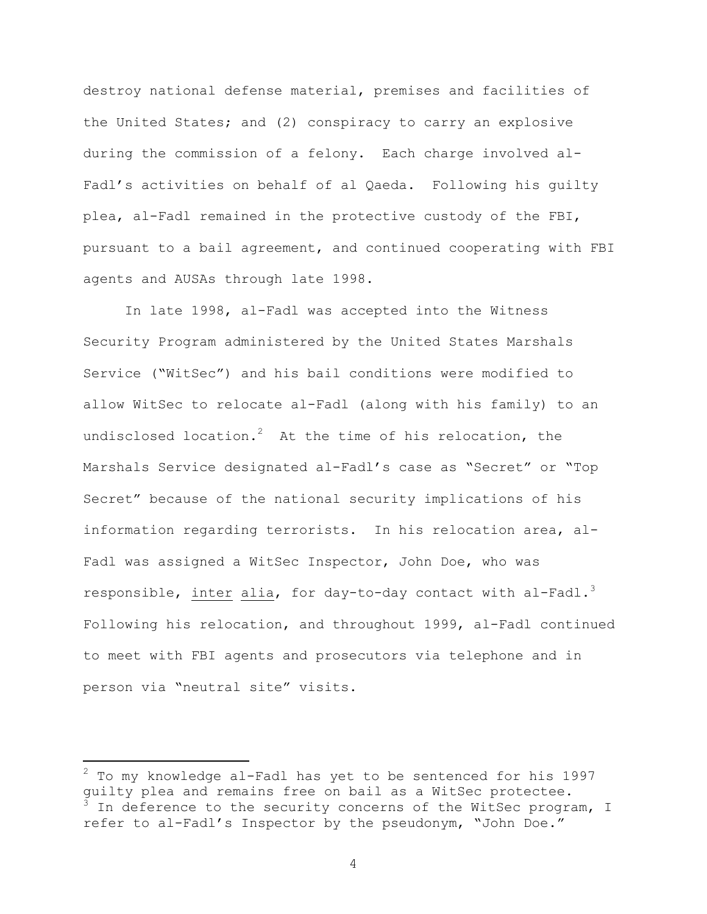destroy national defense material, premises and facilities of the United States; and (2) conspiracy to carry an explosive during the commission of a felony. Each charge involved al-Fadl's activities on behalf of al Qaeda. Following his guilty plea, al-Fadl remained in the protective custody of the FBI, pursuant to a bail agreement, and continued cooperating with FBI agents and AUSAs through late 1998.

In late 1998, al-Fadl was accepted into the Witness Security Program administered by the United States Marshals Service ("WitSec") and his bail conditions were modified to allow WitSec to relocate al-Fadl (along with his family) to an undisclosed location. $^{2}$  At the time of his relocation, the Marshals Service designated al-Fadl's case as "Secret" or "Top Secret" because of the national security implications of his information regarding terrorists. In his relocation area, al-Fadl was assigned a WitSec Inspector, John Doe, who was responsible, inter alia, for day-to-day contact with al-Fadl.<sup>3</sup> Following his relocation, and throughout 1999, al-Fadl continued to meet with FBI agents and prosecutors via telephone and in person via "neutral site" visits.

 $\overline{\phantom{0}}$ 

 $^2$  To my knowledge al-Fadl has yet to be sentenced for his 1997 guilty plea and remains free on bail as a WitSec protectee.  $^3$  In deference to the security concerns of the WitSec program, I refer to al-Fadl's Inspector by the pseudonym, "John Doe."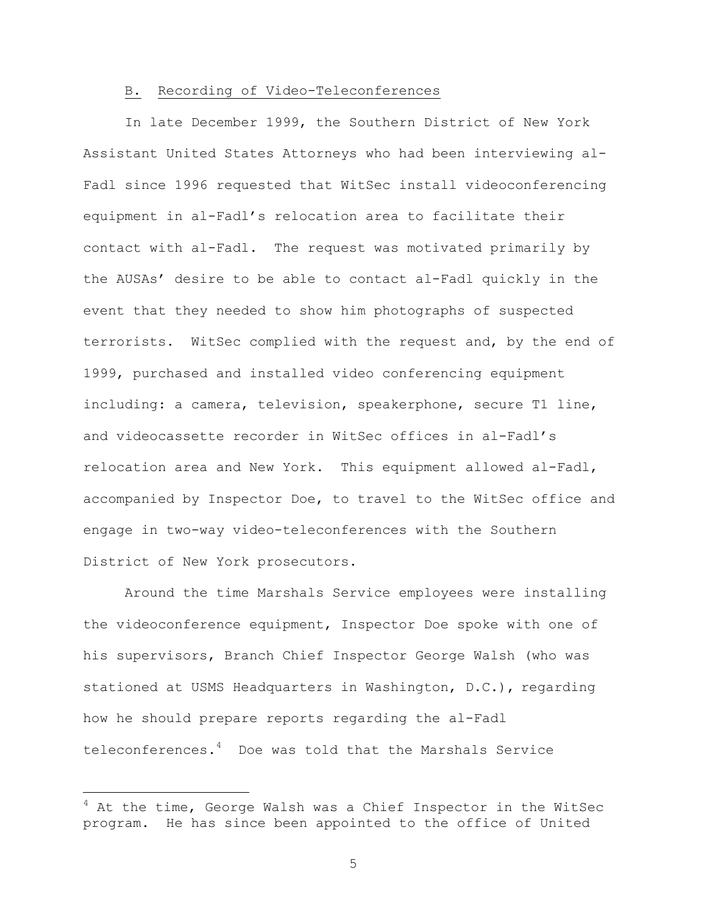### B. Recording of Video-Teleconferences

In late December 1999, the Southern District of New York Assistant United States Attorneys who had been interviewing al-Fadl since 1996 requested that WitSec install videoconferencing equipment in al-Fadl's relocation area to facilitate their contact with al-Fadl. The request was motivated primarily by the AUSAs' desire to be able to contact al-Fadl quickly in the event that they needed to show him photographs of suspected terrorists. WitSec complied with the request and, by the end of 1999, purchased and installed video conferencing equipment including: a camera, television, speakerphone, secure T1 line, and videocassette recorder in WitSec offices in al-Fadl's relocation area and New York. This equipment allowed al-Fadl, accompanied by Inspector Doe, to travel to the WitSec office and engage in two-way video-teleconferences with the Southern District of New York prosecutors.

Around the time Marshals Service employees were installing the videoconference equipment, Inspector Doe spoke with one of his supervisors, Branch Chief Inspector George Walsh (who was stationed at USMS Headquarters in Washington, D.C.), regarding how he should prepare reports regarding the al-Fadl teleconferences.<sup>4</sup> Doe was told that the Marshals Service

i<br>Li

<sup>&</sup>lt;sup>4</sup> At the time, George Walsh was a Chief Inspector in the WitSec program. He has since been appointed to the office of United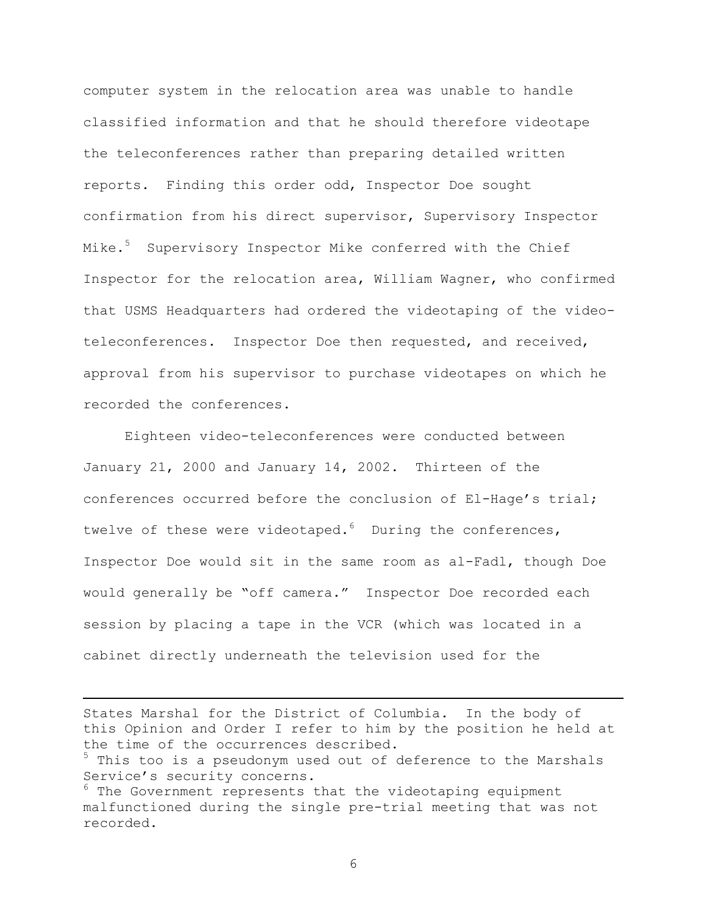computer system in the relocation area was unable to handle classified information and that he should therefore videotape the teleconferences rather than preparing detailed written reports. Finding this order odd, Inspector Doe sought confirmation from his direct supervisor, Supervisory Inspector Mike.<sup>5</sup> Supervisory Inspector Mike conferred with the Chief Inspector for the relocation area, William Wagner, who confirmed that USMS Headquarters had ordered the videotaping of the videoteleconferences. Inspector Doe then requested, and received, approval from his supervisor to purchase videotapes on which he recorded the conferences.

Eighteen video-teleconferences were conducted between January 21, 2000 and January 14, 2002. Thirteen of the conferences occurred before the conclusion of El-Hage's trial; twelve of these were videotaped.<sup>6</sup> During the conferences, Inspector Doe would sit in the same room as al-Fadl, though Doe would generally be "off camera." Inspector Doe recorded each session by placing a tape in the VCR (which was located in a cabinet directly underneath the television used for the

States Marshal for the District of Columbia. In the body of this Opinion and Order I refer to him by the position he held at the time of the occurrences described.

i

<sup>&</sup>lt;sup>5</sup> This too is a pseudonym used out of deference to the Marshals Service's security concerns.

 $6$  The Government represents that the videotaping equipment malfunctioned during the single pre-trial meeting that was not recorded.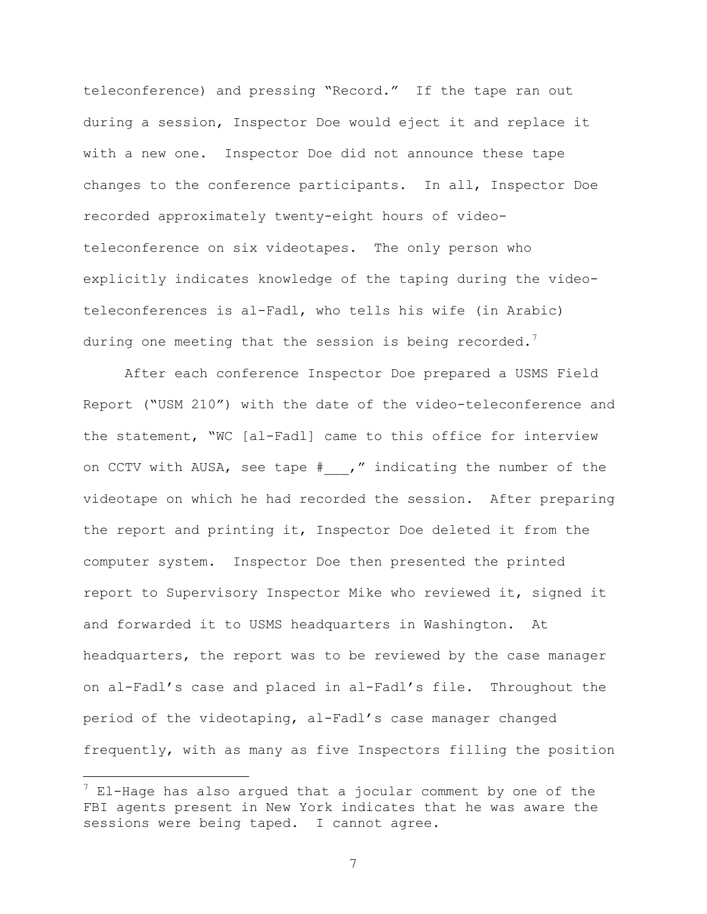teleconference) and pressing "Record." If the tape ran out during a session, Inspector Doe would eject it and replace it with a new one. Inspector Doe did not announce these tape changes to the conference participants. In all, Inspector Doe recorded approximately twenty-eight hours of videoteleconference on six videotapes. The only person who explicitly indicates knowledge of the taping during the videoteleconferences is al-Fadl, who tells his wife (in Arabic) during one meeting that the session is being recorded. $^7$ 

After each conference Inspector Doe prepared a USMS Field Report ("USM 210") with the date of the video-teleconference and the statement, "WC [al-Fadl] came to this office for interview on CCTV with AUSA, see tape # ," indicating the number of the videotape on which he had recorded the session. After preparing the report and printing it, Inspector Doe deleted it from the computer system. Inspector Doe then presented the printed report to Supervisory Inspector Mike who reviewed it, signed it and forwarded it to USMS headquarters in Washington. At headquarters, the report was to be reviewed by the case manager on al-Fadl's case and placed in al-Fadl's file. Throughout the period of the videotaping, al-Fadl's case manager changed frequently, with as many as five Inspectors filling the position

i

 $^7$  El-Hage has also argued that a jocular comment by one of the FBI agents present in New York indicates that he was aware the sessions were being taped. I cannot agree.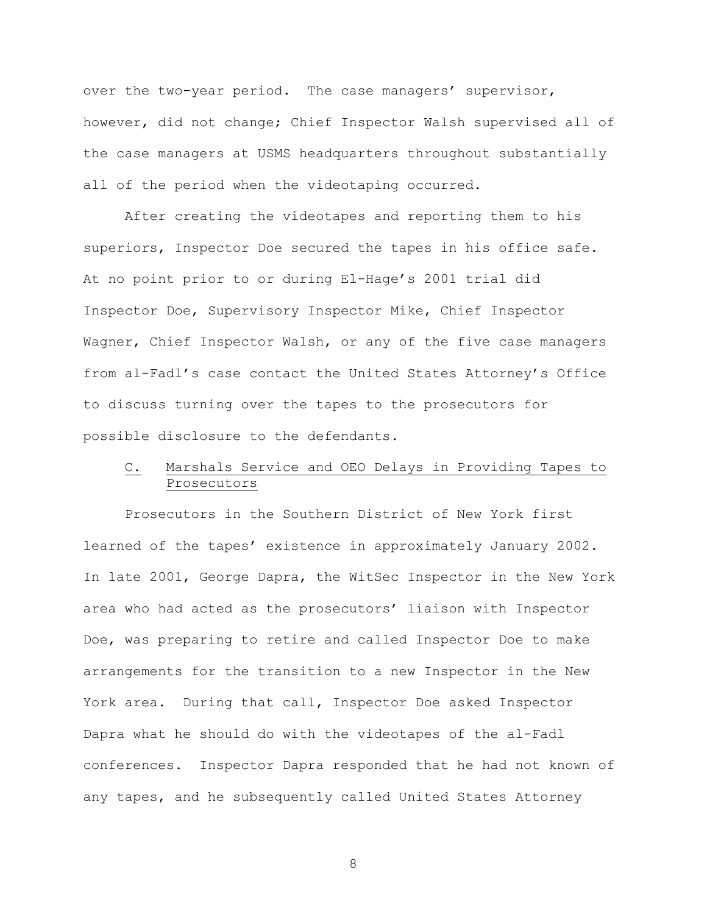over the two-year period. The case managers' supervisor, however, did not change; Chief Inspector Walsh supervised all of the case managers at USMS headquarters throughout substantially all of the period when the videotaping occurred.

After creating the videotapes and reporting them to his superiors, Inspector Doe secured the tapes in his office safe. At no point prior to or during El-Hage's 2001 trial did Inspector Doe, Supervisory Inspector Mike, Chief Inspector Wagner, Chief Inspector Walsh, or any of the five case managers from al-Fadl's case contact the United States Attorney's Office to discuss turning over the tapes to the prosecutors for possible disclosure to the defendants.

# C. Marshals Service and OEO Delays in Providing Tapes to Prosecutors

Prosecutors in the Southern District of New York first learned of the tapes' existence in approximately January 2002. In late 2001, George Dapra, the WitSec Inspector in the New York area who had acted as the prosecutors' liaison with Inspector Doe, was preparing to retire and called Inspector Doe to make arrangements for the transition to a new Inspector in the New York area. During that call, Inspector Doe asked Inspector Dapra what he should do with the videotapes of the al-Fadl conferences. Inspector Dapra responded that he had not known of any tapes, and he subsequently called United States Attorney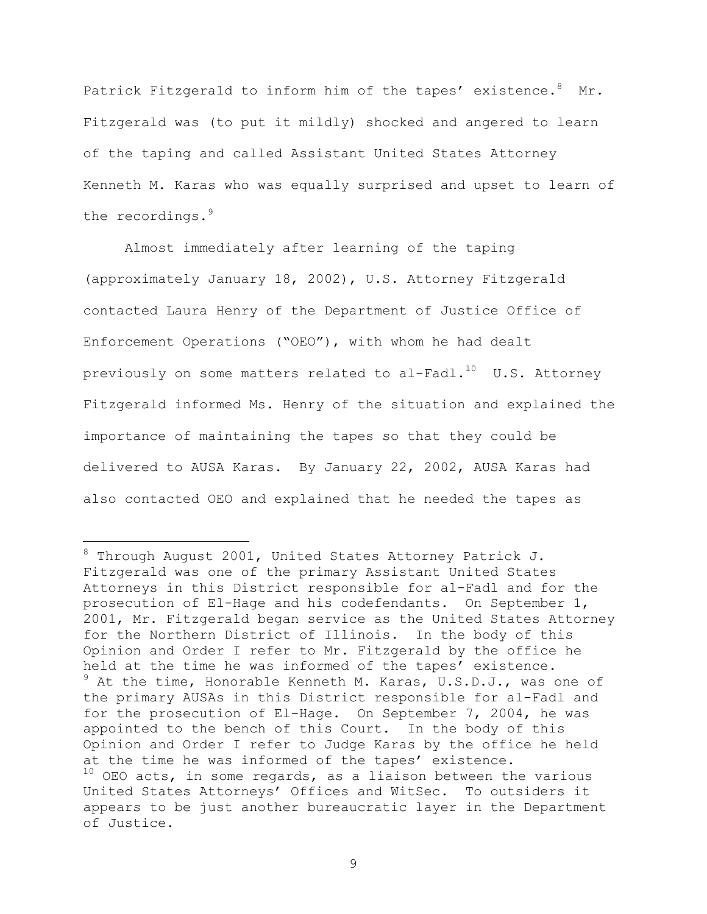Patrick Fitzgerald to inform him of the tapes' existence. <sup>8</sup> Mr. Fitzgerald was (to put it mildly) shocked and angered to learn of the taping and called Assistant United States Attorney Kenneth M. Karas who was equally surprised and upset to learn of the recordings.<sup>9</sup>

Almost immediately after learning of the taping (approximately January 18, 2002), U.S. Attorney Fitzgerald contacted Laura Henry of the Department of Justice Office of Enforcement Operations ("OEO"), with whom he had dealt previously on some matters related to al-Fadl. $^{10}$  U.S. Attorney Fitzgerald informed Ms. Henry of the situation and explained the importance of maintaining the tapes so that they could be delivered to AUSA Karas. By January 22, 2002, AUSA Karas had also contacted OEO and explained that he needed the tapes as

 8 Through August 2001, United States Attorney Patrick J. Fitzgerald was one of the primary Assistant United States Attorneys in this District responsible for al-Fadl and for the prosecution of El-Hage and his codefendants. On September 1, 2001, Mr. Fitzgerald began service as the United States Attorney for the Northern District of Illinois. In the body of this Opinion and Order I refer to Mr. Fitzgerald by the office he held at the time he was informed of the tapes' existence. <sup>9</sup> At the time, Honorable Kenneth M. Karas, U.S.D.J., was one of the primary AUSAs in this District responsible for al-Fadl and for the prosecution of El-Hage. On September 7, 2004, he was appointed to the bench of this Court. In the body of this Opinion and Order I refer to Judge Karas by the office he held at the time he was informed of the tapes' existence.  $10$  OEO acts, in some regards, as a liaison between the various United States Attorneys' Offices and WitSec. To outsiders it appears to be just another bureaucratic layer in the Department of Justice.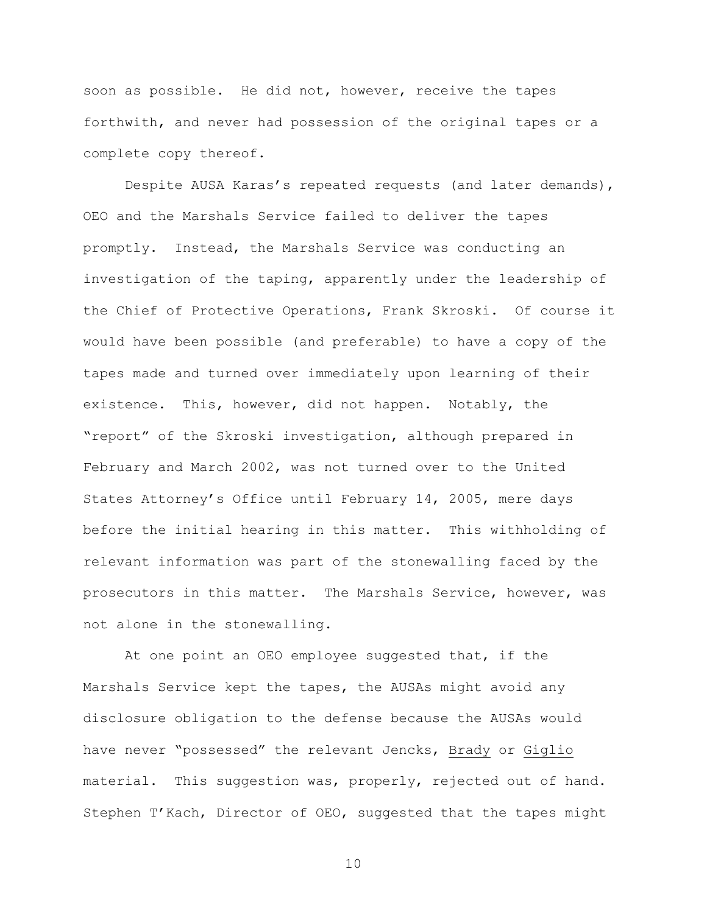soon as possible. He did not, however, receive the tapes forthwith, and never had possession of the original tapes or a complete copy thereof.

Despite AUSA Karas's repeated requests (and later demands), OEO and the Marshals Service failed to deliver the tapes promptly. Instead, the Marshals Service was conducting an investigation of the taping, apparently under the leadership of the Chief of Protective Operations, Frank Skroski. Of course it would have been possible (and preferable) to have a copy of the tapes made and turned over immediately upon learning of their existence. This, however, did not happen. Notably, the "report" of the Skroski investigation, although prepared in February and March 2002, was not turned over to the United States Attorney's Office until February 14, 2005, mere days before the initial hearing in this matter. This withholding of relevant information was part of the stonewalling faced by the prosecutors in this matter. The Marshals Service, however, was not alone in the stonewalling.

At one point an OEO employee suggested that, if the Marshals Service kept the tapes, the AUSAs might avoid any disclosure obligation to the defense because the AUSAs would have never "possessed" the relevant Jencks, Brady or Giglio material. This suggestion was, properly, rejected out of hand. Stephen T'Kach, Director of OEO, suggested that the tapes might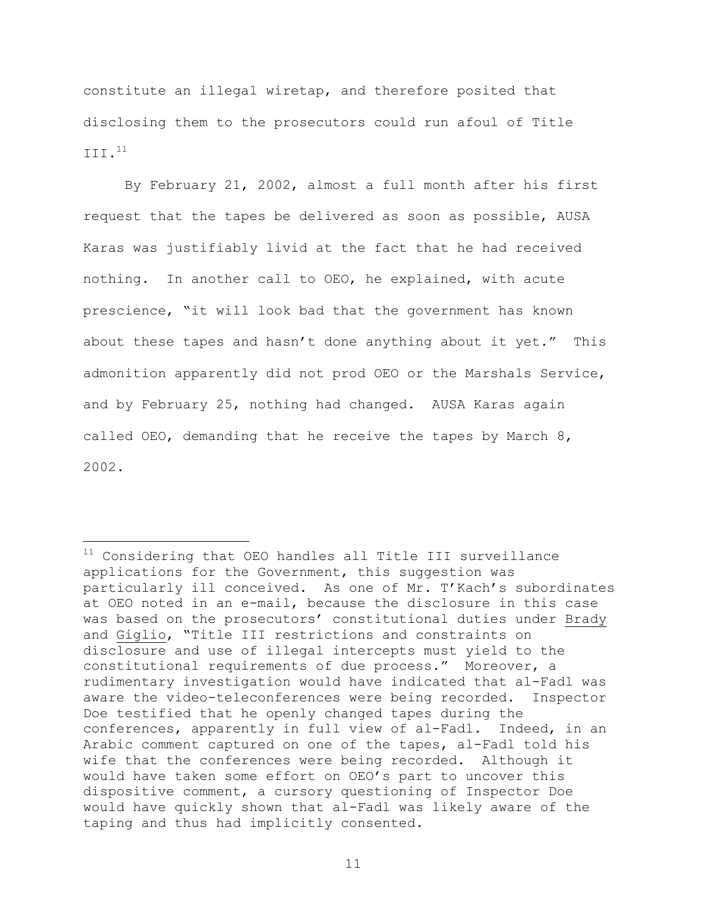constitute an illegal wiretap, and therefore posited that disclosing them to the prosecutors could run afoul of Title III.<sup>11</sup>

By February 21, 2002, almost a full month after his first request that the tapes be delivered as soon as possible, AUSA Karas was justifiably livid at the fact that he had received nothing. In another call to OEO, he explained, with acute prescience, "it will look bad that the government has known about these tapes and hasn't done anything about it yet." This admonition apparently did not prod OEO or the Marshals Service, and by February 25, nothing had changed. AUSA Karas again called OEO, demanding that he receive the tapes by March 8, 2002.

i<br>Li

 $11$  Considering that OEO handles all Title III surveillance applications for the Government, this suggestion was particularly ill conceived. As one of Mr. T'Kach's subordinates at OEO noted in an e-mail, because the disclosure in this case was based on the prosecutors' constitutional duties under Brady and Giglio, "Title III restrictions and constraints on disclosure and use of illegal intercepts must yield to the constitutional requirements of due process." Moreover, a rudimentary investigation would have indicated that al-Fadl was aware the video-teleconferences were being recorded. Inspector Doe testified that he openly changed tapes during the conferences, apparently in full view of al-Fadl. Indeed, in an Arabic comment captured on one of the tapes, al-Fadl told his wife that the conferences were being recorded. Although it would have taken some effort on OEO's part to uncover this dispositive comment, a cursory questioning of Inspector Doe would have quickly shown that al-Fadl was likely aware of the taping and thus had implicitly consented.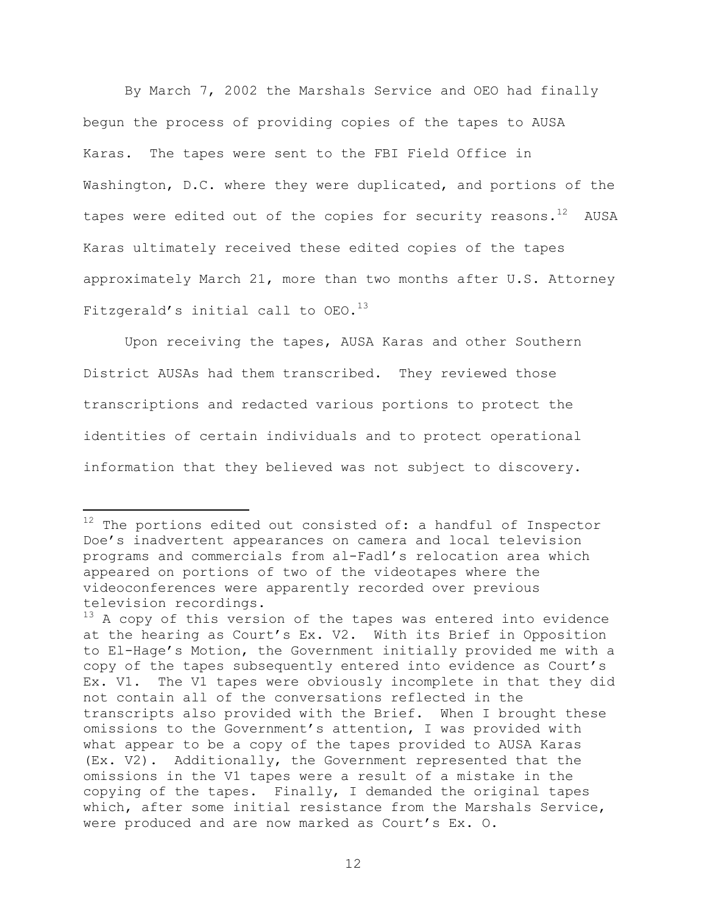By March 7, 2002 the Marshals Service and OEO had finally begun the process of providing copies of the tapes to AUSA Karas. The tapes were sent to the FBI Field Office in Washington, D.C. where they were duplicated, and portions of the tapes were edited out of the copies for security reasons. $^{12}$  AUSA Karas ultimately received these edited copies of the tapes approximately March 21, more than two months after U.S. Attorney Fitzgerald's initial call to  $OEO.<sup>13</sup>$ 

Upon receiving the tapes, AUSA Karas and other Southern District AUSAs had them transcribed. They reviewed those transcriptions and redacted various portions to protect the identities of certain individuals and to protect operational information that they believed was not subject to discovery.

i

 $12$  The portions edited out consisted of: a handful of Inspector Doe's inadvertent appearances on camera and local television programs and commercials from al-Fadl's relocation area which appeared on portions of two of the videotapes where the videoconferences were apparently recorded over previous television recordings.

 $13$  A copy of this version of the tapes was entered into evidence at the hearing as Court's Ex. V2. With its Brief in Opposition to El-Hage's Motion, the Government initially provided me with a copy of the tapes subsequently entered into evidence as Court's Ex. V1. The V1 tapes were obviously incomplete in that they did not contain all of the conversations reflected in the transcripts also provided with the Brief. When I brought these omissions to the Government's attention, I was provided with what appear to be a copy of the tapes provided to AUSA Karas (Ex. V2). Additionally, the Government represented that the omissions in the V1 tapes were a result of a mistake in the copying of the tapes. Finally, I demanded the original tapes which, after some initial resistance from the Marshals Service, were produced and are now marked as Court's Ex. O.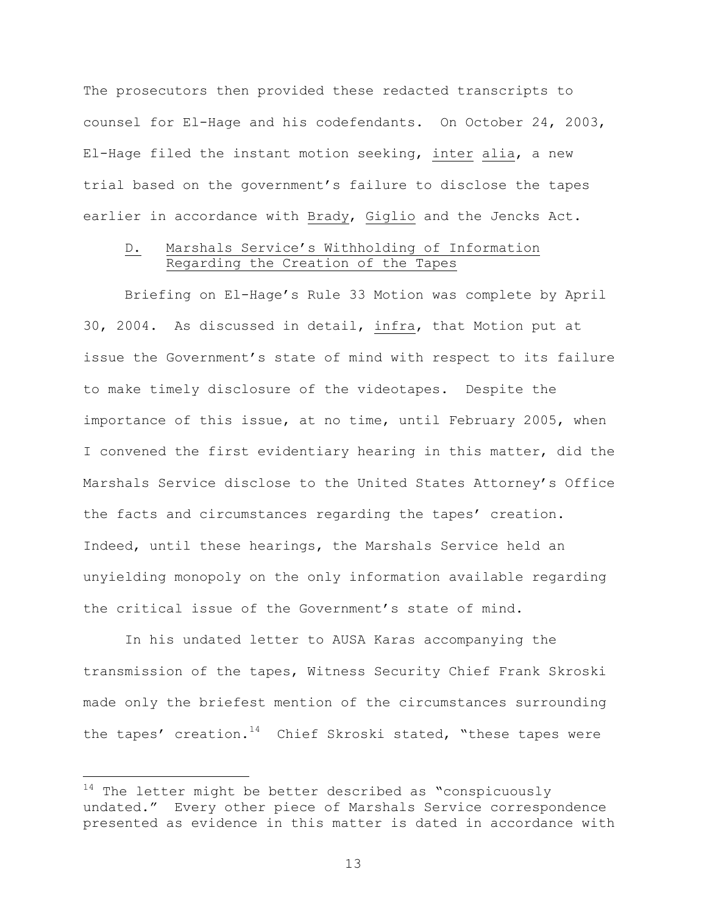The prosecutors then provided these redacted transcripts to counsel for El-Hage and his codefendants. On October 24, 2003, El-Hage filed the instant motion seeking, inter alia, a new trial based on the government's failure to disclose the tapes earlier in accordance with Brady, Giglio and the Jencks Act.

# D. Marshals Service's Withholding of Information Regarding the Creation of the Tapes

Briefing on El-Hage's Rule 33 Motion was complete by April 30, 2004. As discussed in detail, infra, that Motion put at issue the Government's state of mind with respect to its failure to make timely disclosure of the videotapes. Despite the importance of this issue, at no time, until February 2005, when I convened the first evidentiary hearing in this matter, did the Marshals Service disclose to the United States Attorney's Office the facts and circumstances regarding the tapes' creation. Indeed, until these hearings, the Marshals Service held an unyielding monopoly on the only information available regarding the critical issue of the Government's state of mind.

In his undated letter to AUSA Karas accompanying the transmission of the tapes, Witness Security Chief Frank Skroski made only the briefest mention of the circumstances surrounding the tapes' creation.<sup>14</sup> Chief Skroski stated, "these tapes were

i

 $14$  The letter might be better described as "conspicuously undated." Every other piece of Marshals Service correspondence presented as evidence in this matter is dated in accordance with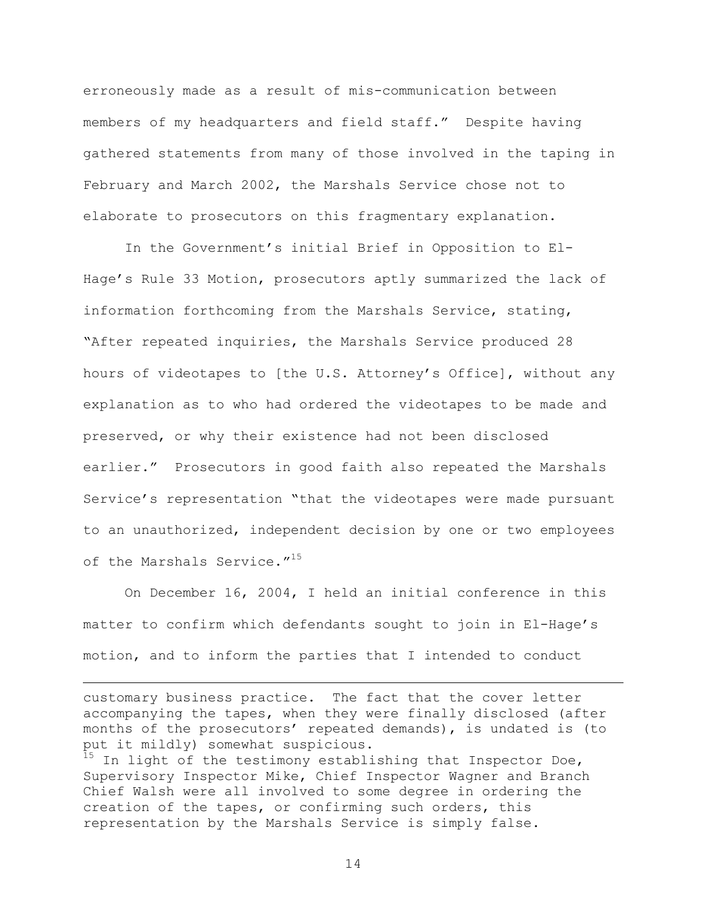erroneously made as a result of mis-communication between members of my headquarters and field staff." Despite having gathered statements from many of those involved in the taping in February and March 2002, the Marshals Service chose not to elaborate to prosecutors on this fragmentary explanation.

In the Government's initial Brief in Opposition to El-Hage's Rule 33 Motion, prosecutors aptly summarized the lack of information forthcoming from the Marshals Service, stating, "After repeated inquiries, the Marshals Service produced 28 hours of videotapes to [the U.S. Attorney's Office], without any explanation as to who had ordered the videotapes to be made and preserved, or why their existence had not been disclosed earlier." Prosecutors in good faith also repeated the Marshals Service's representation "that the videotapes were made pursuant to an unauthorized, independent decision by one or two employees of the Marshals Service."<sup>15</sup>

On December 16, 2004, I held an initial conference in this matter to confirm which defendants sought to join in El-Hage's motion, and to inform the parties that I intended to conduct

customary business practice. The fact that the cover letter accompanying the tapes, when they were finally disclosed (after months of the prosecutors' repeated demands), is undated is (to put it mildly) somewhat suspicious.

i<br>Li

 $15$  In light of the testimony establishing that Inspector Doe, Supervisory Inspector Mike, Chief Inspector Wagner and Branch Chief Walsh were all involved to some degree in ordering the creation of the tapes, or confirming such orders, this representation by the Marshals Service is simply false.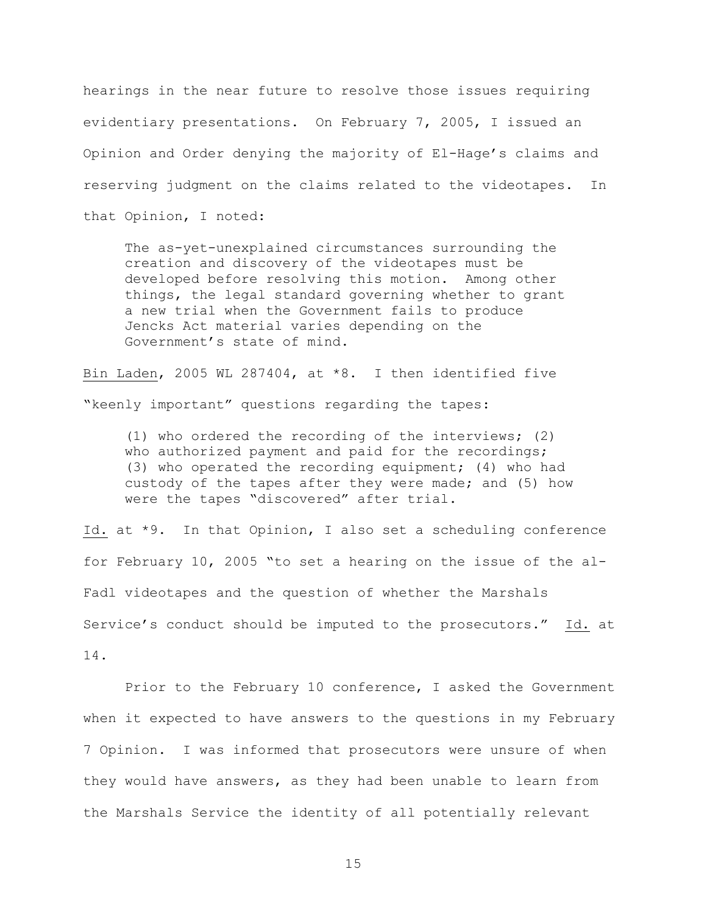hearings in the near future to resolve those issues requiring evidentiary presentations. On February 7, 2005, I issued an Opinion and Order denying the majority of El-Hage's claims and reserving judgment on the claims related to the videotapes. In that Opinion, I noted:

The as-yet-unexplained circumstances surrounding the creation and discovery of the videotapes must be developed before resolving this motion. Among other things, the legal standard governing whether to grant a new trial when the Government fails to produce Jencks Act material varies depending on the Government's state of mind.

Bin Laden, 2005 WL 287404, at \*8. I then identified five "keenly important" questions regarding the tapes:

(1) who ordered the recording of the interviews; (2) who authorized payment and paid for the recordings; (3) who operated the recording equipment; (4) who had custody of the tapes after they were made; and (5) how were the tapes "discovered" after trial.

Id. at \*9. In that Opinion, I also set a scheduling conference for February 10, 2005 "to set a hearing on the issue of the al-Fadl videotapes and the question of whether the Marshals Service's conduct should be imputed to the prosecutors." Id. at 14.

Prior to the February 10 conference, I asked the Government when it expected to have answers to the questions in my February 7 Opinion. I was informed that prosecutors were unsure of when they would have answers, as they had been unable to learn from the Marshals Service the identity of all potentially relevant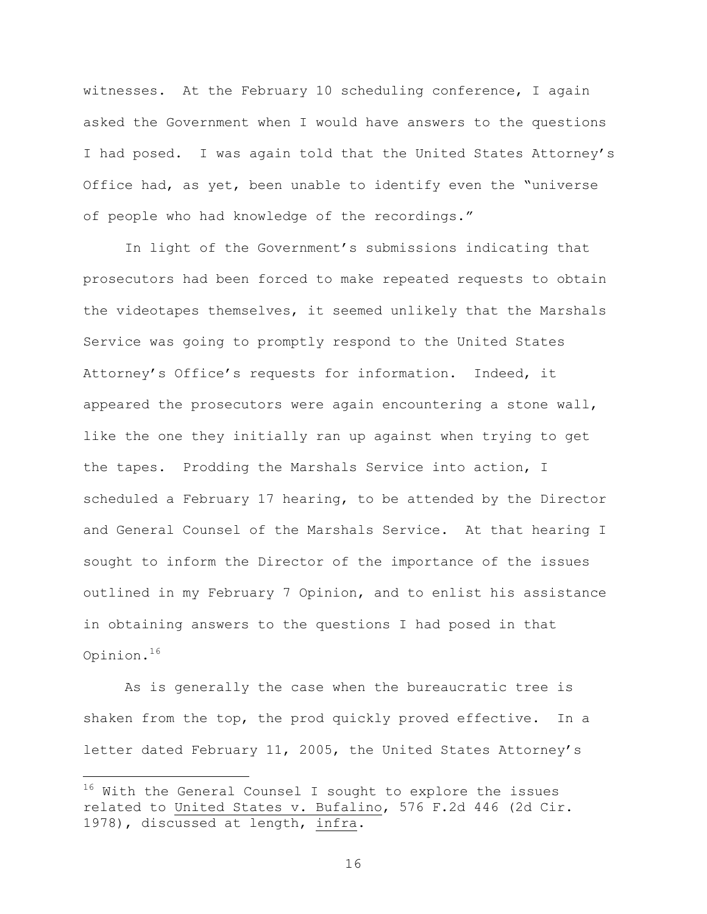witnesses. At the February 10 scheduling conference, I again asked the Government when I would have answers to the questions I had posed. I was again told that the United States Attorney's Office had, as yet, been unable to identify even the "universe of people who had knowledge of the recordings."

In light of the Government's submissions indicating that prosecutors had been forced to make repeated requests to obtain the videotapes themselves, it seemed unlikely that the Marshals Service was going to promptly respond to the United States Attorney's Office's requests for information. Indeed, it appeared the prosecutors were again encountering a stone wall, like the one they initially ran up against when trying to get the tapes. Prodding the Marshals Service into action, I scheduled a February 17 hearing, to be attended by the Director and General Counsel of the Marshals Service. At that hearing I sought to inform the Director of the importance of the issues outlined in my February 7 Opinion, and to enlist his assistance in obtaining answers to the questions I had posed in that Opinion.<sup>16</sup>

As is generally the case when the bureaucratic tree is shaken from the top, the prod quickly proved effective. In a letter dated February 11, 2005, the United States Attorney's

i

 $16$  With the General Counsel I sought to explore the issues related to United States v. Bufalino, 576 F.2d 446 (2d Cir. 1978), discussed at length, infra.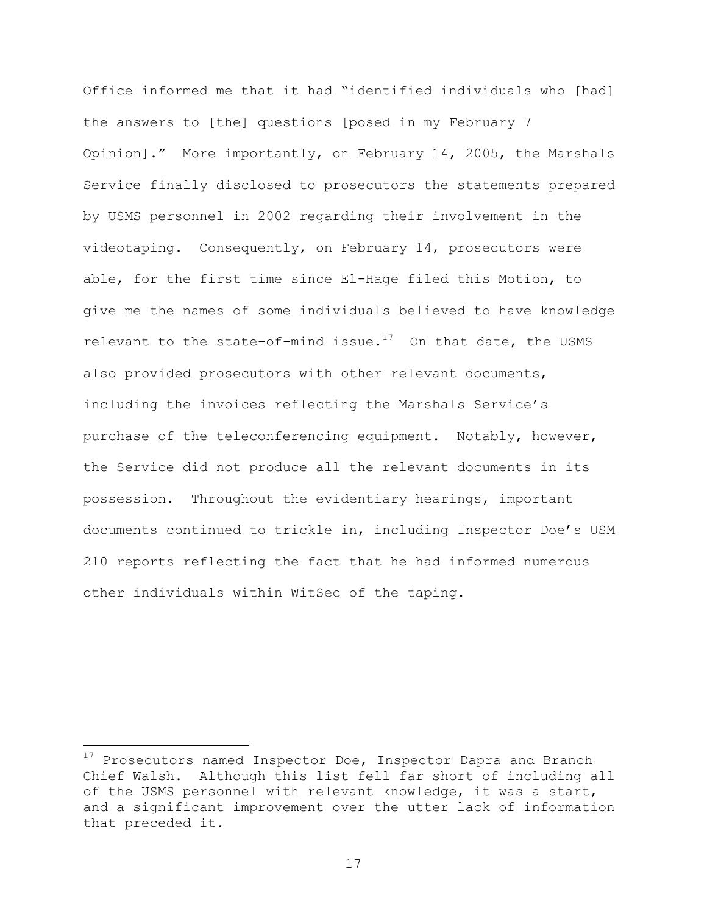Office informed me that it had "identified individuals who [had] the answers to [the] questions [posed in my February 7 Opinion]." More importantly, on February 14, 2005, the Marshals Service finally disclosed to prosecutors the statements prepared by USMS personnel in 2002 regarding their involvement in the videotaping. Consequently, on February 14, prosecutors were able, for the first time since El-Hage filed this Motion, to give me the names of some individuals believed to have knowledge relevant to the state-of-mind issue.<sup>17</sup> On that date, the USMS also provided prosecutors with other relevant documents, including the invoices reflecting the Marshals Service's purchase of the teleconferencing equipment. Notably, however, the Service did not produce all the relevant documents in its possession. Throughout the evidentiary hearings, important documents continued to trickle in, including Inspector Doe's USM 210 reports reflecting the fact that he had informed numerous other individuals within WitSec of the taping.

i<br>Li

 $^{17}$  Prosecutors named Inspector Doe, Inspector Dapra and Branch Chief Walsh. Although this list fell far short of including all of the USMS personnel with relevant knowledge, it was a start, and a significant improvement over the utter lack of information that preceded it.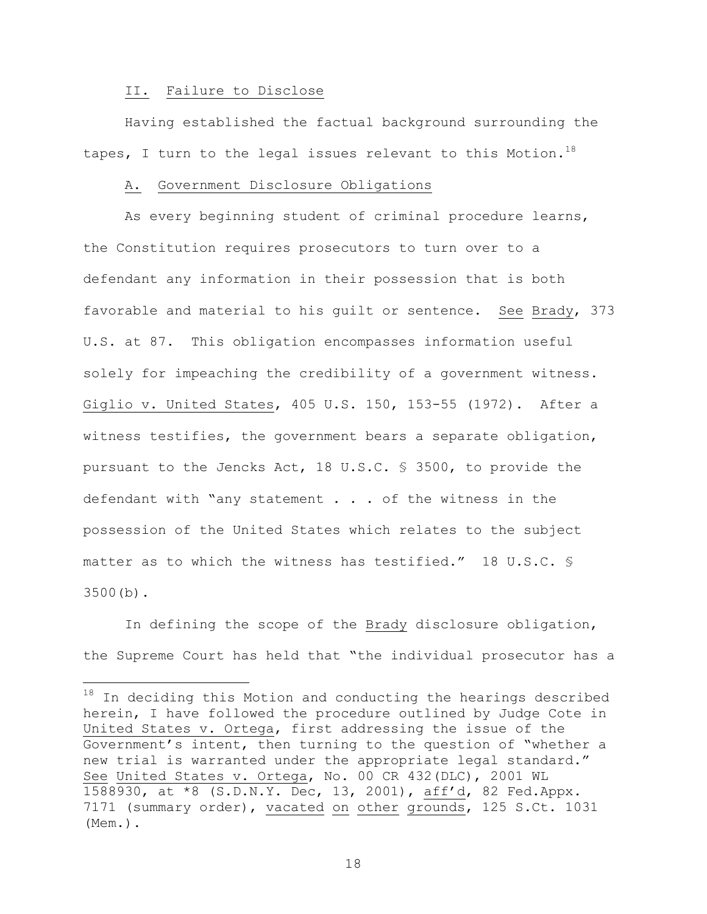## II. Failure to Disclose

i<br>Li

Having established the factual background surrounding the tapes, I turn to the legal issues relevant to this Motion.<sup>18</sup>

## A. Government Disclosure Obligations

As every beginning student of criminal procedure learns, the Constitution requires prosecutors to turn over to a defendant any information in their possession that is both favorable and material to his guilt or sentence. See Brady, 373 U.S. at 87. This obligation encompasses information useful solely for impeaching the credibility of a government witness. Giglio v. United States, 405 U.S. 150, 153-55 (1972). After a witness testifies, the government bears a separate obligation, pursuant to the Jencks Act, 18 U.S.C. § 3500, to provide the defendant with "any statement . . . of the witness in the possession of the United States which relates to the subject matter as to which the witness has testified." 18 U.S.C. § 3500(b).

In defining the scope of the Brady disclosure obligation, the Supreme Court has held that "the individual prosecutor has a

 $^{18}$  In deciding this Motion and conducting the hearings described herein, I have followed the procedure outlined by Judge Cote in United States v. Ortega, first addressing the issue of the Government's intent, then turning to the question of "whether a new trial is warranted under the appropriate legal standard." See United States v. Ortega, No. 00 CR 432(DLC), 2001 WL 1588930, at \*8 (S.D.N.Y. Dec, 13, 2001), aff'd, 82 Fed.Appx. 7171 (summary order), vacated on other grounds, 125 S.Ct. 1031 (Mem.).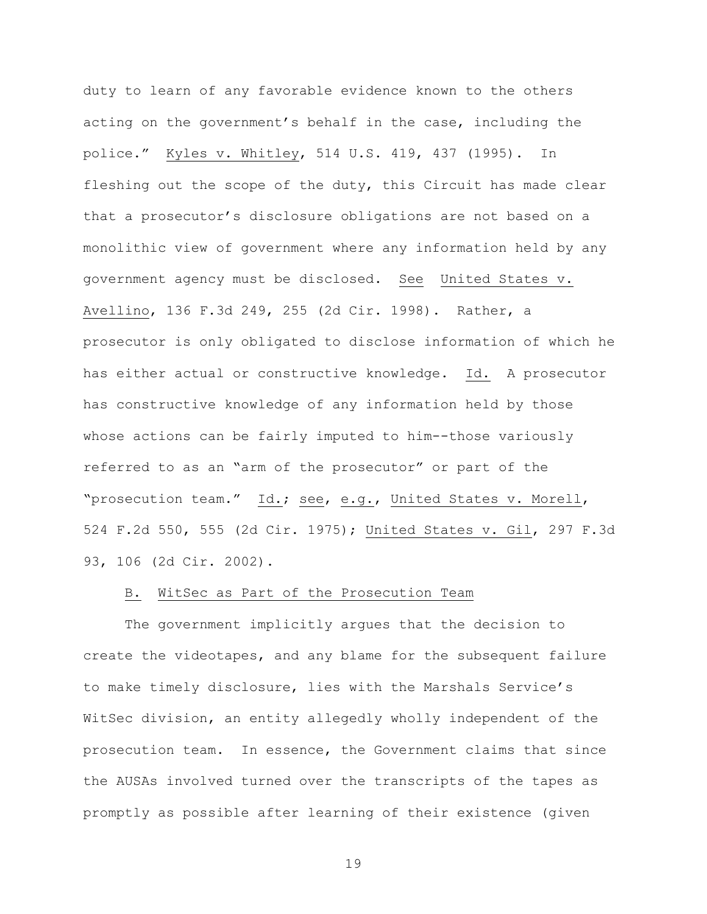duty to learn of any favorable evidence known to the others acting on the government's behalf in the case, including the police." Kyles v. Whitley, 514 U.S. 419, 437 (1995). In fleshing out the scope of the duty, this Circuit has made clear that a prosecutor's disclosure obligations are not based on a monolithic view of government where any information held by any government agency must be disclosed. See United States v. Avellino, 136 F.3d 249, 255 (2d Cir. 1998). Rather, a prosecutor is only obligated to disclose information of which he has either actual or constructive knowledge. Id. A prosecutor has constructive knowledge of any information held by those whose actions can be fairly imputed to him--those variously referred to as an "arm of the prosecutor" or part of the "prosecution team." Id.; see, e.g., United States v. Morell, 524 F.2d 550, 555 (2d Cir. 1975); United States v. Gil, 297 F.3d 93, 106 (2d Cir. 2002).

## B. WitSec as Part of the Prosecution Team

The government implicitly argues that the decision to create the videotapes, and any blame for the subsequent failure to make timely disclosure, lies with the Marshals Service's WitSec division, an entity allegedly wholly independent of the prosecution team. In essence, the Government claims that since the AUSAs involved turned over the transcripts of the tapes as promptly as possible after learning of their existence (given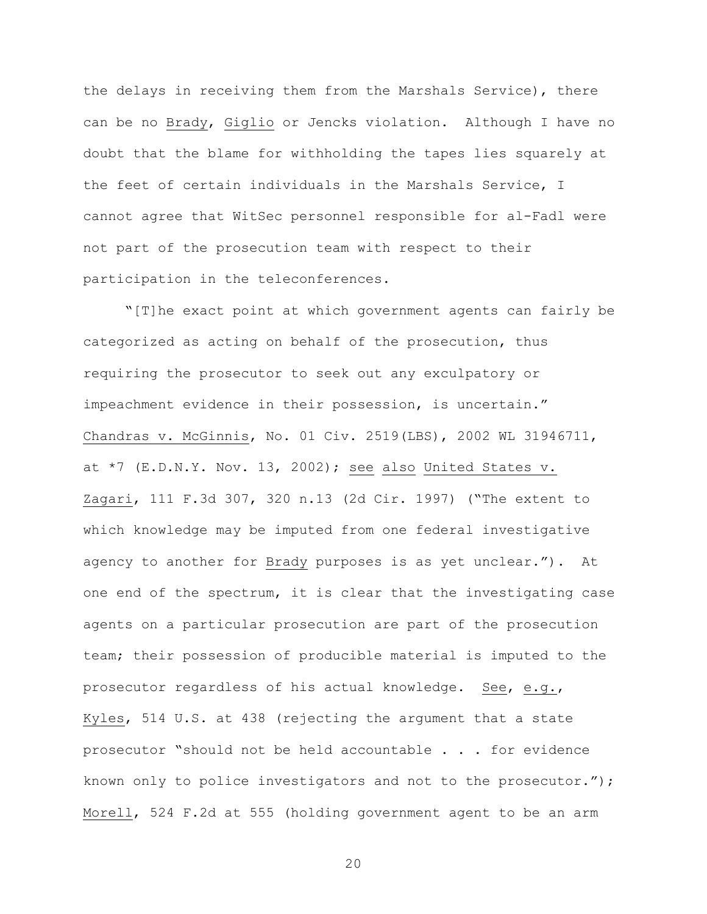the delays in receiving them from the Marshals Service), there can be no Brady, Giglio or Jencks violation. Although I have no doubt that the blame for withholding the tapes lies squarely at the feet of certain individuals in the Marshals Service, I cannot agree that WitSec personnel responsible for al-Fadl were not part of the prosecution team with respect to their participation in the teleconferences.

"[T]he exact point at which government agents can fairly be categorized as acting on behalf of the prosecution, thus requiring the prosecutor to seek out any exculpatory or impeachment evidence in their possession, is uncertain." Chandras v. McGinnis, No. 01 Civ. 2519(LBS), 2002 WL 31946711, at  $*7$  (E.D.N.Y. Nov. 13, 2002); see also United States v. Zagari, 111 F.3d 307, 320 n.13 (2d Cir. 1997) ("The extent to which knowledge may be imputed from one federal investigative agency to another for Brady purposes is as yet unclear."). At one end of the spectrum, it is clear that the investigating case agents on a particular prosecution are part of the prosecution team; their possession of producible material is imputed to the prosecutor regardless of his actual knowledge. See, e.g., Kyles, 514 U.S. at 438 (rejecting the argument that a state prosecutor "should not be held accountable . . . for evidence known only to police investigators and not to the prosecutor."); Morell, 524 F.2d at 555 (holding government agent to be an arm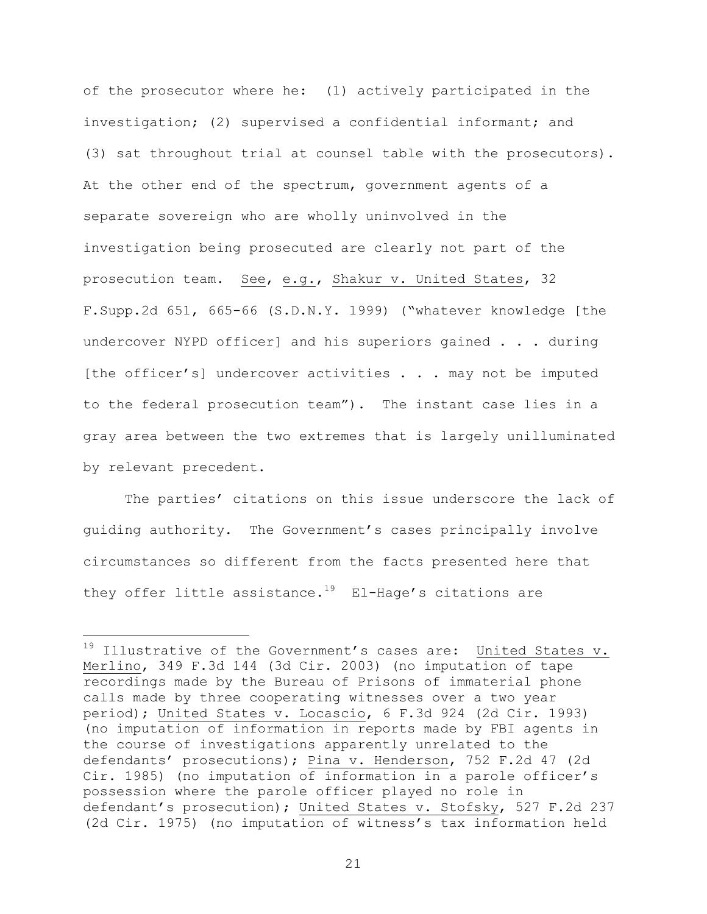of the prosecutor where he: (1) actively participated in the investigation; (2) supervised a confidential informant; and (3) sat throughout trial at counsel table with the prosecutors). At the other end of the spectrum, government agents of a separate sovereign who are wholly uninvolved in the investigation being prosecuted are clearly not part of the prosecution team. See, e.g., Shakur v. United States, 32 F.Supp.2d 651, 665-66 (S.D.N.Y. 1999) ("whatever knowledge [the undercover NYPD officer] and his superiors gained . . . during [the officer's] undercover activities . . . may not be imputed to the federal prosecution team"). The instant case lies in a gray area between the two extremes that is largely unilluminated by relevant precedent.

The parties' citations on this issue underscore the lack of guiding authority. The Government's cases principally involve circumstances so different from the facts presented here that they offer little assistance.<sup>19</sup> El-Hage's citations are

 $\overline{\phantom{0}}$ 

 $19$  Illustrative of the Government's cases are: United States v. Merlino, 349 F.3d 144 (3d Cir. 2003) (no imputation of tape recordings made by the Bureau of Prisons of immaterial phone calls made by three cooperating witnesses over a two year period); United States v. Locascio, 6 F.3d 924 (2d Cir. 1993) (no imputation of information in reports made by FBI agents in the course of investigations apparently unrelated to the defendants' prosecutions); Pina v. Henderson, 752 F.2d 47 (2d Cir. 1985) (no imputation of information in a parole officer's possession where the parole officer played no role in defendant's prosecution); United States v. Stofsky, 527 F.2d 237 (2d Cir. 1975) (no imputation of witness's tax information held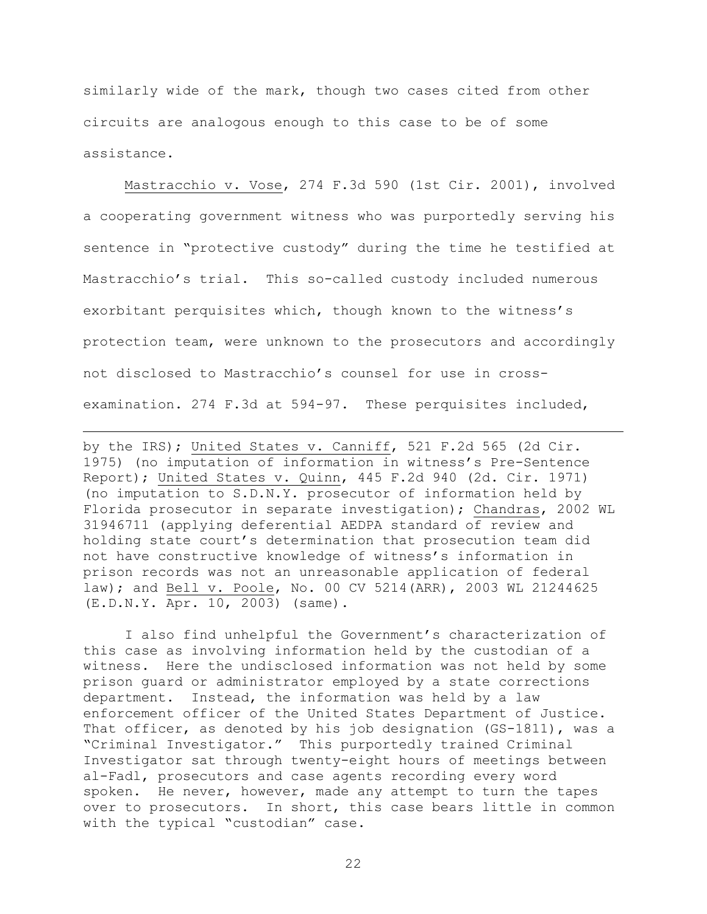similarly wide of the mark, though two cases cited from other circuits are analogous enough to this case to be of some assistance.

Mastracchio v. Vose, 274 F.3d 590 (1st Cir. 2001), involved a cooperating government witness who was purportedly serving his sentence in "protective custody" during the time he testified at Mastracchio's trial. This so-called custody included numerous exorbitant perquisites which, though known to the witness's protection team, were unknown to the prosecutors and accordingly not disclosed to Mastracchio's counsel for use in crossexamination. 274 F.3d at 594-97. These perquisites included,

by the IRS); United States v. Canniff, 521 F.2d 565 (2d Cir. 1975) (no imputation of information in witness's Pre-Sentence Report); United States v. Quinn, 445 F.2d 940 (2d. Cir. 1971) (no imputation to S.D.N.Y. prosecutor of information held by Florida prosecutor in separate investigation); Chandras, 2002 WL 31946711 (applying deferential AEDPA standard of review and holding state court's determination that prosecution team did not have constructive knowledge of witness's information in prison records was not an unreasonable application of federal law); and Bell v. Poole, No. 00 CV 5214(ARR), 2003 WL 21244625 (E.D.N.Y. Apr. 10, 2003) (same).

i<br>Li

 I also find unhelpful the Government's characterization of this case as involving information held by the custodian of a witness. Here the undisclosed information was not held by some prison guard or administrator employed by a state corrections department. Instead, the information was held by a law enforcement officer of the United States Department of Justice. That officer, as denoted by his job designation (GS-1811), was a "Criminal Investigator." This purportedly trained Criminal Investigator sat through twenty-eight hours of meetings between al-Fadl, prosecutors and case agents recording every word spoken. He never, however, made any attempt to turn the tapes over to prosecutors. In short, this case bears little in common with the typical "custodian" case.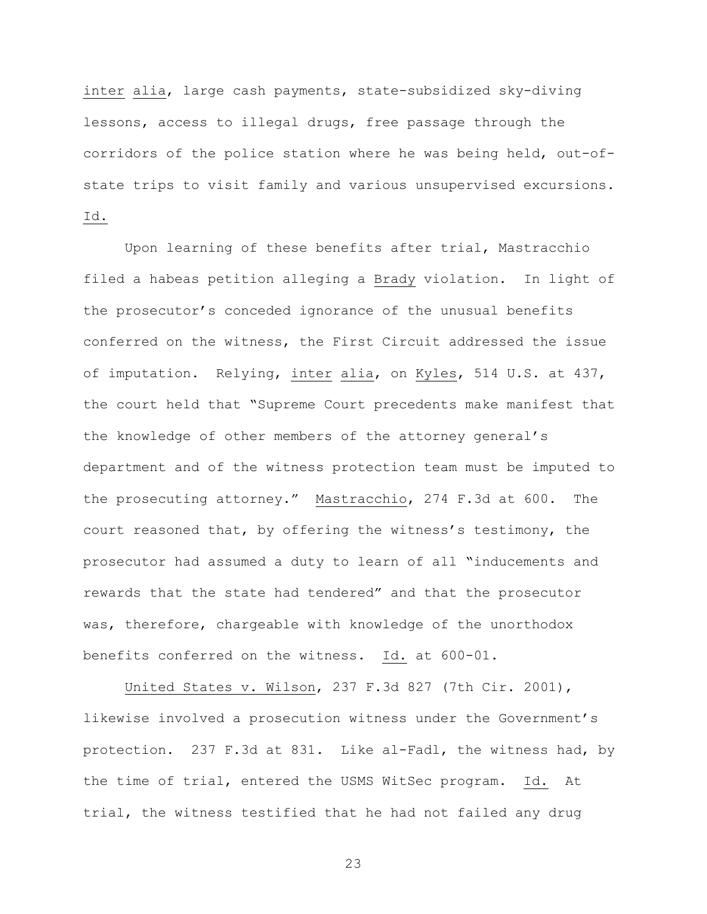inter alia, large cash payments, state-subsidized sky-diving lessons, access to illegal drugs, free passage through the corridors of the police station where he was being held, out-ofstate trips to visit family and various unsupervised excursions. Id.

Upon learning of these benefits after trial, Mastracchio filed a habeas petition alleging a Brady violation. In light of the prosecutor's conceded ignorance of the unusual benefits conferred on the witness, the First Circuit addressed the issue of imputation. Relying, inter alia, on Kyles, 514 U.S. at 437, the court held that "Supreme Court precedents make manifest that the knowledge of other members of the attorney general's department and of the witness protection team must be imputed to the prosecuting attorney." Mastracchio, 274 F.3d at 600. The court reasoned that, by offering the witness's testimony, the prosecutor had assumed a duty to learn of all "inducements and rewards that the state had tendered" and that the prosecutor was, therefore, chargeable with knowledge of the unorthodox benefits conferred on the witness. Id. at 600-01.

United States v. Wilson, 237 F.3d 827 (7th Cir. 2001), likewise involved a prosecution witness under the Government's protection. 237 F.3d at 831. Like al-Fadl, the witness had, by the time of trial, entered the USMS WitSec program. Id. At trial, the witness testified that he had not failed any drug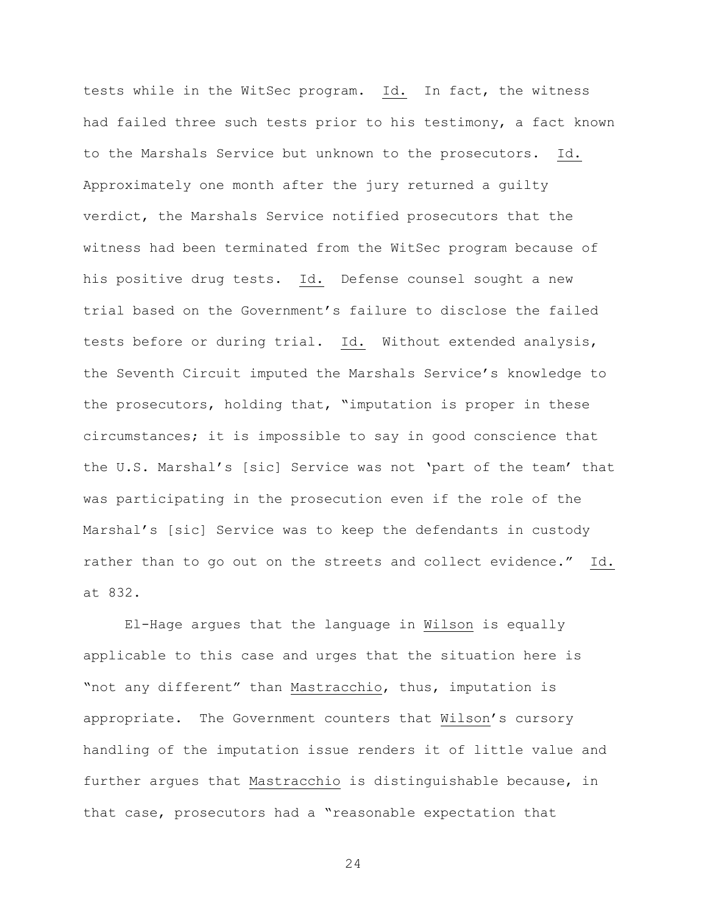tests while in the WitSec program. Id. In fact, the witness had failed three such tests prior to his testimony, a fact known to the Marshals Service but unknown to the prosecutors. Id. Approximately one month after the jury returned a guilty verdict, the Marshals Service notified prosecutors that the witness had been terminated from the WitSec program because of his positive drug tests. Id. Defense counsel sought a new trial based on the Government's failure to disclose the failed tests before or during trial. Id. Without extended analysis, the Seventh Circuit imputed the Marshals Service's knowledge to the prosecutors, holding that, "imputation is proper in these circumstances; it is impossible to say in good conscience that the U.S. Marshal's [sic] Service was not 'part of the team' that was participating in the prosecution even if the role of the Marshal's [sic] Service was to keep the defendants in custody rather than to go out on the streets and collect evidence." Id. at 832.

El-Hage argues that the language in Wilson is equally applicable to this case and urges that the situation here is "not any different" than Mastracchio, thus, imputation is appropriate. The Government counters that Wilson's cursory handling of the imputation issue renders it of little value and further argues that Mastracchio is distinguishable because, in that case, prosecutors had a "reasonable expectation that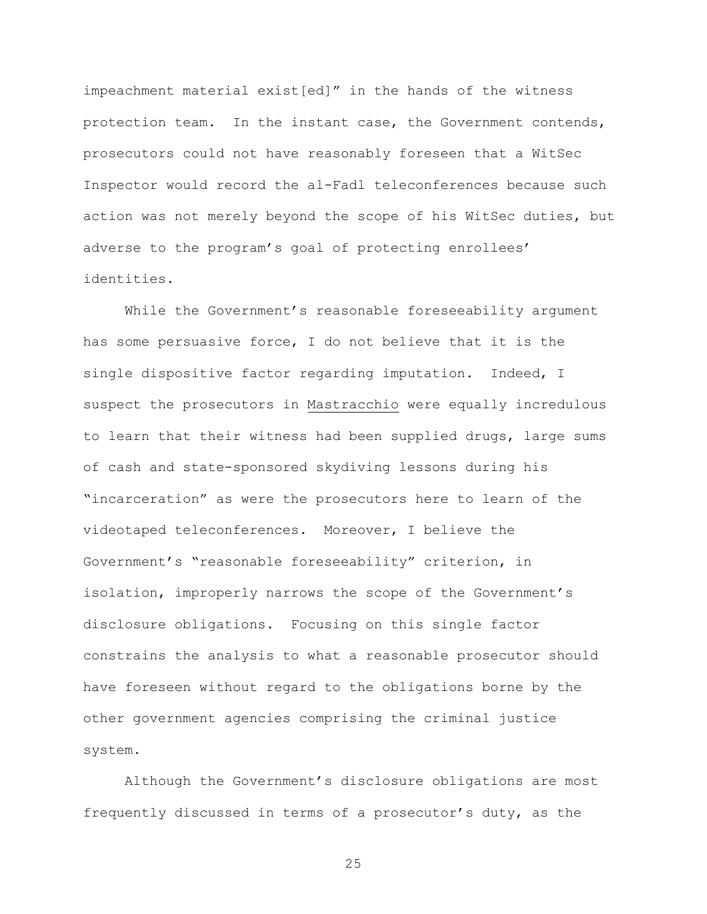impeachment material exist[ed]" in the hands of the witness protection team. In the instant case, the Government contends, prosecutors could not have reasonably foreseen that a WitSec Inspector would record the al-Fadl teleconferences because such action was not merely beyond the scope of his WitSec duties, but adverse to the program's goal of protecting enrollees' identities.

While the Government's reasonable foreseeability argument has some persuasive force, I do not believe that it is the single dispositive factor regarding imputation. Indeed, I suspect the prosecutors in Mastracchio were equally incredulous to learn that their witness had been supplied drugs, large sums of cash and state-sponsored skydiving lessons during his "incarceration" as were the prosecutors here to learn of the videotaped teleconferences. Moreover, I believe the Government's "reasonable foreseeability" criterion, in isolation, improperly narrows the scope of the Government's disclosure obligations. Focusing on this single factor constrains the analysis to what a reasonable prosecutor should have foreseen without regard to the obligations borne by the other government agencies comprising the criminal justice system.

Although the Government's disclosure obligations are most frequently discussed in terms of a prosecutor's duty, as the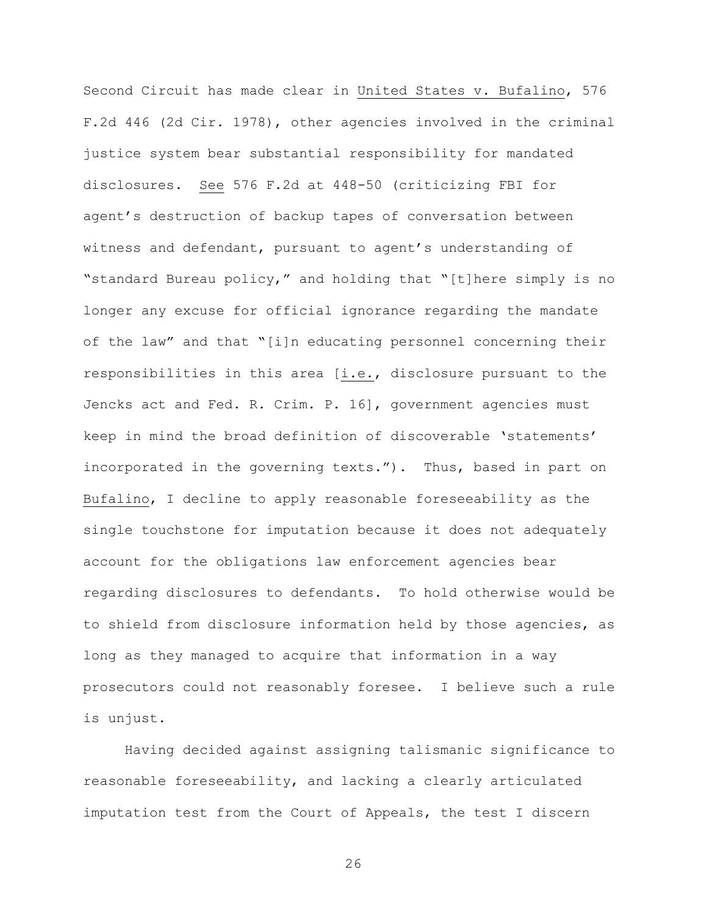Second Circuit has made clear in United States v. Bufalino, 576 F.2d 446 (2d Cir. 1978), other agencies involved in the criminal justice system bear substantial responsibility for mandated disclosures. See 576 F.2d at 448-50 (criticizing FBI for agent's destruction of backup tapes of conversation between witness and defendant, pursuant to agent's understanding of "standard Bureau policy," and holding that "[t]here simply is no longer any excuse for official ignorance regarding the mandate of the law" and that "[i]n educating personnel concerning their responsibilities in this area [i.e., disclosure pursuant to the Jencks act and Fed. R. Crim. P. 16], government agencies must keep in mind the broad definition of discoverable 'statements' incorporated in the governing texts."). Thus, based in part on Bufalino, I decline to apply reasonable foreseeability as the single touchstone for imputation because it does not adequately account for the obligations law enforcement agencies bear regarding disclosures to defendants. To hold otherwise would be to shield from disclosure information held by those agencies, as long as they managed to acquire that information in a way prosecutors could not reasonably foresee. I believe such a rule is unjust.

Having decided against assigning talismanic significance to reasonable foreseeability, and lacking a clearly articulated imputation test from the Court of Appeals, the test I discern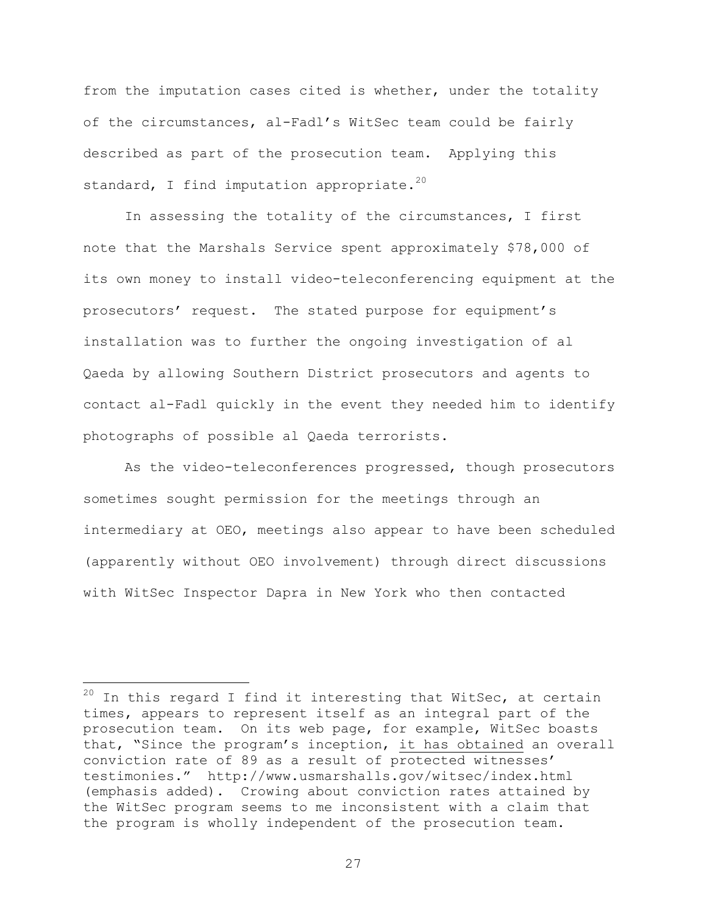from the imputation cases cited is whether, under the totality of the circumstances, al-Fadl's WitSec team could be fairly described as part of the prosecution team. Applying this standard, I find imputation appropriate.<sup>20</sup>

In assessing the totality of the circumstances, I first note that the Marshals Service spent approximately \$78,000 of its own money to install video-teleconferencing equipment at the prosecutors' request. The stated purpose for equipment's installation was to further the ongoing investigation of al Qaeda by allowing Southern District prosecutors and agents to contact al-Fadl quickly in the event they needed him to identify photographs of possible al Qaeda terrorists.

As the video-teleconferences progressed, though prosecutors sometimes sought permission for the meetings through an intermediary at OEO, meetings also appear to have been scheduled (apparently without OEO involvement) through direct discussions with WitSec Inspector Dapra in New York who then contacted

i<br>Li

 $^{20}$  In this regard I find it interesting that WitSec, at certain times, appears to represent itself as an integral part of the prosecution team. On its web page, for example, WitSec boasts that, "Since the program's inception, it has obtained an overall conviction rate of 89 as a result of protected witnesses' testimonies." http://www.usmarshalls.gov/witsec/index.html (emphasis added). Crowing about conviction rates attained by the WitSec program seems to me inconsistent with a claim that the program is wholly independent of the prosecution team.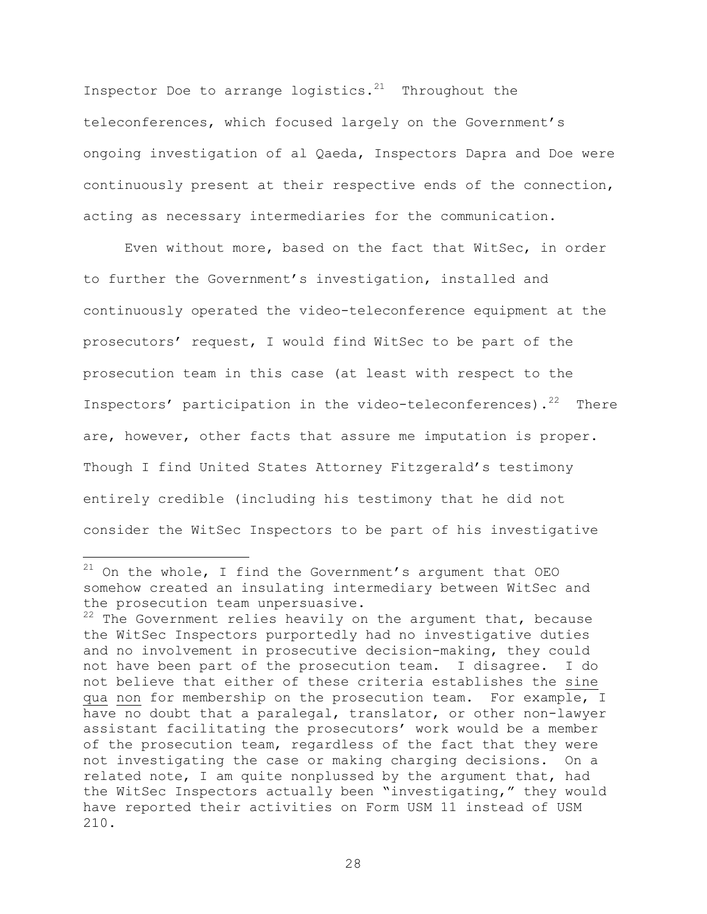Inspector Doe to arrange logistics. $21$  Throughout the teleconferences, which focused largely on the Government's ongoing investigation of al Qaeda, Inspectors Dapra and Doe were continuously present at their respective ends of the connection, acting as necessary intermediaries for the communication.

Even without more, based on the fact that WitSec, in order to further the Government's investigation, installed and continuously operated the video-teleconference equipment at the prosecutors' request, I would find WitSec to be part of the prosecution team in this case (at least with respect to the Inspectors' participation in the video-teleconferences).<sup>22</sup> There are, however, other facts that assure me imputation is proper. Though I find United States Attorney Fitzgerald's testimony entirely credible (including his testimony that he did not consider the WitSec Inspectors to be part of his investigative

 $\overline{\phantom{0}}$ 

 $21$  On the whole, I find the Government's argument that OEO somehow created an insulating intermediary between WitSec and the prosecution team unpersuasive.

 $22$  The Government relies heavily on the argument that, because the WitSec Inspectors purportedly had no investigative duties and no involvement in prosecutive decision-making, they could not have been part of the prosecution team. I disagree. I do not believe that either of these criteria establishes the sine qua non for membership on the prosecution team. For example, I have no doubt that a paralegal, translator, or other non-lawyer assistant facilitating the prosecutors' work would be a member of the prosecution team, regardless of the fact that they were not investigating the case or making charging decisions. On a related note, I am quite nonplussed by the argument that, had the WitSec Inspectors actually been "investigating," they would have reported their activities on Form USM 11 instead of USM 210.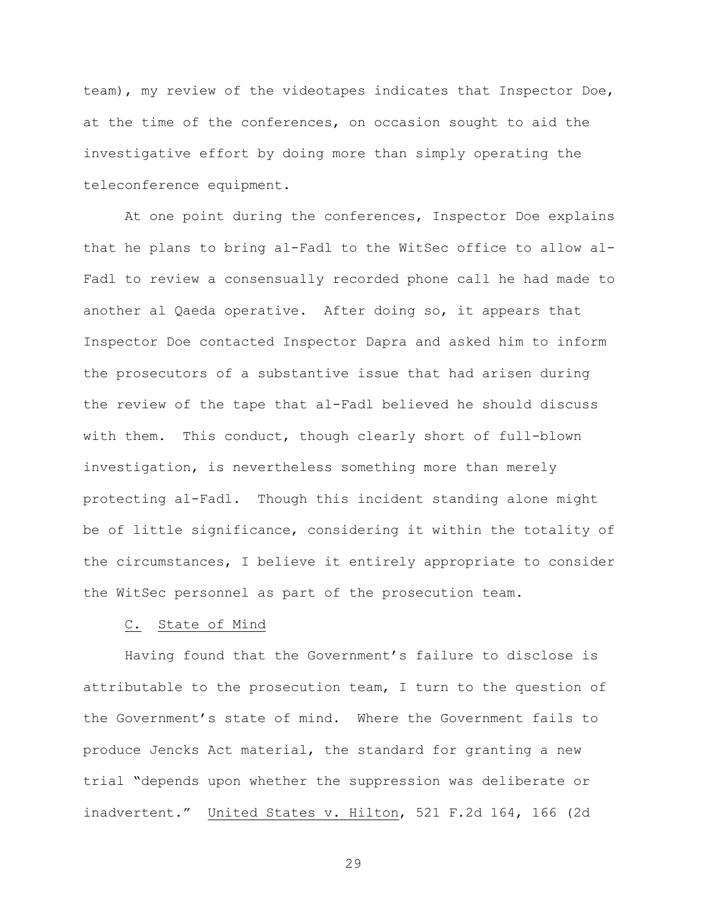team), my review of the videotapes indicates that Inspector Doe, at the time of the conferences, on occasion sought to aid the investigative effort by doing more than simply operating the teleconference equipment.

At one point during the conferences, Inspector Doe explains that he plans to bring al-Fadl to the WitSec office to allow al-Fadl to review a consensually recorded phone call he had made to another al Qaeda operative. After doing so, it appears that Inspector Doe contacted Inspector Dapra and asked him to inform the prosecutors of a substantive issue that had arisen during the review of the tape that al-Fadl believed he should discuss with them. This conduct, though clearly short of full-blown investigation, is nevertheless something more than merely protecting al-Fadl. Though this incident standing alone might be of little significance, considering it within the totality of the circumstances, I believe it entirely appropriate to consider the WitSec personnel as part of the prosecution team.

#### C. State of Mind

Having found that the Government's failure to disclose is attributable to the prosecution team, I turn to the question of the Government's state of mind. Where the Government fails to produce Jencks Act material, the standard for granting a new trial "depends upon whether the suppression was deliberate or inadvertent." United States v. Hilton, 521 F.2d 164, 166 (2d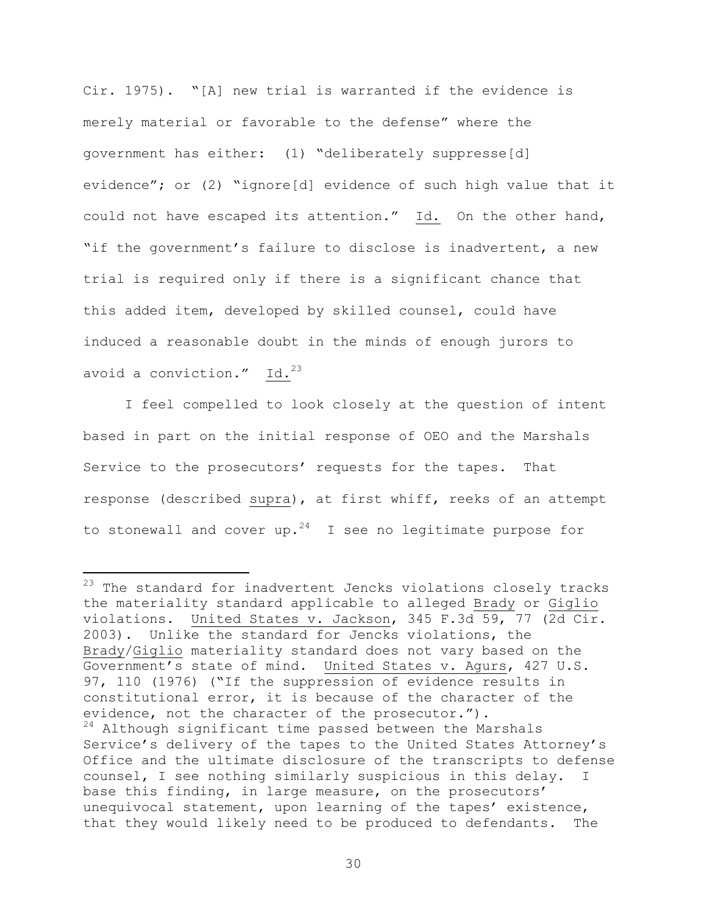Cir. 1975). "[A] new trial is warranted if the evidence is merely material or favorable to the defense" where the government has either: (1) "deliberately suppresse[d] evidence"; or (2) "ignore[d] evidence of such high value that it could not have escaped its attention." Id. On the other hand, "if the government's failure to disclose is inadvertent, a new trial is required only if there is a significant chance that this added item, developed by skilled counsel, could have induced a reasonable doubt in the minds of enough jurors to avoid a conviction."  $Id.^{23}$ 

I feel compelled to look closely at the question of intent based in part on the initial response of OEO and the Marshals Service to the prosecutors' requests for the tapes. That response (described supra), at first whiff, reeks of an attempt to stonewall and cover up.<sup>24</sup> I see no legitimate purpose for

i

 $^{23}$  The standard for inadvertent Jencks violations closely tracks the materiality standard applicable to alleged Brady or Giglio violations. United States v. Jackson, 345 F.3d 59, 77 (2d Cir. 2003). Unlike the standard for Jencks violations, the Brady/Giglio materiality standard does not vary based on the Government's state of mind. United States v. Agurs, 427 U.S. 97, 110 (1976) ("If the suppression of evidence results in constitutional error, it is because of the character of the evidence, not the character of the prosecutor."). <sup>24</sup> Although significant time passed between the Marshals Service's delivery of the tapes to the United States Attorney's Office and the ultimate disclosure of the transcripts to defense counsel, I see nothing similarly suspicious in this delay. I base this finding, in large measure, on the prosecutors' unequivocal statement, upon learning of the tapes' existence, that they would likely need to be produced to defendants. The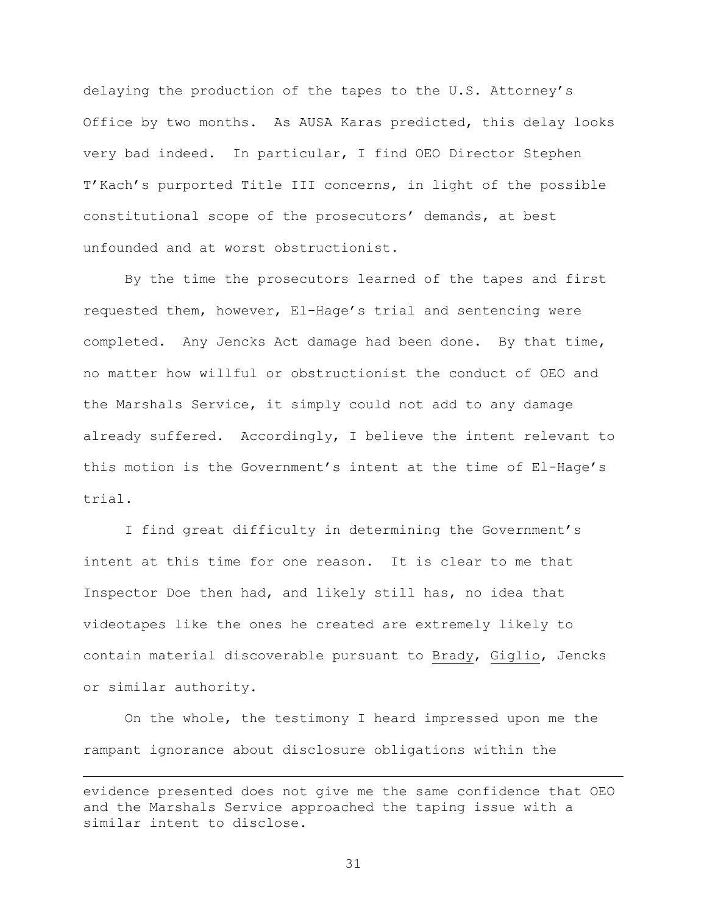delaying the production of the tapes to the U.S. Attorney's Office by two months. As AUSA Karas predicted, this delay looks very bad indeed. In particular, I find OEO Director Stephen T'Kach's purported Title III concerns, in light of the possible constitutional scope of the prosecutors' demands, at best unfounded and at worst obstructionist.

By the time the prosecutors learned of the tapes and first requested them, however, El-Hage's trial and sentencing were completed. Any Jencks Act damage had been done. By that time, no matter how willful or obstructionist the conduct of OEO and the Marshals Service, it simply could not add to any damage already suffered. Accordingly, I believe the intent relevant to this motion is the Government's intent at the time of El-Hage's trial.

I find great difficulty in determining the Government's intent at this time for one reason. It is clear to me that Inspector Doe then had, and likely still has, no idea that videotapes like the ones he created are extremely likely to contain material discoverable pursuant to Brady, Giglio, Jencks or similar authority.

On the whole, the testimony I heard impressed upon me the rampant ignorance about disclosure obligations within the

i

evidence presented does not give me the same confidence that OEO and the Marshals Service approached the taping issue with a similar intent to disclose.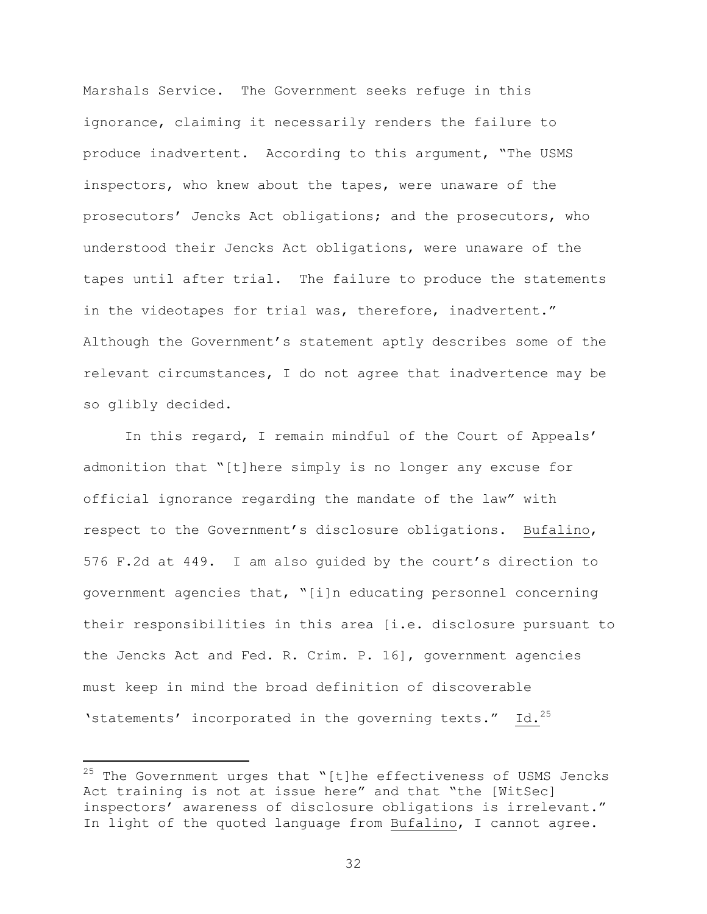Marshals Service. The Government seeks refuge in this ignorance, claiming it necessarily renders the failure to produce inadvertent. According to this argument, "The USMS inspectors, who knew about the tapes, were unaware of the prosecutors' Jencks Act obligations; and the prosecutors, who understood their Jencks Act obligations, were unaware of the tapes until after trial. The failure to produce the statements in the videotapes for trial was, therefore, inadvertent." Although the Government's statement aptly describes some of the relevant circumstances, I do not agree that inadvertence may be so glibly decided.

In this regard, I remain mindful of the Court of Appeals' admonition that "[t]here simply is no longer any excuse for official ignorance regarding the mandate of the law" with respect to the Government's disclosure obligations. Bufalino, 576 F.2d at 449. I am also guided by the court's direction to government agencies that, "[i]n educating personnel concerning their responsibilities in this area [i.e. disclosure pursuant to the Jencks Act and Fed. R. Crim. P. 16], government agencies must keep in mind the broad definition of discoverable 'statements' incorporated in the governing texts." Id.<sup>25</sup>

i

 $25$  The Government urges that "[t]he effectiveness of USMS Jencks Act training is not at issue here" and that "the [WitSec] inspectors' awareness of disclosure obligations is irrelevant." In light of the quoted language from Bufalino, I cannot agree.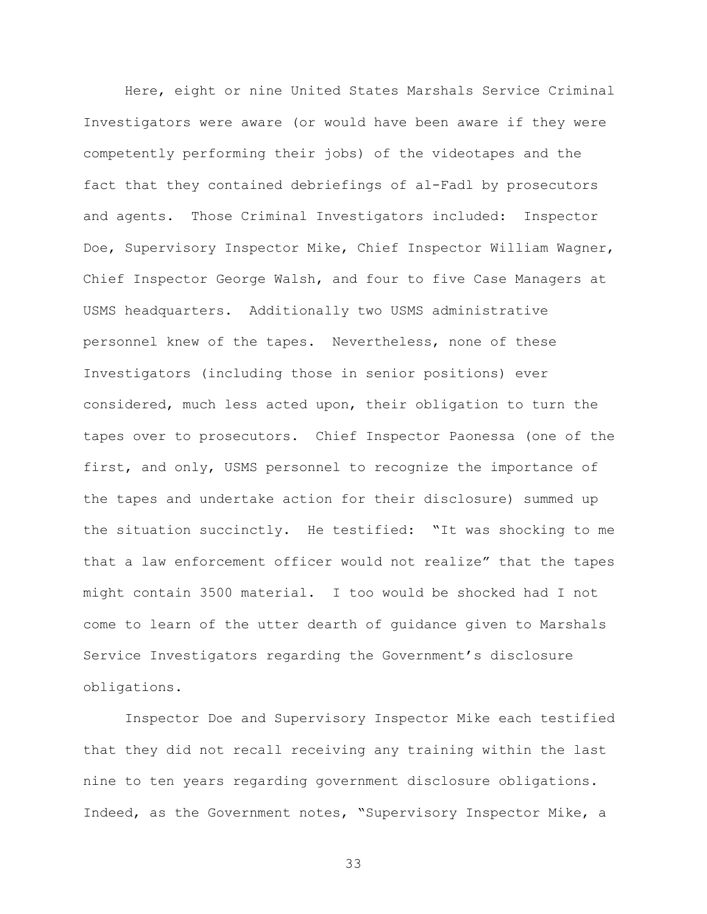Here, eight or nine United States Marshals Service Criminal Investigators were aware (or would have been aware if they were competently performing their jobs) of the videotapes and the fact that they contained debriefings of al-Fadl by prosecutors and agents. Those Criminal Investigators included: Inspector Doe, Supervisory Inspector Mike, Chief Inspector William Wagner, Chief Inspector George Walsh, and four to five Case Managers at USMS headquarters. Additionally two USMS administrative personnel knew of the tapes. Nevertheless, none of these Investigators (including those in senior positions) ever considered, much less acted upon, their obligation to turn the tapes over to prosecutors. Chief Inspector Paonessa (one of the first, and only, USMS personnel to recognize the importance of the tapes and undertake action for their disclosure) summed up the situation succinctly. He testified: "It was shocking to me that a law enforcement officer would not realize" that the tapes might contain 3500 material. I too would be shocked had I not come to learn of the utter dearth of guidance given to Marshals Service Investigators regarding the Government's disclosure obligations.

Inspector Doe and Supervisory Inspector Mike each testified that they did not recall receiving any training within the last nine to ten years regarding government disclosure obligations. Indeed, as the Government notes, "Supervisory Inspector Mike, a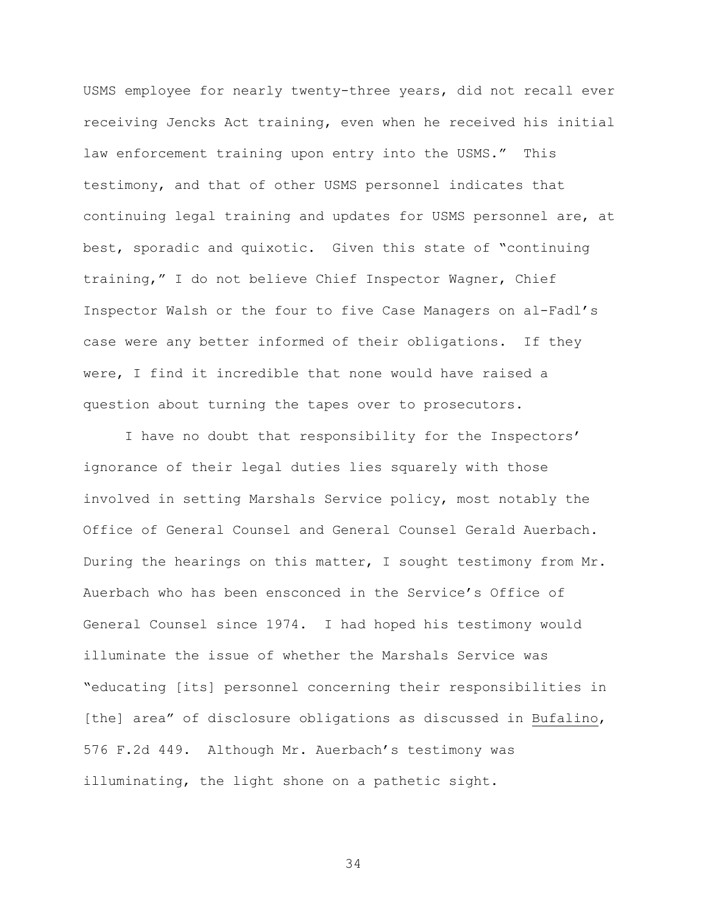USMS employee for nearly twenty-three years, did not recall ever receiving Jencks Act training, even when he received his initial law enforcement training upon entry into the USMS." This testimony, and that of other USMS personnel indicates that continuing legal training and updates for USMS personnel are, at best, sporadic and quixotic. Given this state of "continuing training," I do not believe Chief Inspector Wagner, Chief Inspector Walsh or the four to five Case Managers on al-Fadl's case were any better informed of their obligations. If they were, I find it incredible that none would have raised a question about turning the tapes over to prosecutors.

I have no doubt that responsibility for the Inspectors' ignorance of their legal duties lies squarely with those involved in setting Marshals Service policy, most notably the Office of General Counsel and General Counsel Gerald Auerbach. During the hearings on this matter, I sought testimony from Mr. Auerbach who has been ensconced in the Service's Office of General Counsel since 1974. I had hoped his testimony would illuminate the issue of whether the Marshals Service was "educating [its] personnel concerning their responsibilities in [the] area" of disclosure obligations as discussed in Bufalino, 576 F.2d 449. Although Mr. Auerbach's testimony was illuminating, the light shone on a pathetic sight.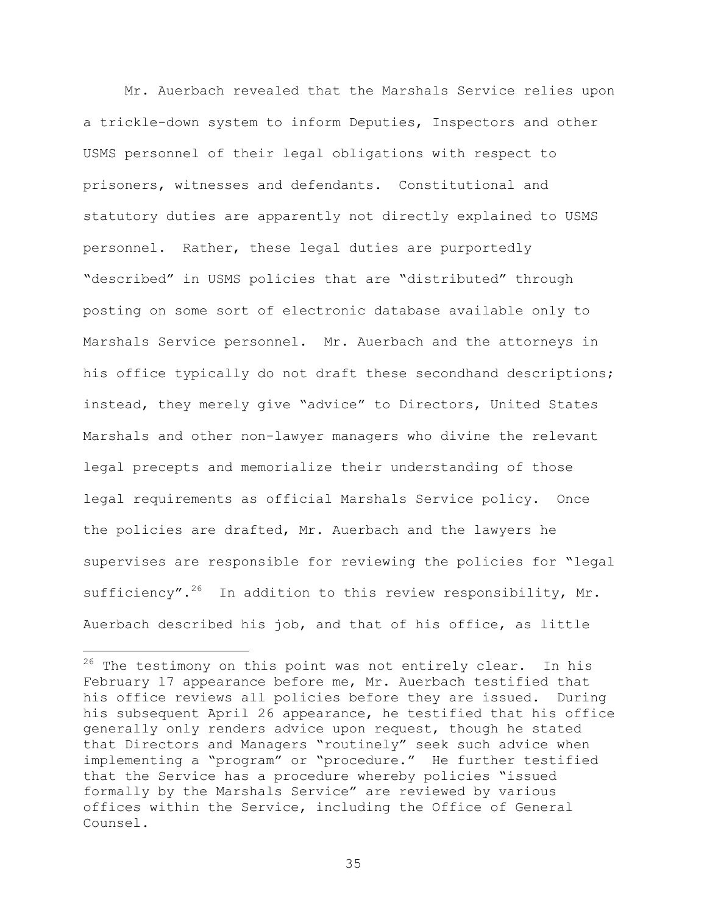Mr. Auerbach revealed that the Marshals Service relies upon a trickle-down system to inform Deputies, Inspectors and other USMS personnel of their legal obligations with respect to prisoners, witnesses and defendants. Constitutional and statutory duties are apparently not directly explained to USMS personnel. Rather, these legal duties are purportedly "described" in USMS policies that are "distributed" through posting on some sort of electronic database available only to Marshals Service personnel. Mr. Auerbach and the attorneys in his office typically do not draft these secondhand descriptions; instead, they merely give "advice" to Directors, United States Marshals and other non-lawyer managers who divine the relevant legal precepts and memorialize their understanding of those legal requirements as official Marshals Service policy. Once the policies are drafted, Mr. Auerbach and the lawyers he supervises are responsible for reviewing the policies for "legal sufficiency".<sup>26</sup> In addition to this review responsibility, Mr. Auerbach described his job, and that of his office, as little

 $\overline{\phantom{0}}$ 

 $26$  The testimony on this point was not entirely clear. In his February 17 appearance before me, Mr. Auerbach testified that his office reviews all policies before they are issued. During his subsequent April 26 appearance, he testified that his office generally only renders advice upon request, though he stated that Directors and Managers "routinely" seek such advice when implementing a "program" or "procedure." He further testified that the Service has a procedure whereby policies "issued formally by the Marshals Service" are reviewed by various offices within the Service, including the Office of General Counsel.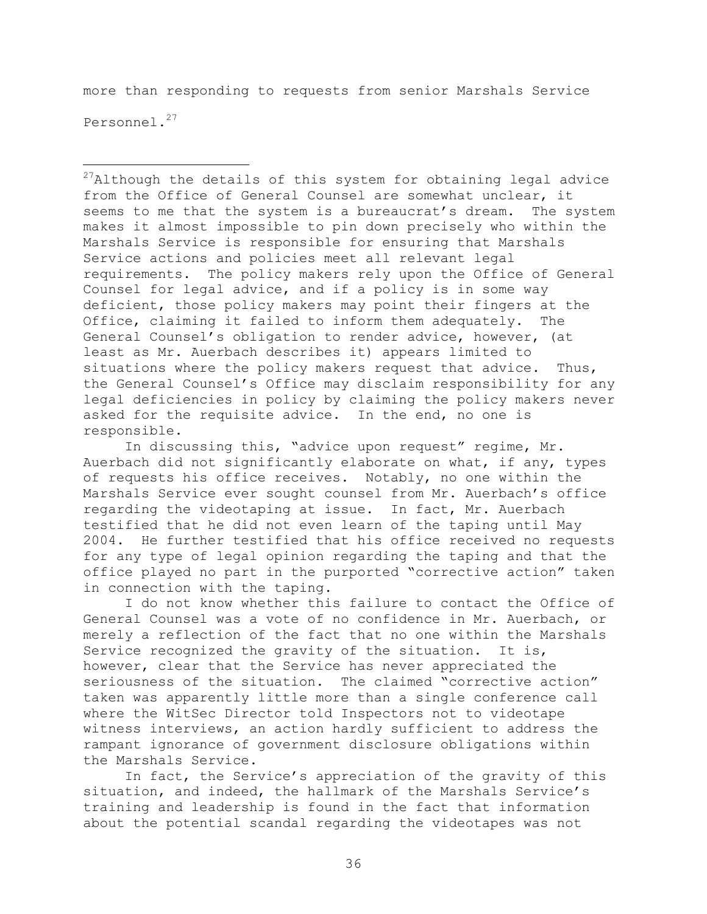more than responding to requests from senior Marshals Service Personnel.<sup>27</sup>

i<br>Li

 $27$ Although the details of this system for obtaining legal advice from the Office of General Counsel are somewhat unclear, it seems to me that the system is a bureaucrat's dream. The system makes it almost impossible to pin down precisely who within the Marshals Service is responsible for ensuring that Marshals Service actions and policies meet all relevant legal requirements. The policy makers rely upon the Office of General Counsel for legal advice, and if a policy is in some way deficient, those policy makers may point their fingers at the Office, claiming it failed to inform them adequately. The General Counsel's obligation to render advice, however, (at least as Mr. Auerbach describes it) appears limited to situations where the policy makers request that advice. Thus, the General Counsel's Office may disclaim responsibility for any legal deficiencies in policy by claiming the policy makers never asked for the requisite advice. In the end, no one is responsible.

In discussing this, "advice upon request" regime, Mr. Auerbach did not significantly elaborate on what, if any, types of requests his office receives. Notably, no one within the Marshals Service ever sought counsel from Mr. Auerbach's office regarding the videotaping at issue. In fact, Mr. Auerbach testified that he did not even learn of the taping until May 2004. He further testified that his office received no requests for any type of legal opinion regarding the taping and that the office played no part in the purported "corrective action" taken in connection with the taping.

I do not know whether this failure to contact the Office of General Counsel was a vote of no confidence in Mr. Auerbach, or merely a reflection of the fact that no one within the Marshals Service recognized the gravity of the situation. It is, however, clear that the Service has never appreciated the seriousness of the situation. The claimed "corrective action" taken was apparently little more than a single conference call where the WitSec Director told Inspectors not to videotape witness interviews, an action hardly sufficient to address the rampant ignorance of government disclosure obligations within the Marshals Service.

In fact, the Service's appreciation of the gravity of this situation, and indeed, the hallmark of the Marshals Service's training and leadership is found in the fact that information about the potential scandal regarding the videotapes was not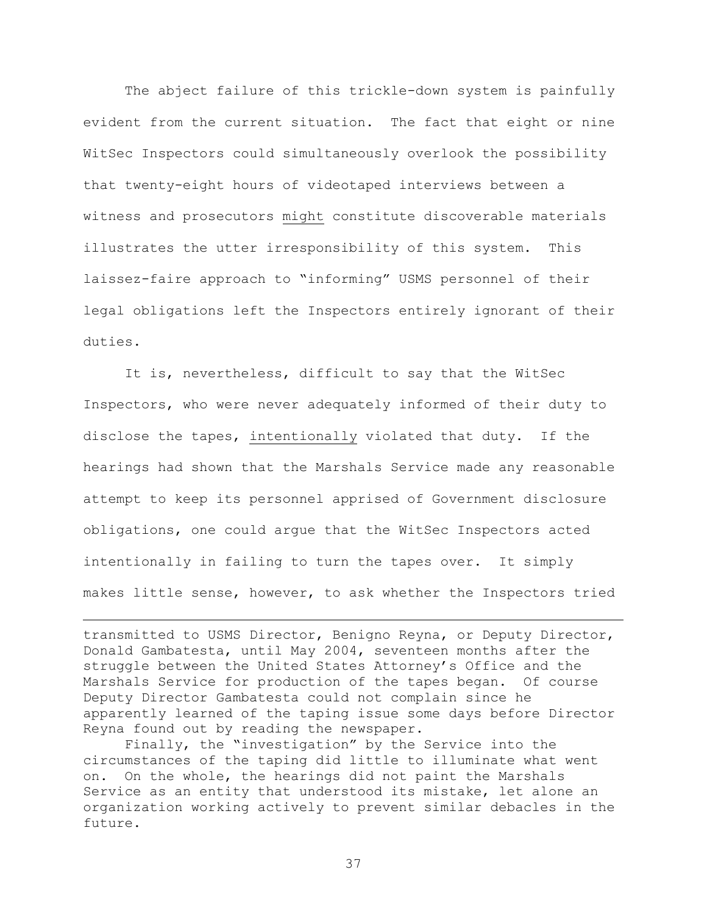The abject failure of this trickle-down system is painfully evident from the current situation. The fact that eight or nine WitSec Inspectors could simultaneously overlook the possibility that twenty-eight hours of videotaped interviews between a witness and prosecutors might constitute discoverable materials illustrates the utter irresponsibility of this system. This laissez-faire approach to "informing" USMS personnel of their legal obligations left the Inspectors entirely ignorant of their duties.

It is, nevertheless, difficult to say that the WitSec Inspectors, who were never adequately informed of their duty to disclose the tapes, intentionally violated that duty. If the hearings had shown that the Marshals Service made any reasonable attempt to keep its personnel apprised of Government disclosure obligations, one could argue that the WitSec Inspectors acted intentionally in failing to turn the tapes over. It simply makes little sense, however, to ask whether the Inspectors tried

transmitted to USMS Director, Benigno Reyna, or Deputy Director, Donald Gambatesta, until May 2004, seventeen months after the struggle between the United States Attorney's Office and the Marshals Service for production of the tapes began. Of course Deputy Director Gambatesta could not complain since he apparently learned of the taping issue some days before Director Reyna found out by reading the newspaper.

i<br>Li

Finally, the "investigation" by the Service into the circumstances of the taping did little to illuminate what went on. On the whole, the hearings did not paint the Marshals Service as an entity that understood its mistake, let alone an organization working actively to prevent similar debacles in the future.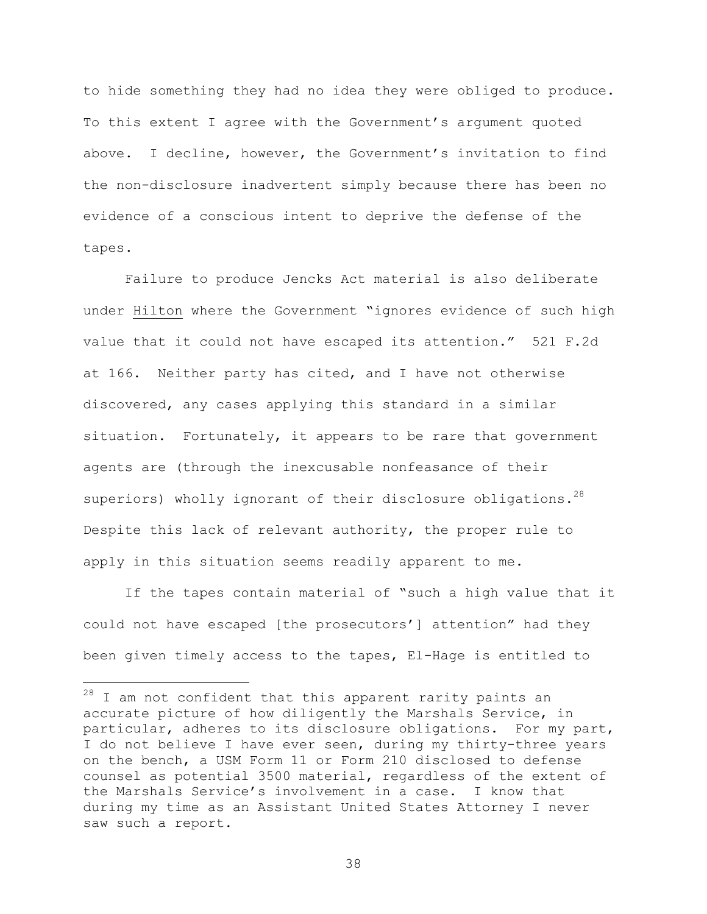to hide something they had no idea they were obliged to produce. To this extent I agree with the Government's argument quoted above. I decline, however, the Government's invitation to find the non-disclosure inadvertent simply because there has been no evidence of a conscious intent to deprive the defense of the tapes.

Failure to produce Jencks Act material is also deliberate under Hilton where the Government "ignores evidence of such high value that it could not have escaped its attention." 521 F.2d at 166. Neither party has cited, and I have not otherwise discovered, any cases applying this standard in a similar situation. Fortunately, it appears to be rare that government agents are (through the inexcusable nonfeasance of their superiors) wholly ignorant of their disclosure obligations.<sup>28</sup> Despite this lack of relevant authority, the proper rule to apply in this situation seems readily apparent to me.

If the tapes contain material of "such a high value that it could not have escaped [the prosecutors'] attention" had they been given timely access to the tapes, El-Hage is entitled to

 $\overline{\phantom{0}}$ 

 $^{28}$  I am not confident that this apparent rarity paints an accurate picture of how diligently the Marshals Service, in particular, adheres to its disclosure obligations. For my part, I do not believe I have ever seen, during my thirty-three years on the bench, a USM Form 11 or Form 210 disclosed to defense counsel as potential 3500 material, regardless of the extent of the Marshals Service's involvement in a case. I know that during my time as an Assistant United States Attorney I never saw such a report.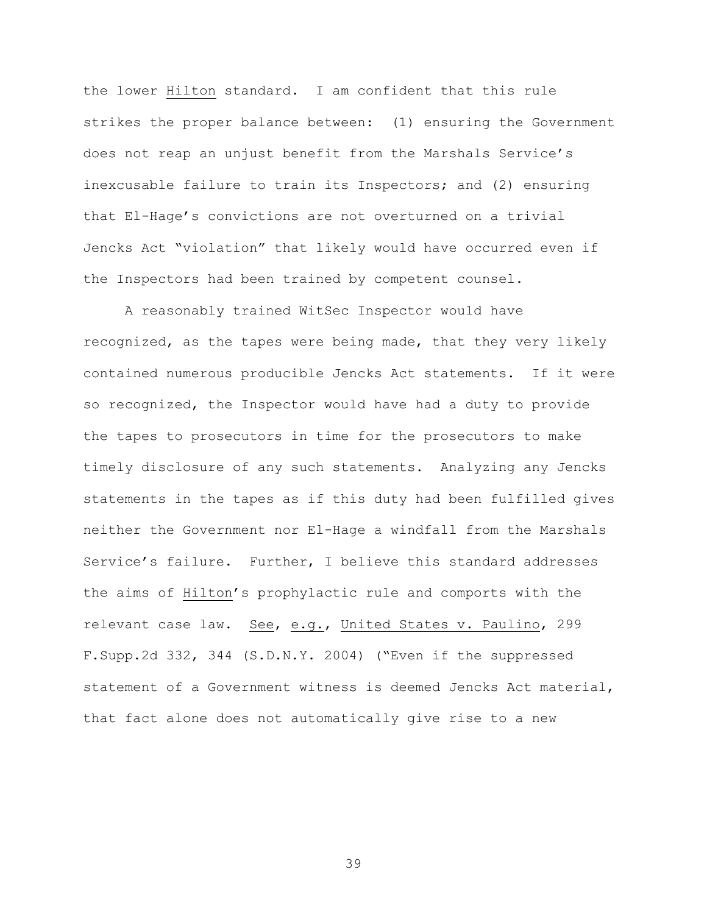the lower Hilton standard. I am confident that this rule strikes the proper balance between: (1) ensuring the Government does not reap an unjust benefit from the Marshals Service's inexcusable failure to train its Inspectors; and (2) ensuring that El-Hage's convictions are not overturned on a trivial Jencks Act "violation" that likely would have occurred even if the Inspectors had been trained by competent counsel.

A reasonably trained WitSec Inspector would have recognized, as the tapes were being made, that they very likely contained numerous producible Jencks Act statements. If it were so recognized, the Inspector would have had a duty to provide the tapes to prosecutors in time for the prosecutors to make timely disclosure of any such statements. Analyzing any Jencks statements in the tapes as if this duty had been fulfilled gives neither the Government nor El-Hage a windfall from the Marshals Service's failure. Further, I believe this standard addresses the aims of Hilton's prophylactic rule and comports with the relevant case law. See, e.g., United States v. Paulino, 299 F.Supp.2d 332, 344 (S.D.N.Y. 2004) ("Even if the suppressed statement of a Government witness is deemed Jencks Act material, that fact alone does not automatically give rise to a new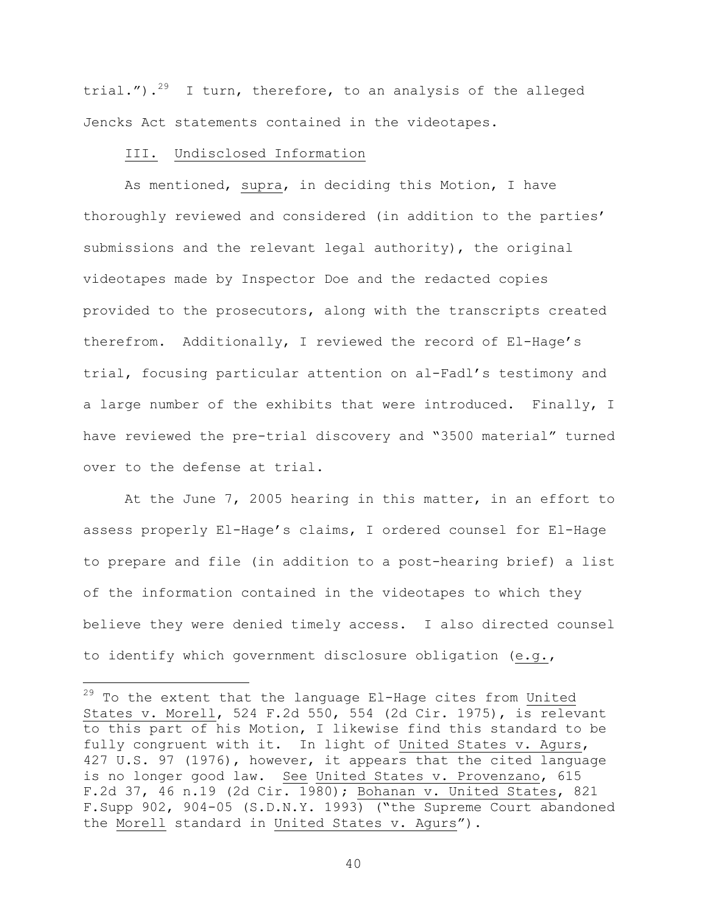trial.").<sup>29</sup> I turn, therefore, to an analysis of the alleged Jencks Act statements contained in the videotapes.

#### III. Undisclosed Information

i<br>Li

As mentioned, supra, in deciding this Motion, I have thoroughly reviewed and considered (in addition to the parties' submissions and the relevant legal authority), the original videotapes made by Inspector Doe and the redacted copies provided to the prosecutors, along with the transcripts created therefrom. Additionally, I reviewed the record of El-Hage's trial, focusing particular attention on al-Fadl's testimony and a large number of the exhibits that were introduced. Finally, I have reviewed the pre-trial discovery and "3500 material" turned over to the defense at trial.

At the June 7, 2005 hearing in this matter, in an effort to assess properly El-Hage's claims, I ordered counsel for El-Hage to prepare and file (in addition to a post-hearing brief) a list of the information contained in the videotapes to which they believe they were denied timely access. I also directed counsel to identify which government disclosure obligation (e.g.,

 $^{29}$  To the extent that the language El-Hage cites from United States v. Morell, 524 F.2d 550, 554 (2d Cir. 1975), is relevant to this part of his Motion, I likewise find this standard to be fully congruent with it. In light of United States v. Agurs, 427 U.S. 97 (1976), however, it appears that the cited language is no longer good law. See United States v. Provenzano, 615 F.2d 37, 46 n.19 (2d Cir. 1980); Bohanan v. United States, 821 F.Supp 902, 904-05 (S.D.N.Y. 1993) ("the Supreme Court abandoned the Morell standard in United States v. Agurs").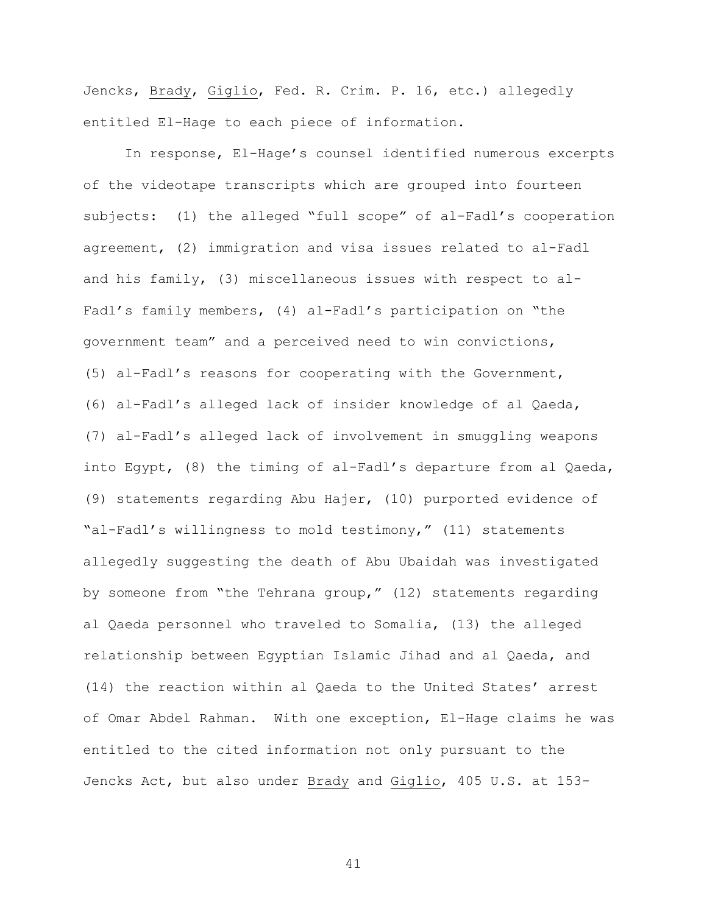Jencks, Brady, Giglio, Fed. R. Crim. P. 16, etc.) allegedly entitled El-Hage to each piece of information.

In response, El-Hage's counsel identified numerous excerpts of the videotape transcripts which are grouped into fourteen subjects: (1) the alleged "full scope" of al-Fadl's cooperation agreement, (2) immigration and visa issues related to al-Fadl and his family, (3) miscellaneous issues with respect to al-Fadl's family members, (4) al-Fadl's participation on "the government team" and a perceived need to win convictions, (5) al-Fadl's reasons for cooperating with the Government, (6) al-Fadl's alleged lack of insider knowledge of al Qaeda, (7) al-Fadl's alleged lack of involvement in smuggling weapons into Egypt, (8) the timing of al-Fadl's departure from al Qaeda, (9) statements regarding Abu Hajer, (10) purported evidence of "al-Fadl's willingness to mold testimony," (11) statements allegedly suggesting the death of Abu Ubaidah was investigated by someone from "the Tehrana group," (12) statements regarding al Qaeda personnel who traveled to Somalia, (13) the alleged relationship between Egyptian Islamic Jihad and al Qaeda, and (14) the reaction within al Qaeda to the United States' arrest of Omar Abdel Rahman. With one exception, El-Hage claims he was entitled to the cited information not only pursuant to the Jencks Act, but also under Brady and Giglio, 405 U.S. at 153-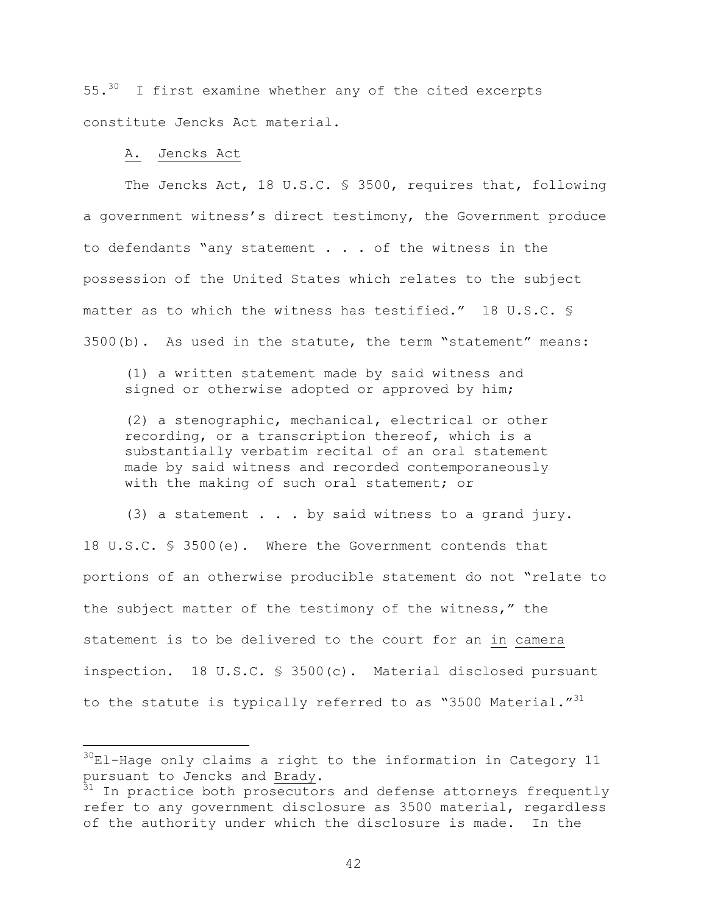55.<sup>30</sup> I first examine whether any of the cited excerpts constitute Jencks Act material.

### A. Jencks Act

 $\overline{\phantom{0}}$ 

The Jencks Act, 18 U.S.C. § 3500, requires that, following a government witness's direct testimony, the Government produce to defendants "any statement . . . of the witness in the possession of the United States which relates to the subject matter as to which the witness has testified." 18 U.S.C. § 3500(b). As used in the statute, the term "statement" means:

(1) a written statement made by said witness and signed or otherwise adopted or approved by him;

(2) a stenographic, mechanical, electrical or other recording, or a transcription thereof, which is a substantially verbatim recital of an oral statement made by said witness and recorded contemporaneously with the making of such oral statement; or

(3) a statement . . . by said witness to a grand jury. 18 U.S.C. § 3500(e). Where the Government contends that portions of an otherwise producible statement do not "relate to the subject matter of the testimony of the witness," the statement is to be delivered to the court for an in camera inspection. 18 U.S.C. § 3500(c). Material disclosed pursuant to the statute is typically referred to as "3500 Material."<sup>31</sup>

 $30$ El-Hage only claims a right to the information in Category 11 pursuant to Jencks and Brady.<br><sup>31</sup> In practice both prosecutors and defense attorneys frequently

refer to any government disclosure as 3500 material, regardless of the authority under which the disclosure is made. In the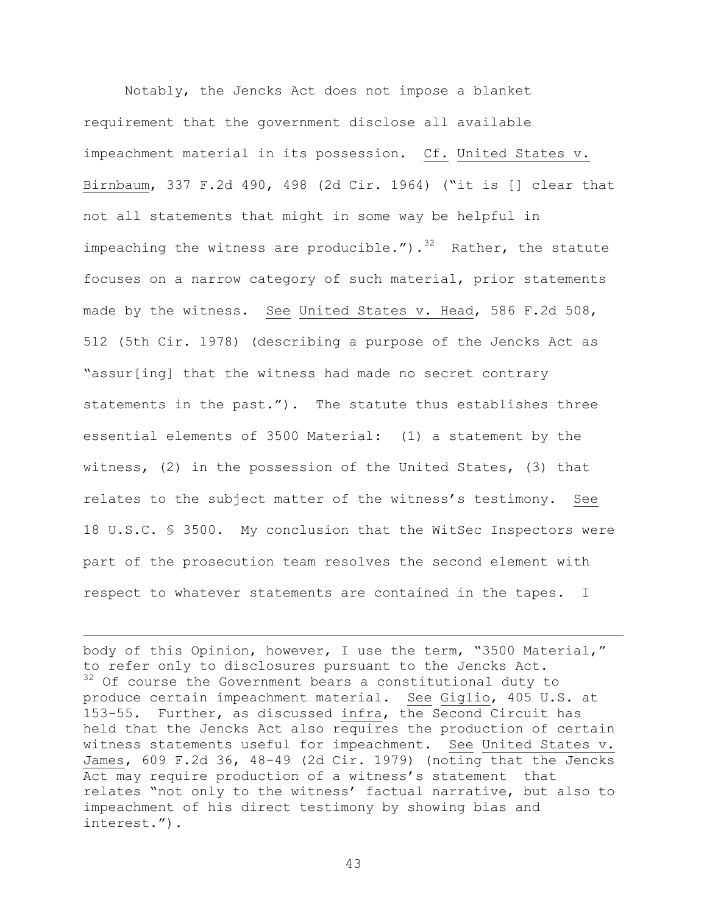Notably, the Jencks Act does not impose a blanket requirement that the government disclose all available impeachment material in its possession. Cf. United States v. Birnbaum, 337 F.2d 490, 498 (2d Cir. 1964) ("it is [] clear that not all statements that might in some way be helpful in impeaching the witness are producible.").<sup>32</sup> Rather, the statute focuses on a narrow category of such material, prior statements made by the witness. See United States v. Head, 586 F.2d 508, 512 (5th Cir. 1978) (describing a purpose of the Jencks Act as "assur[ing] that the witness had made no secret contrary statements in the past."). The statute thus establishes three essential elements of 3500 Material: (1) a statement by the witness, (2) in the possession of the United States, (3) that relates to the subject matter of the witness's testimony. See 18 U.S.C. § 3500. My conclusion that the WitSec Inspectors were part of the prosecution team resolves the second element with respect to whatever statements are contained in the tapes. I

body of this Opinion, however, I use the term, "3500 Material," to refer only to disclosures pursuant to the Jencks Act.  $32$  Of course the Government bears a constitutional duty to produce certain impeachment material. See Giglio, 405 U.S. at 153-55. Further, as discussed infra, the Second Circuit has held that the Jencks Act also requires the production of certain witness statements useful for impeachment. See United States v. James, 609 F.2d 36, 48-49 (2d Cir. 1979) (noting that the Jencks Act may require production of a witness's statement that relates "not only to the witness' factual narrative, but also to impeachment of his direct testimony by showing bias and interest.").

i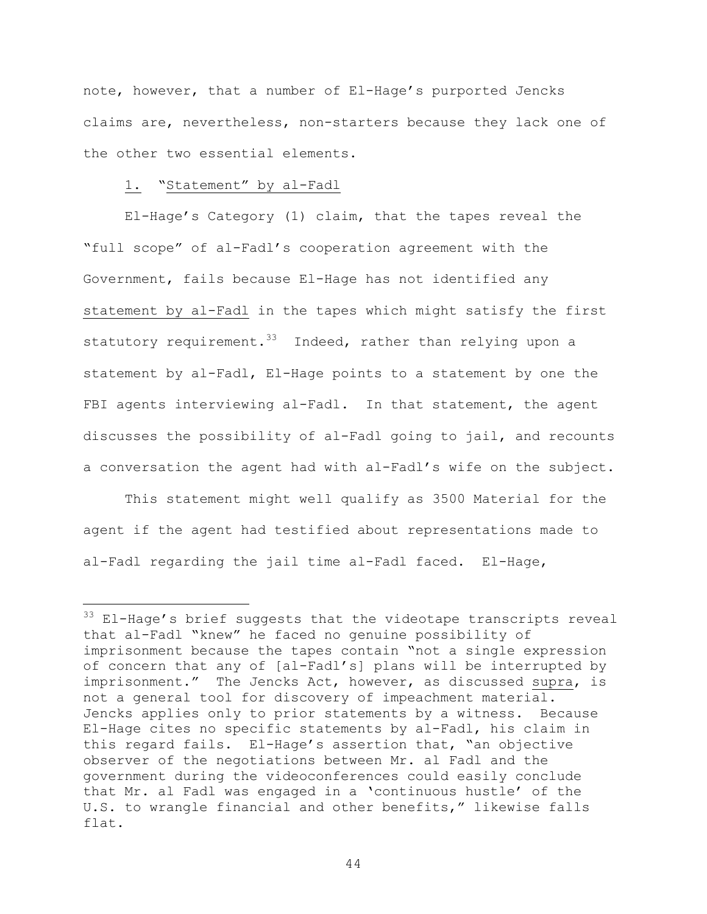note, however, that a number of El-Hage's purported Jencks claims are, nevertheless, non-starters because they lack one of the other two essential elements.

# 1. "Statement" by al-Fadl

i<br>Li

 El-Hage's Category (1) claim, that the tapes reveal the "full scope" of al-Fadl's cooperation agreement with the Government, fails because El-Hage has not identified any statement by al-Fadl in the tapes which might satisfy the first statutory requirement.<sup>33</sup> Indeed, rather than relying upon a statement by al-Fadl, El-Hage points to a statement by one the FBI agents interviewing al-Fadl. In that statement, the agent discusses the possibility of al-Fadl going to jail, and recounts a conversation the agent had with al-Fadl's wife on the subject.

This statement might well qualify as 3500 Material for the agent if the agent had testified about representations made to al-Fadl regarding the jail time al-Fadl faced. El-Hage,

 $33$  El-Hage's brief suggests that the videotape transcripts reveal that al-Fadl "knew" he faced no genuine possibility of imprisonment because the tapes contain "not a single expression of concern that any of [al-Fadl's] plans will be interrupted by imprisonment." The Jencks Act, however, as discussed supra, is not a general tool for discovery of impeachment material. Jencks applies only to prior statements by a witness. Because El-Hage cites no specific statements by al-Fadl, his claim in this regard fails. El-Hage's assertion that, "an objective observer of the negotiations between Mr. al Fadl and the government during the videoconferences could easily conclude that Mr. al Fadl was engaged in a 'continuous hustle' of the U.S. to wrangle financial and other benefits," likewise falls flat.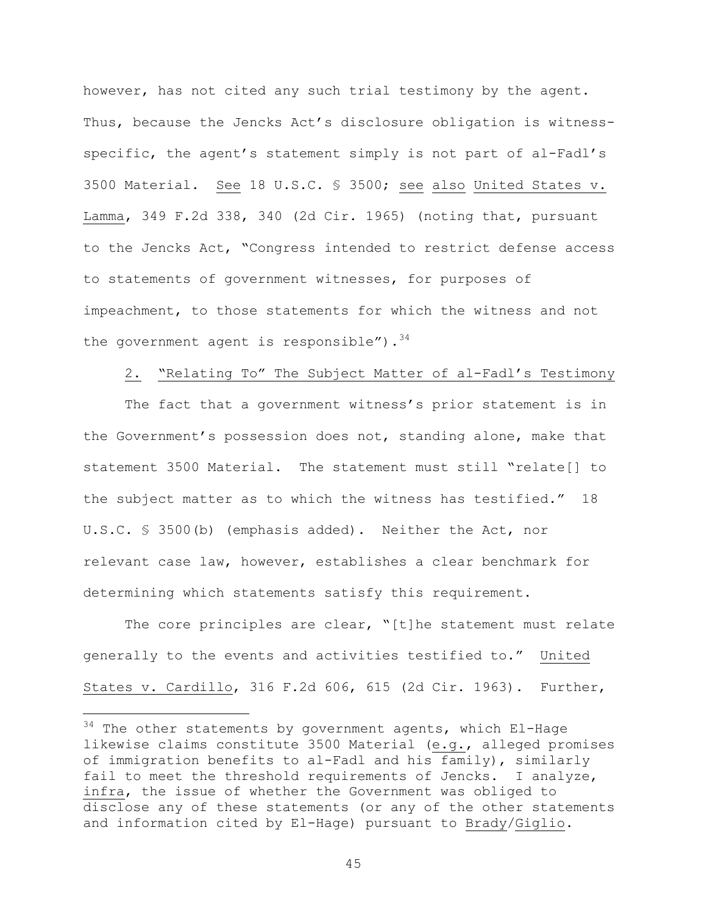however, has not cited any such trial testimony by the agent. Thus, because the Jencks Act's disclosure obligation is witnessspecific, the agent's statement simply is not part of al-Fadl's 3500 Material. See 18 U.S.C. § 3500; see also United States v. Lamma, 349 F.2d 338, 340 (2d Cir. 1965) (noting that, pursuant to the Jencks Act, "Congress intended to restrict defense access to statements of government witnesses, for purposes of impeachment, to those statements for which the witness and not the government agent is responsible").  $34$ 

### 2. "Relating To" The Subject Matter of al-Fadl's Testimony

The fact that a government witness's prior statement is in the Government's possession does not, standing alone, make that statement 3500 Material. The statement must still "relate[] to the subject matter as to which the witness has testified." 18 U.S.C. § 3500(b) (emphasis added). Neither the Act, nor relevant case law, however, establishes a clear benchmark for determining which statements satisfy this requirement.

The core principles are clear, "[t]he statement must relate generally to the events and activities testified to." United States v. Cardillo, 316 F.2d 606, 615 (2d Cir. 1963). Further,

i

 $34$  The other statements by government agents, which El-Hage likewise claims constitute 3500 Material (e.g., alleged promises of immigration benefits to al-Fadl and his family), similarly fail to meet the threshold requirements of Jencks. I analyze, infra, the issue of whether the Government was obliged to disclose any of these statements (or any of the other statements and information cited by El-Hage) pursuant to Brady/Giglio.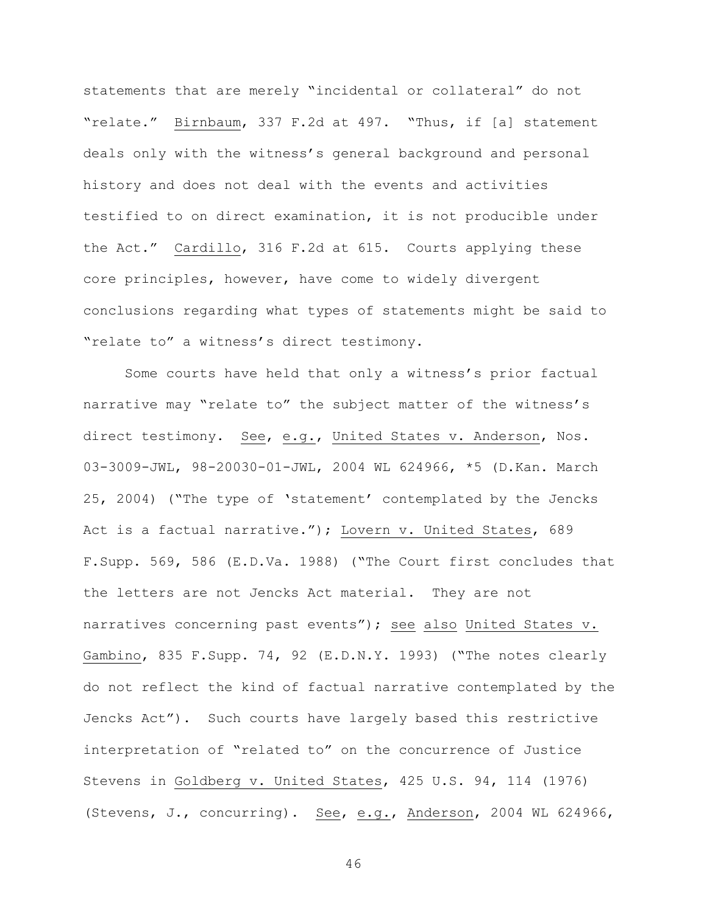statements that are merely "incidental or collateral" do not "relate." Birnbaum, 337 F.2d at 497. "Thus, if [a] statement deals only with the witness's general background and personal history and does not deal with the events and activities testified to on direct examination, it is not producible under the Act." Cardillo, 316 F.2d at 615. Courts applying these core principles, however, have come to widely divergent conclusions regarding what types of statements might be said to "relate to" a witness's direct testimony.

Some courts have held that only a witness's prior factual narrative may "relate to" the subject matter of the witness's direct testimony. See, e.g., United States v. Anderson, Nos. 03-3009-JWL, 98-20030-01-JWL, 2004 WL 624966, \*5 (D.Kan. March 25, 2004) ("The type of 'statement' contemplated by the Jencks Act is a factual narrative."); Lovern v. United States, 689 F.Supp. 569, 586 (E.D.Va. 1988) ("The Court first concludes that the letters are not Jencks Act material. They are not narratives concerning past events"); see also United States v. Gambino, 835 F.Supp. 74, 92 (E.D.N.Y. 1993) ("The notes clearly do not reflect the kind of factual narrative contemplated by the Jencks Act"). Such courts have largely based this restrictive interpretation of "related to" on the concurrence of Justice Stevens in Goldberg v. United States, 425 U.S. 94, 114 (1976) (Stevens, J., concurring). See, e.g., Anderson, 2004 WL 624966,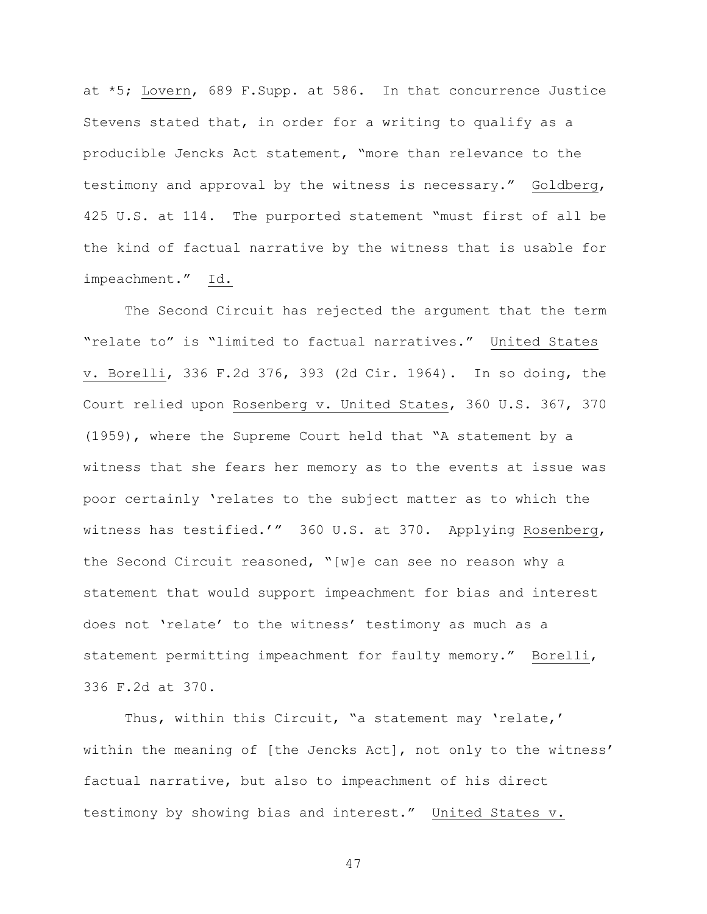at \*5; Lovern, 689 F.Supp. at 586. In that concurrence Justice Stevens stated that, in order for a writing to qualify as a producible Jencks Act statement, "more than relevance to the testimony and approval by the witness is necessary." Goldberg, 425 U.S. at 114. The purported statement "must first of all be the kind of factual narrative by the witness that is usable for impeachment." Id.

The Second Circuit has rejected the argument that the term "relate to" is "limited to factual narratives." United States v. Borelli, 336 F.2d 376, 393 (2d Cir. 1964). In so doing, the Court relied upon Rosenberg v. United States, 360 U.S. 367, 370 (1959), where the Supreme Court held that "A statement by a witness that she fears her memory as to the events at issue was poor certainly 'relates to the subject matter as to which the witness has testified.'" 360 U.S. at 370. Applying Rosenberg, the Second Circuit reasoned, "[w]e can see no reason why a statement that would support impeachment for bias and interest does not 'relate' to the witness' testimony as much as a statement permitting impeachment for faulty memory." Borelli, 336 F.2d at 370.

Thus, within this Circuit, "a statement may 'relate,' within the meaning of [the Jencks Act], not only to the witness' factual narrative, but also to impeachment of his direct testimony by showing bias and interest." United States v.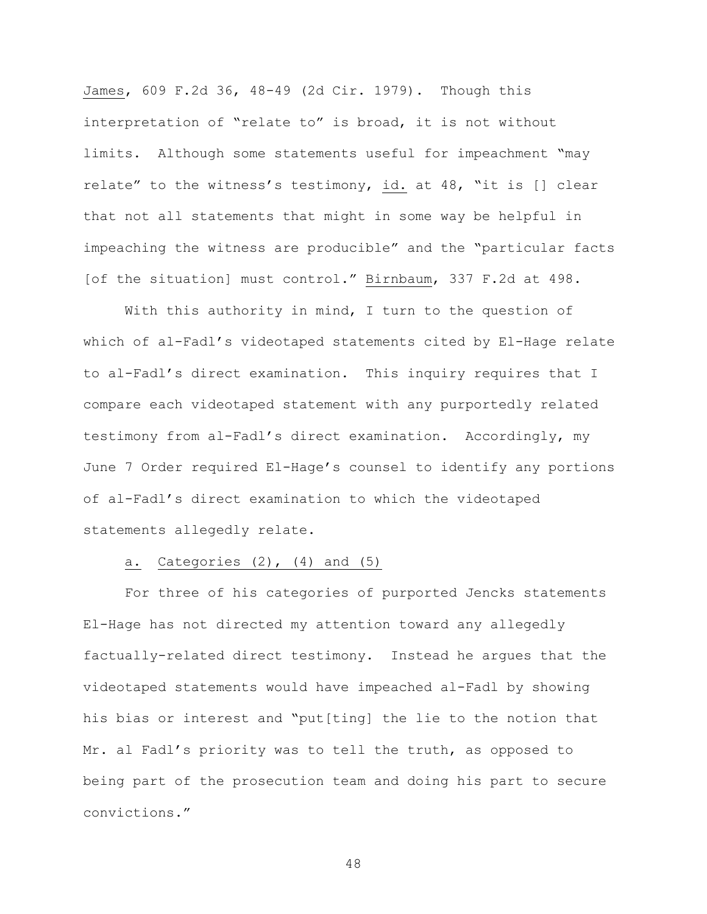James, 609 F.2d 36, 48-49 (2d Cir. 1979). Though this interpretation of "relate to" is broad, it is not without limits. Although some statements useful for impeachment "may relate" to the witness's testimony, id. at 48, "it is [] clear that not all statements that might in some way be helpful in impeaching the witness are producible" and the "particular facts [of the situation] must control." Birnbaum, 337 F.2d at 498.

With this authority in mind, I turn to the question of which of al-Fadl's videotaped statements cited by El-Hage relate to al-Fadl's direct examination. This inquiry requires that I compare each videotaped statement with any purportedly related testimony from al-Fadl's direct examination. Accordingly, my June 7 Order required El-Hage's counsel to identify any portions of al-Fadl's direct examination to which the videotaped statements allegedly relate.

### a. Categories  $(2)$ ,  $(4)$  and  $(5)$

For three of his categories of purported Jencks statements El-Hage has not directed my attention toward any allegedly factually-related direct testimony. Instead he argues that the videotaped statements would have impeached al-Fadl by showing his bias or interest and "put[ting] the lie to the notion that Mr. al Fadl's priority was to tell the truth, as opposed to being part of the prosecution team and doing his part to secure convictions."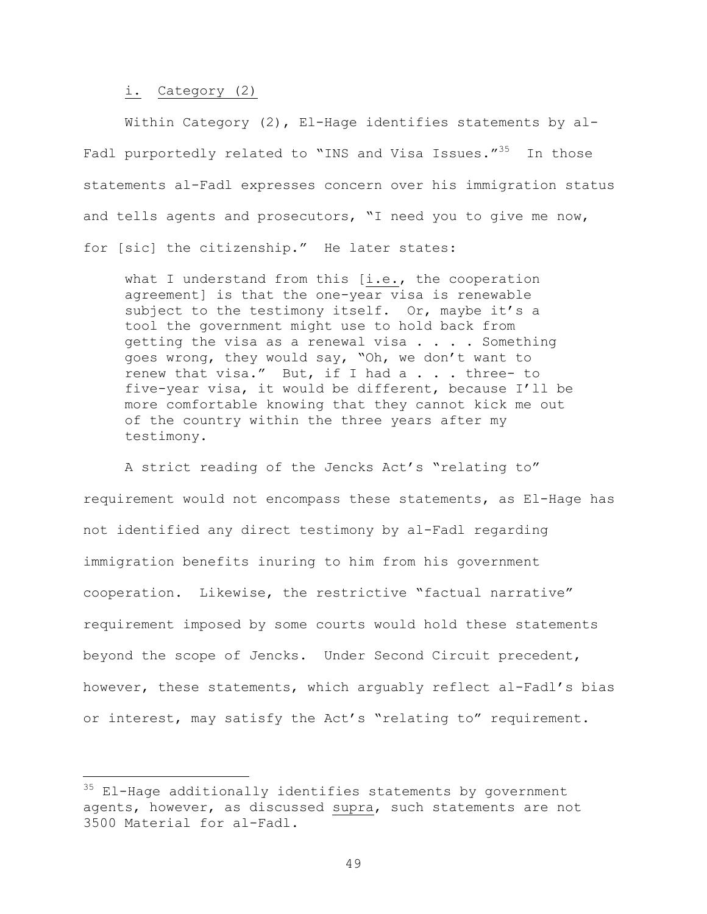#### i. Category (2)

i

Within Category (2), El-Hage identifies statements by al-Fadl purportedly related to "INS and Visa Issues."<sup>35</sup> In those statements al-Fadl expresses concern over his immigration status and tells agents and prosecutors, "I need you to give me now, for [sic] the citizenship." He later states:

what I understand from this [i.e., the cooperation agreement] is that the one-year visa is renewable subject to the testimony itself. Or, maybe it's a tool the government might use to hold back from getting the visa as a renewal visa . . . . Something goes wrong, they would say, "Oh, we don't want to renew that visa." But, if I had a . . . three- to five-year visa, it would be different, because I'll be more comfortable knowing that they cannot kick me out of the country within the three years after my testimony.

A strict reading of the Jencks Act's "relating to" requirement would not encompass these statements, as El-Hage has not identified any direct testimony by al-Fadl regarding immigration benefits inuring to him from his government cooperation. Likewise, the restrictive "factual narrative" requirement imposed by some courts would hold these statements beyond the scope of Jencks. Under Second Circuit precedent, however, these statements, which arguably reflect al-Fadl's bias or interest, may satisfy the Act's "relating to" requirement.

 $35$  El-Hage additionally identifies statements by government agents, however, as discussed supra, such statements are not 3500 Material for al-Fadl.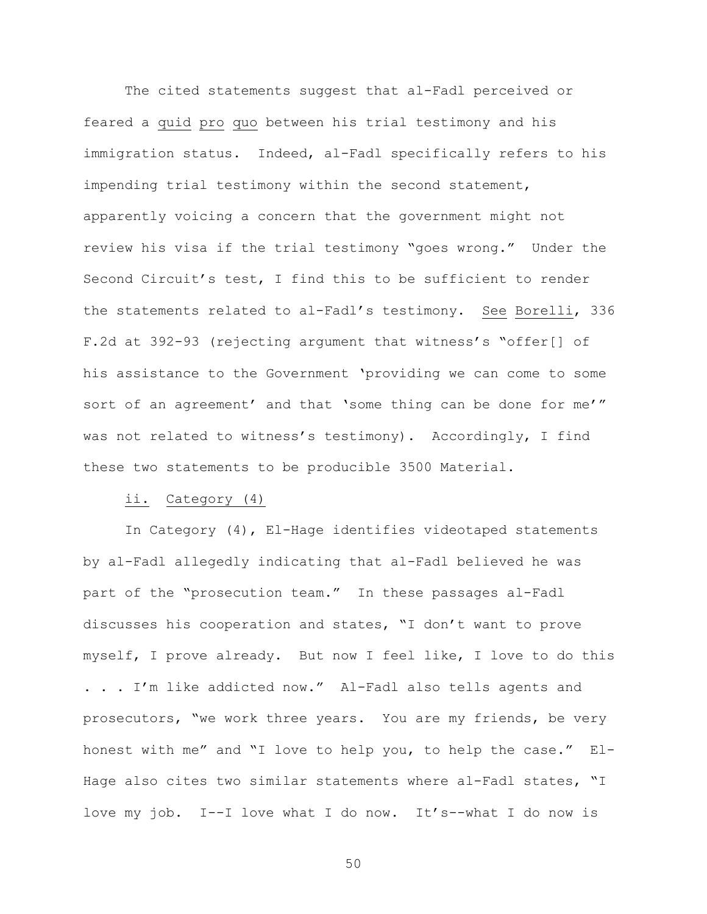The cited statements suggest that al-Fadl perceived or feared a quid pro quo between his trial testimony and his immigration status. Indeed, al-Fadl specifically refers to his impending trial testimony within the second statement, apparently voicing a concern that the government might not review his visa if the trial testimony "goes wrong." Under the Second Circuit's test, I find this to be sufficient to render the statements related to al-Fadl's testimony. See Borelli, 336 F.2d at 392-93 (rejecting argument that witness's "offer[] of his assistance to the Government 'providing we can come to some sort of an agreement' and that 'some thing can be done for me'" was not related to witness's testimony). Accordingly, I find these two statements to be producible 3500 Material.

## ii. Category (4)

In Category (4), El-Hage identifies videotaped statements by al-Fadl allegedly indicating that al-Fadl believed he was part of the "prosecution team." In these passages al-Fadl discusses his cooperation and states, "I don't want to prove myself, I prove already. But now I feel like, I love to do this . . . I'm like addicted now." Al-Fadl also tells agents and prosecutors, "we work three years. You are my friends, be very honest with me" and "I love to help you, to help the case." El-Hage also cites two similar statements where al-Fadl states, "I love my job. I--I love what I do now. It's--what I do now is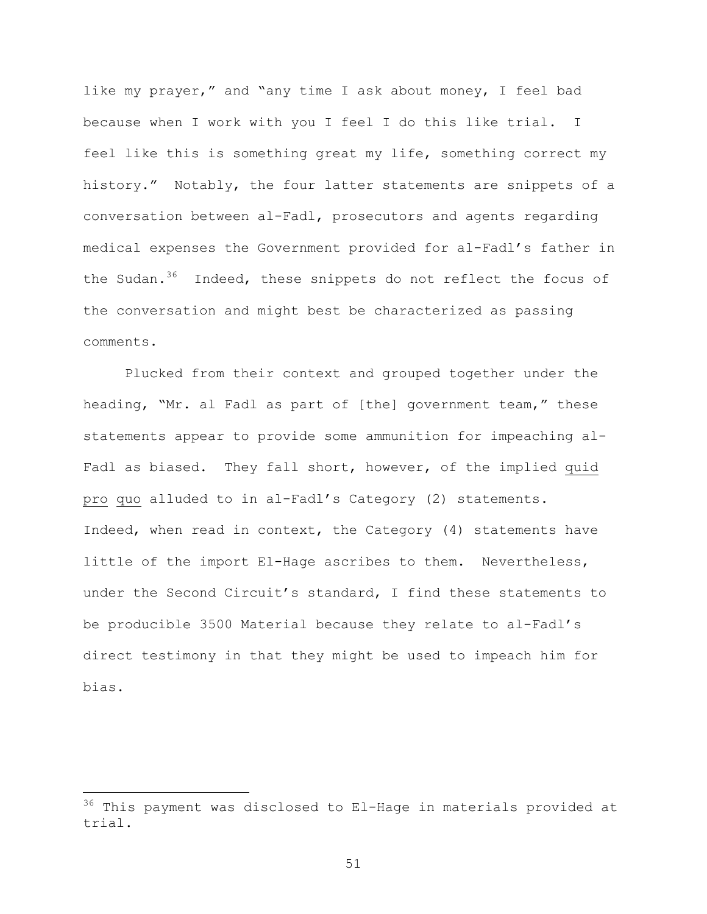like my prayer," and "any time I ask about money, I feel bad because when I work with you I feel I do this like trial. I feel like this is something great my life, something correct my history." Notably, the four latter statements are snippets of a conversation between al-Fadl, prosecutors and agents regarding medical expenses the Government provided for al-Fadl's father in the Sudan.<sup>36</sup> Indeed, these snippets do not reflect the focus of the conversation and might best be characterized as passing comments.

Plucked from their context and grouped together under the heading, "Mr. al Fadl as part of [the] government team," these statements appear to provide some ammunition for impeaching al-Fadl as biased. They fall short, however, of the implied quid pro quo alluded to in al-Fadl's Category (2) statements. Indeed, when read in context, the Category (4) statements have little of the import El-Hage ascribes to them. Nevertheless, under the Second Circuit's standard, I find these statements to be producible 3500 Material because they relate to al-Fadl's direct testimony in that they might be used to impeach him for bias.

i<br>Li

 $36$  This payment was disclosed to El-Hage in materials provided at trial.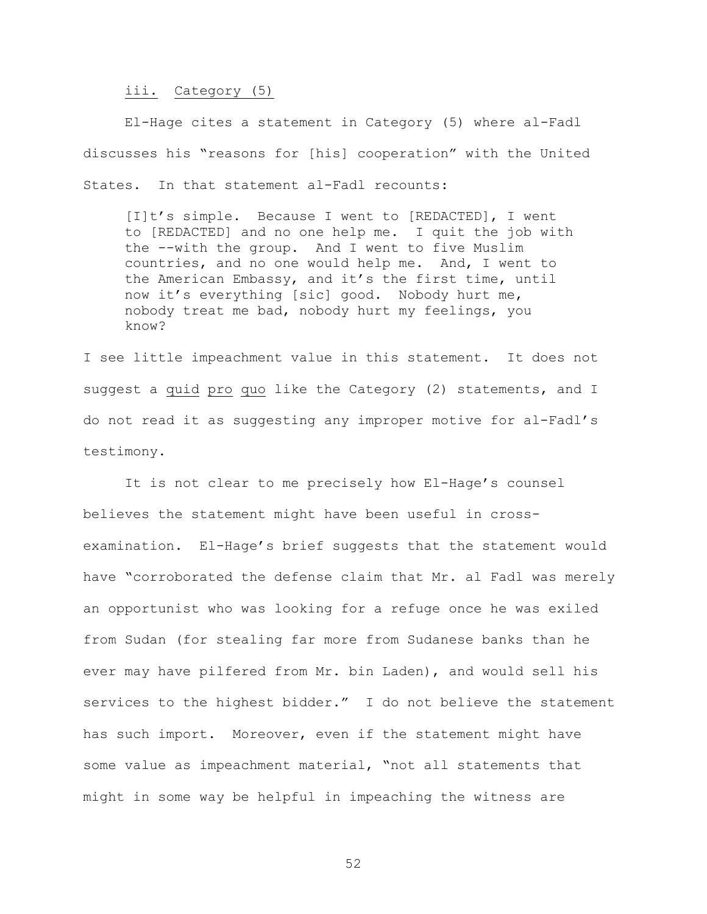#### iii. Category (5)

El-Hage cites a statement in Category (5) where al-Fadl discusses his "reasons for [his] cooperation" with the United States. In that statement al-Fadl recounts:

[I]t's simple. Because I went to [REDACTED], I went to [REDACTED] and no one help me. I quit the job with the --with the group. And I went to five Muslim countries, and no one would help me. And, I went to the American Embassy, and it's the first time, until now it's everything [sic] good. Nobody hurt me, nobody treat me bad, nobody hurt my feelings, you know?

I see little impeachment value in this statement. It does not suggest a quid pro quo like the Category (2) statements, and I do not read it as suggesting any improper motive for al-Fadl's testimony.

It is not clear to me precisely how El-Hage's counsel believes the statement might have been useful in crossexamination. El-Hage's brief suggests that the statement would have "corroborated the defense claim that Mr. al Fadl was merely an opportunist who was looking for a refuge once he was exiled from Sudan (for stealing far more from Sudanese banks than he ever may have pilfered from Mr. bin Laden), and would sell his services to the highest bidder." I do not believe the statement has such import. Moreover, even if the statement might have some value as impeachment material, "not all statements that might in some way be helpful in impeaching the witness are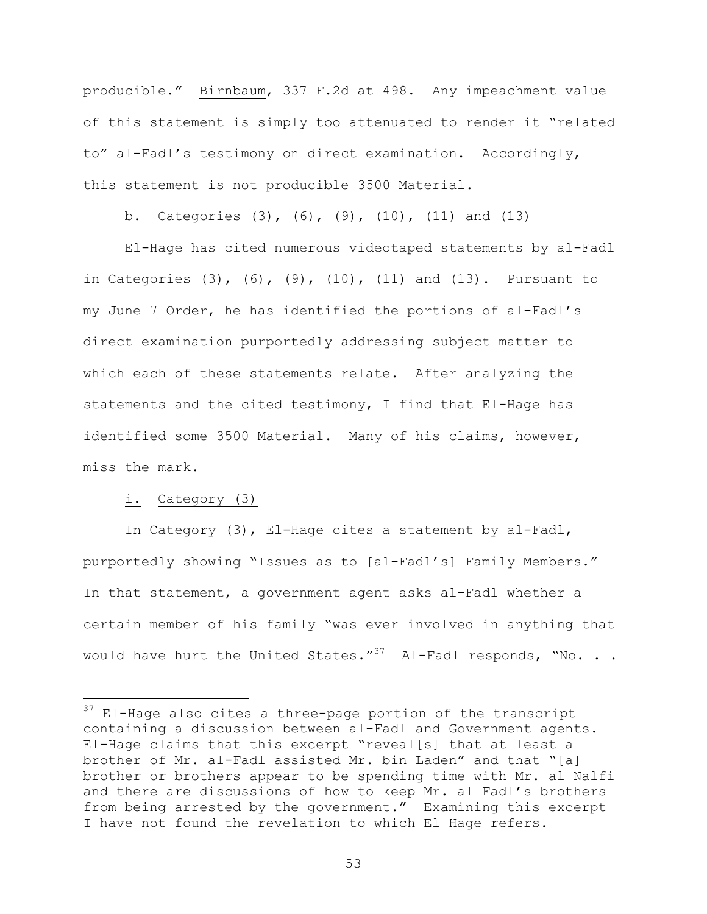producible." Birnbaum, 337 F.2d at 498. Any impeachment value of this statement is simply too attenuated to render it "related to" al-Fadl's testimony on direct examination. Accordingly, this statement is not producible 3500 Material.

# b. Categories (3), (6), (9), (10), (11) and (13)

El-Hage has cited numerous videotaped statements by al-Fadl in Categories (3), (6), (9), (10), (11) and (13). Pursuant to my June 7 Order, he has identified the portions of al-Fadl's direct examination purportedly addressing subject matter to which each of these statements relate. After analyzing the statements and the cited testimony, I find that El-Hage has identified some 3500 Material. Many of his claims, however, miss the mark.

### i. Category (3)

i

In Category (3), El-Hage cites a statement by al-Fadl, purportedly showing "Issues as to [al-Fadl's] Family Members." In that statement, a government agent asks al-Fadl whether a certain member of his family "was ever involved in anything that would have hurt the United States." $37$  Al-Fadl responds, "No. . .

 $37$  El-Hage also cites a three-page portion of the transcript containing a discussion between al-Fadl and Government agents. El-Hage claims that this excerpt "reveal[s] that at least a brother of Mr. al-Fadl assisted Mr. bin Laden" and that "[a] brother or brothers appear to be spending time with Mr. al Nalfi and there are discussions of how to keep Mr. al Fadl's brothers from being arrested by the government." Examining this excerpt I have not found the revelation to which El Hage refers.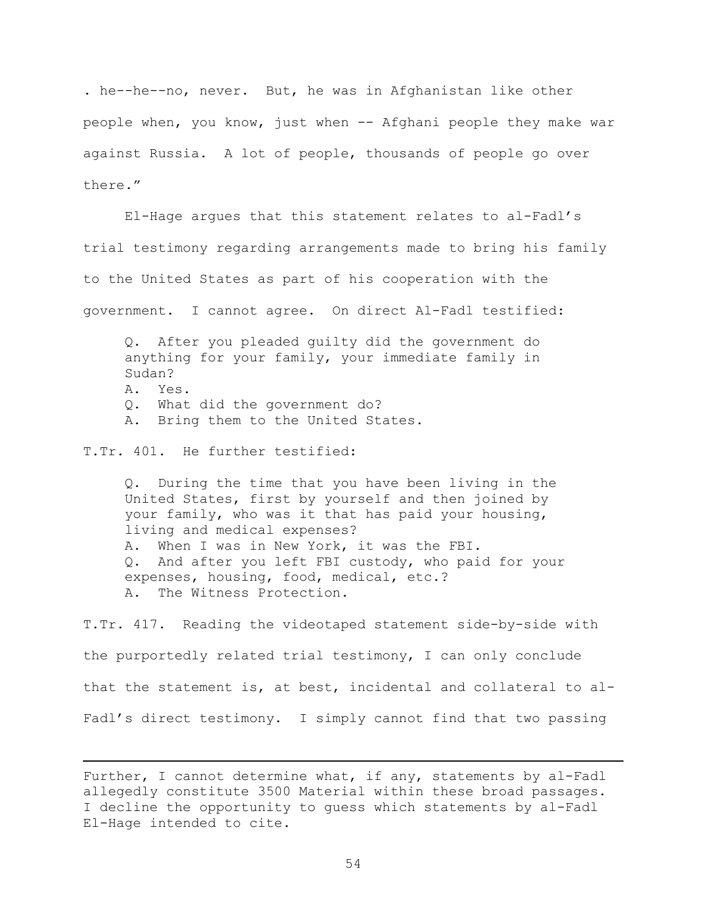. he--he--no, never. But, he was in Afghanistan like other people when, you know, just when -- Afghani people they make war against Russia. A lot of people, thousands of people go over there."

El-Hage argues that this statement relates to al-Fadl's trial testimony regarding arrangements made to bring his family to the United States as part of his cooperation with the government. I cannot agree. On direct Al-Fadl testified:

Q. After you pleaded guilty did the government do anything for your family, your immediate family in Sudan? A. Yes.

- Q. What did the government do?
- A. Bring them to the United States.

T.Tr. 401. He further testified:

i

Q. During the time that you have been living in the United States, first by yourself and then joined by your family, who was it that has paid your housing, living and medical expenses? A. When I was in New York, it was the FBI. Q. And after you left FBI custody, who paid for your expenses, housing, food, medical, etc.? A. The Witness Protection.

T.Tr. 417. Reading the videotaped statement side-by-side with the purportedly related trial testimony, I can only conclude that the statement is, at best, incidental and collateral to al-Fadl's direct testimony. I simply cannot find that two passing

Further, I cannot determine what, if any, statements by al-Fadl allegedly constitute 3500 Material within these broad passages. I decline the opportunity to guess which statements by al-Fadl El-Hage intended to cite.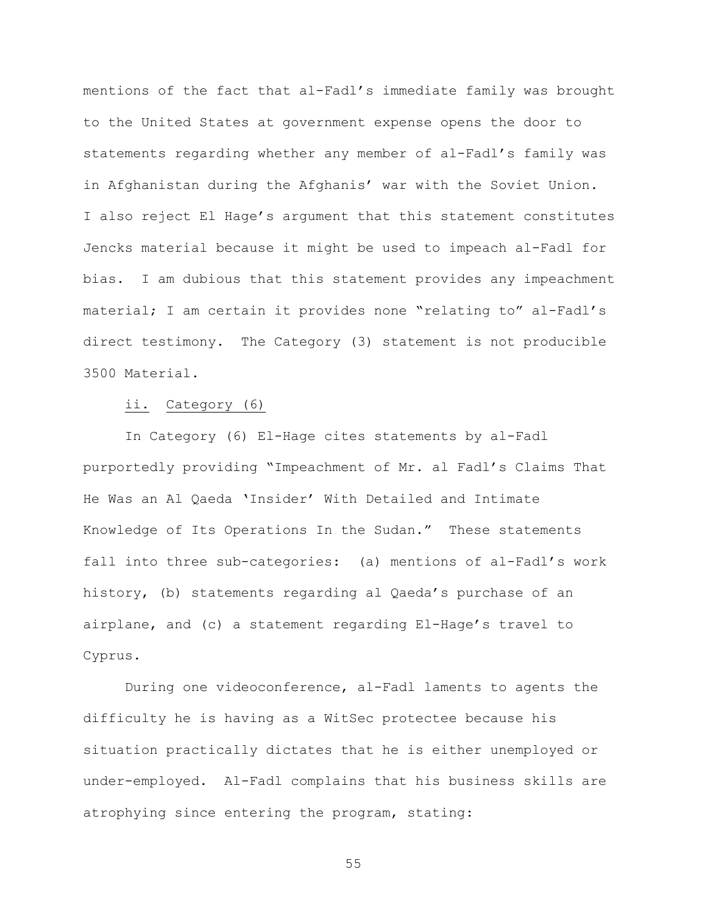mentions of the fact that al-Fadl's immediate family was brought to the United States at government expense opens the door to statements regarding whether any member of al-Fadl's family was in Afghanistan during the Afghanis' war with the Soviet Union. I also reject El Hage's argument that this statement constitutes Jencks material because it might be used to impeach al-Fadl for bias. I am dubious that this statement provides any impeachment material; I am certain it provides none "relating to" al-Fadl's direct testimony. The Category (3) statement is not producible 3500 Material.

#### ii. Category (6)

In Category (6) El-Hage cites statements by al-Fadl purportedly providing "Impeachment of Mr. al Fadl's Claims That He Was an Al Qaeda 'Insider' With Detailed and Intimate Knowledge of Its Operations In the Sudan." These statements fall into three sub-categories: (a) mentions of al-Fadl's work history, (b) statements regarding al Qaeda's purchase of an airplane, and (c) a statement regarding El-Hage's travel to Cyprus.

During one videoconference, al-Fadl laments to agents the difficulty he is having as a WitSec protectee because his situation practically dictates that he is either unemployed or under-employed. Al-Fadl complains that his business skills are atrophying since entering the program, stating: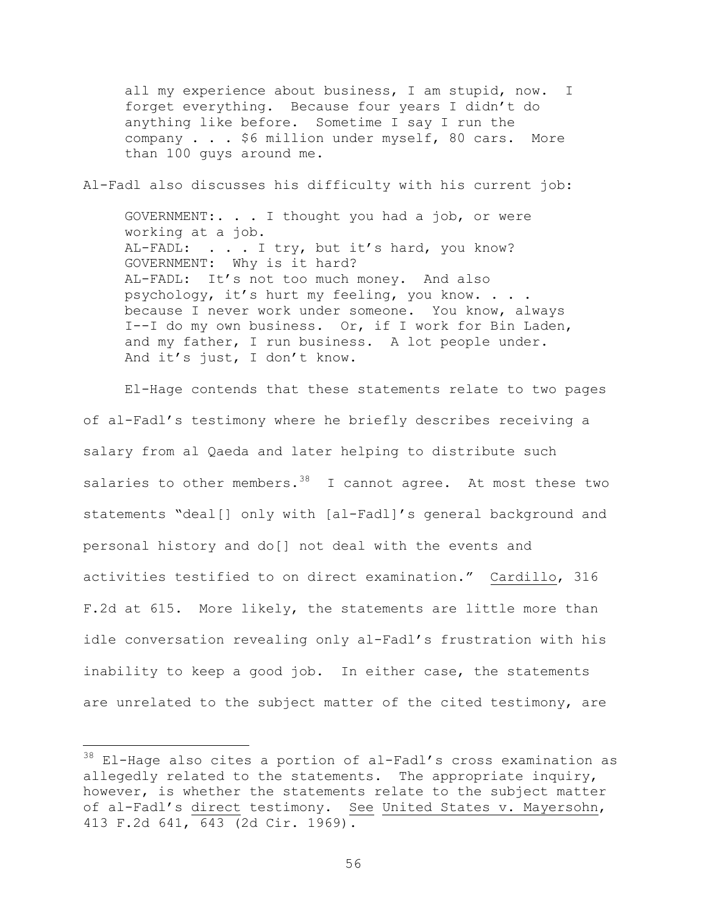all my experience about business, I am stupid, now. I forget everything. Because four years I didn't do anything like before. Sometime I say I run the company . . . \$6 million under myself, 80 cars. More than 100 guys around me.

Al-Fadl also discusses his difficulty with his current job:

GOVERNMENT:. . . I thought you had a job, or were working at a job. AL-FADL: . . . I try, but it's hard, you know? GOVERNMENT: Why is it hard? AL-FADL: It's not too much money. And also psychology, it's hurt my feeling, you know. . . . because I never work under someone. You know, always I--I do my own business. Or, if I work for Bin Laden, and my father, I run business. A lot people under. And it's just, I don't know.

El-Hage contends that these statements relate to two pages of al-Fadl's testimony where he briefly describes receiving a salary from al Qaeda and later helping to distribute such salaries to other members.  $38$  I cannot agree. At most these two statements "deal[] only with [al-Fadl]'s general background and personal history and do[] not deal with the events and activities testified to on direct examination." Cardillo, 316 F.2d at 615. More likely, the statements are little more than idle conversation revealing only al-Fadl's frustration with his inability to keep a good job. In either case, the statements are unrelated to the subject matter of the cited testimony, are

 $\overline{\phantom{0}}$ 

 $^{38}$  El-Hage also cites a portion of al-Fadl's cross examination as allegedly related to the statements. The appropriate inquiry, however, is whether the statements relate to the subject matter of al-Fadl's direct testimony. See United States v. Mayersohn, 413 F.2d 641, 643 (2d Cir. 1969).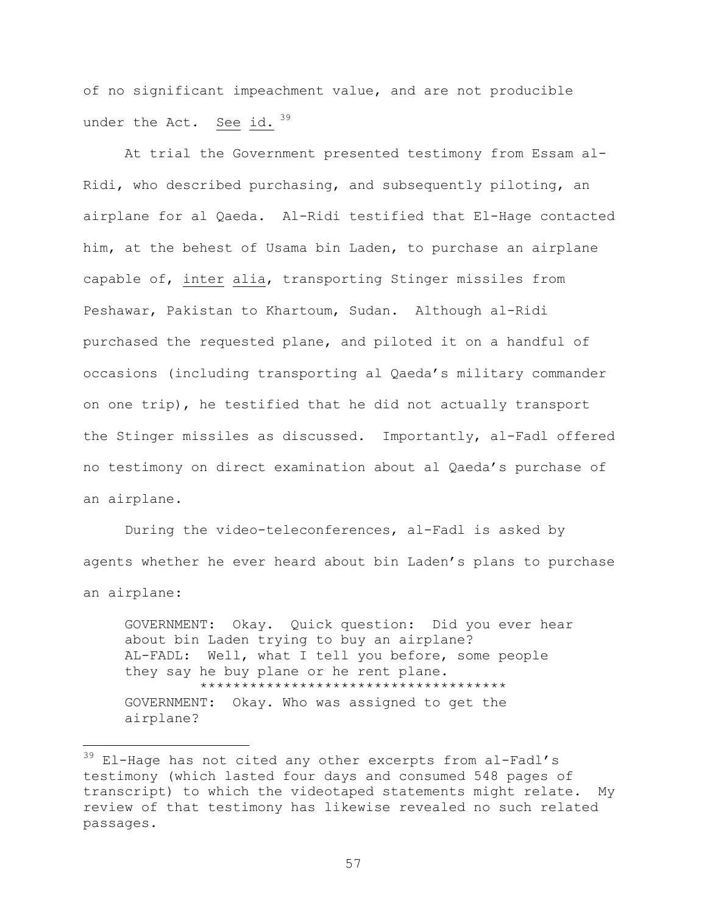of no significant impeachment value, and are not producible under the Act. See id.  $39$ 

At trial the Government presented testimony from Essam al-Ridi, who described purchasing, and subsequently piloting, an airplane for al Qaeda. Al-Ridi testified that El-Hage contacted him, at the behest of Usama bin Laden, to purchase an airplane capable of, inter alia, transporting Stinger missiles from Peshawar, Pakistan to Khartoum, Sudan. Although al-Ridi purchased the requested plane, and piloted it on a handful of occasions (including transporting al Qaeda's military commander on one trip), he testified that he did not actually transport the Stinger missiles as discussed. Importantly, al-Fadl offered no testimony on direct examination about al Qaeda's purchase of an airplane.

During the video-teleconferences, al-Fadl is asked by agents whether he ever heard about bin Laden's plans to purchase an airplane:

GOVERNMENT: Okay. Quick question: Did you ever hear about bin Laden trying to buy an airplane? AL-FADL: Well, what I tell you before, some people they say he buy plane or he rent plane. \*\*\*\*\*\*\*\*\*\*\*\*\*\*\*\*\*\*\*\*\*\*\*\*\*\*\*\*\*\*\*\*\*\*\*\*\* GOVERNMENT: Okay. Who was assigned to get the airplane?

i<br>Li

 $39$  El-Hage has not cited any other excerpts from al-Fadl's testimony (which lasted four days and consumed 548 pages of transcript) to which the videotaped statements might relate. My review of that testimony has likewise revealed no such related passages.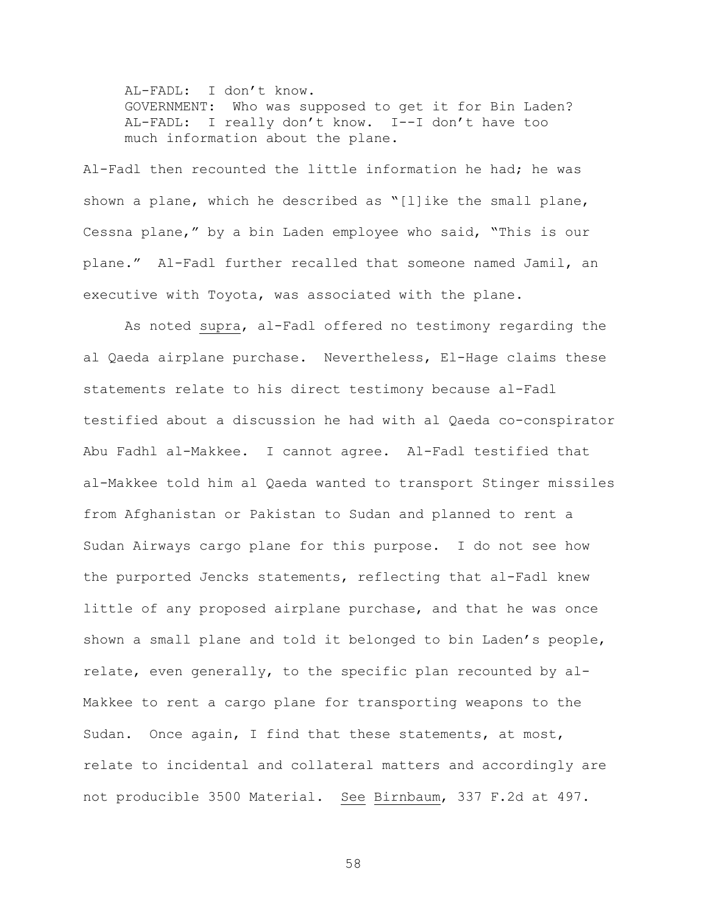AL-FADL: I don't know. GOVERNMENT: Who was supposed to get it for Bin Laden? AL-FADL: I really don't know. I--I don't have too much information about the plane.

Al-Fadl then recounted the little information he had; he was shown a plane, which he described as "[l]ike the small plane, Cessna plane," by a bin Laden employee who said, "This is our plane." Al-Fadl further recalled that someone named Jamil, an executive with Toyota, was associated with the plane.

As noted supra, al-Fadl offered no testimony regarding the al Qaeda airplane purchase. Nevertheless, El-Hage claims these statements relate to his direct testimony because al-Fadl testified about a discussion he had with al Qaeda co-conspirator Abu Fadhl al-Makkee. I cannot agree. Al-Fadl testified that al-Makkee told him al Qaeda wanted to transport Stinger missiles from Afghanistan or Pakistan to Sudan and planned to rent a Sudan Airways cargo plane for this purpose. I do not see how the purported Jencks statements, reflecting that al-Fadl knew little of any proposed airplane purchase, and that he was once shown a small plane and told it belonged to bin Laden's people, relate, even generally, to the specific plan recounted by al-Makkee to rent a cargo plane for transporting weapons to the Sudan. Once again, I find that these statements, at most, relate to incidental and collateral matters and accordingly are not producible 3500 Material. See Birnbaum, 337 F.2d at 497.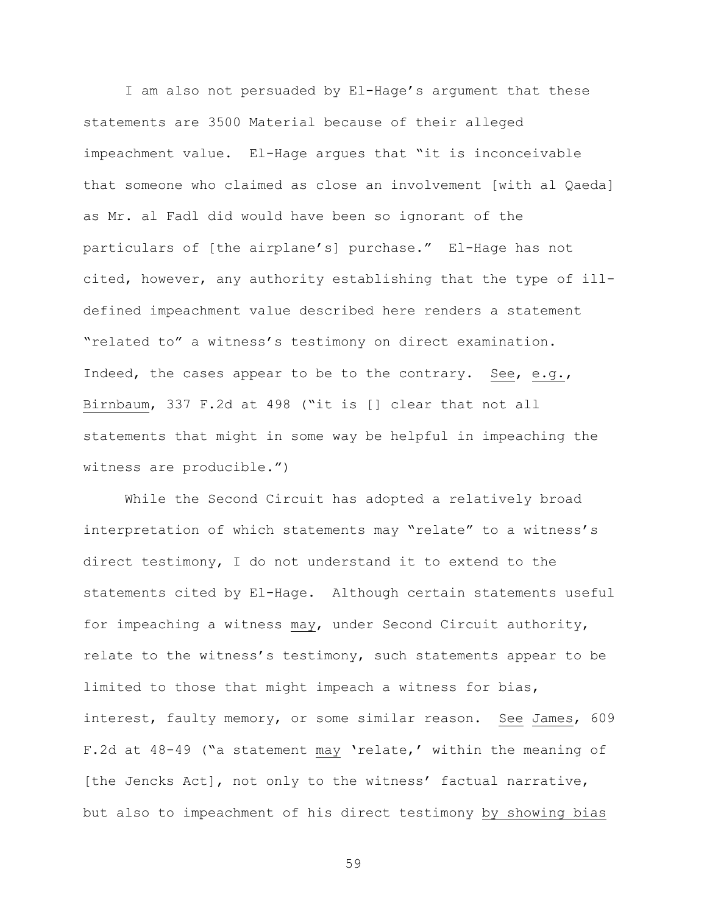I am also not persuaded by El-Hage's argument that these statements are 3500 Material because of their alleged impeachment value. El-Hage argues that "it is inconceivable that someone who claimed as close an involvement [with al Qaeda] as Mr. al Fadl did would have been so ignorant of the particulars of [the airplane's] purchase." El-Hage has not cited, however, any authority establishing that the type of illdefined impeachment value described here renders a statement "related to" a witness's testimony on direct examination. Indeed, the cases appear to be to the contrary. See, e.g., Birnbaum, 337 F.2d at 498 ("it is [] clear that not all statements that might in some way be helpful in impeaching the witness are producible.")

While the Second Circuit has adopted a relatively broad interpretation of which statements may "relate" to a witness's direct testimony, I do not understand it to extend to the statements cited by El-Hage. Although certain statements useful for impeaching a witness may, under Second Circuit authority, relate to the witness's testimony, such statements appear to be limited to those that might impeach a witness for bias, interest, faulty memory, or some similar reason. See James, 609 F.2d at 48-49 ("a statement may 'relate,' within the meaning of [the Jencks Act], not only to the witness' factual narrative, but also to impeachment of his direct testimony by showing bias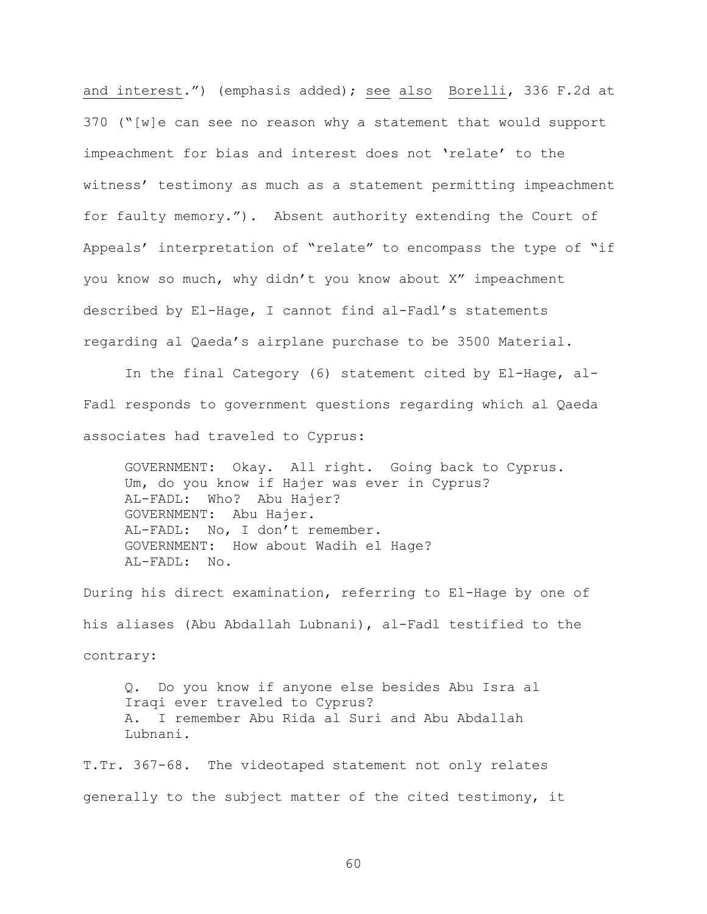and interest.") (emphasis added); see also Borelli, 336 F.2d at 370 ("[w]e can see no reason why a statement that would support impeachment for bias and interest does not 'relate' to the witness' testimony as much as a statement permitting impeachment for faulty memory."). Absent authority extending the Court of Appeals' interpretation of "relate" to encompass the type of "if you know so much, why didn't you know about X" impeachment described by El-Hage, I cannot find al-Fadl's statements regarding al Qaeda's airplane purchase to be 3500 Material.

In the final Category (6) statement cited by El-Hage, al-Fadl responds to government questions regarding which al Qaeda associates had traveled to Cyprus:

GOVERNMENT: Okay. All right. Going back to Cyprus. Um, do you know if Hajer was ever in Cyprus? AL-FADL: Who? Abu Hajer? GOVERNMENT: Abu Hajer. AL-FADL: No, I don't remember. GOVERNMENT: How about Wadih el Hage? AL-FADL: No.

During his direct examination, referring to El-Hage by one of his aliases (Abu Abdallah Lubnani), al-Fadl testified to the contrary:

Q. Do you know if anyone else besides Abu Isra al Iraqi ever traveled to Cyprus? A. I remember Abu Rida al Suri and Abu Abdallah Lubnani.

T.Tr. 367-68. The videotaped statement not only relates generally to the subject matter of the cited testimony, it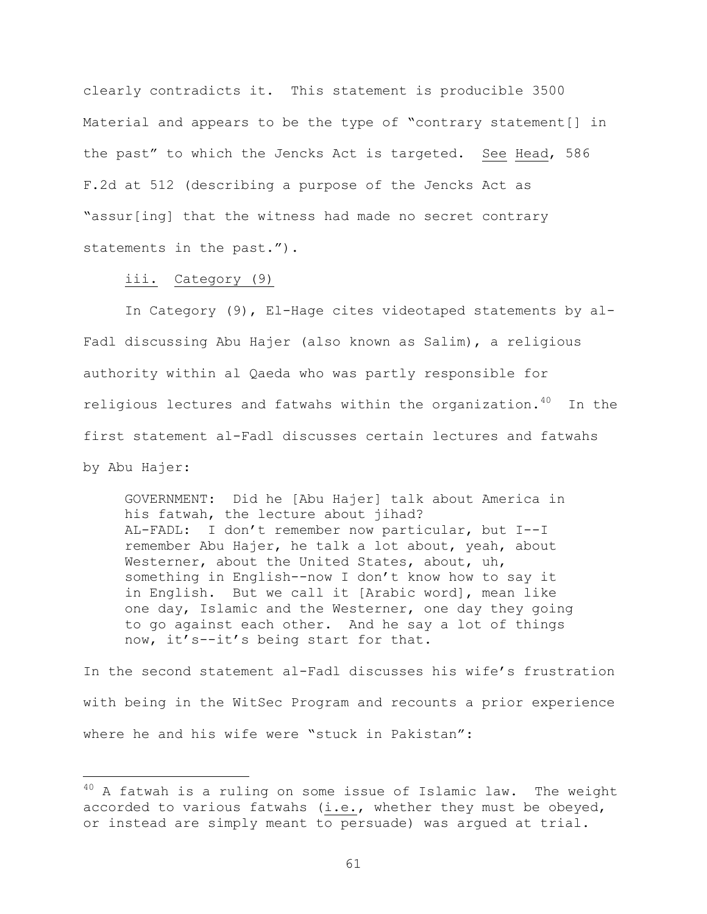clearly contradicts it. This statement is producible 3500 Material and appears to be the type of "contrary statement[] in the past" to which the Jencks Act is targeted. See Head, 586 F.2d at 512 (describing a purpose of the Jencks Act as "assur[ing] that the witness had made no secret contrary statements in the past.").

#### iii. Category (9)

i

In Category (9), El-Hage cites videotaped statements by al-Fadl discussing Abu Hajer (also known as Salim), a religious authority within al Qaeda who was partly responsible for religious lectures and fatwahs within the organization.40 In the first statement al-Fadl discusses certain lectures and fatwahs by Abu Hajer:

GOVERNMENT: Did he [Abu Hajer] talk about America in his fatwah, the lecture about jihad? AL-FADL: I don't remember now particular, but I--I remember Abu Hajer, he talk a lot about, yeah, about Westerner, about the United States, about, uh, something in English--now I don't know how to say it in English. But we call it [Arabic word], mean like one day, Islamic and the Westerner, one day they going to go against each other. And he say a lot of things now, it's--it's being start for that.

In the second statement al-Fadl discusses his wife's frustration with being in the WitSec Program and recounts a prior experience where he and his wife were "stuck in Pakistan":

 $40$  A fatwah is a ruling on some issue of Islamic law. The weight accorded to various fatwahs (i.e., whether they must be obeyed, or instead are simply meant to persuade) was argued at trial.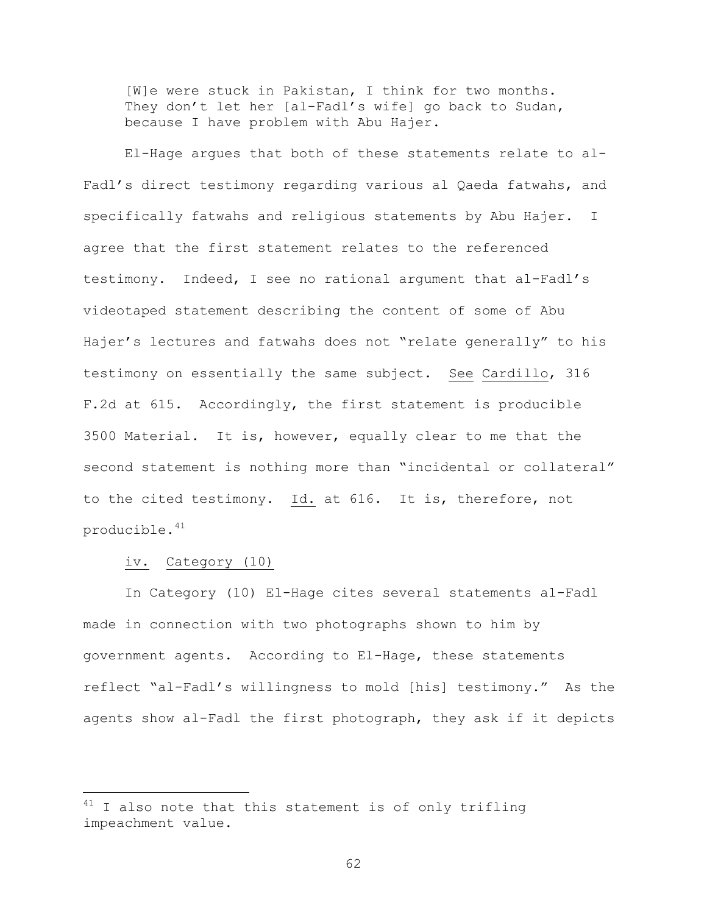[W]e were stuck in Pakistan, I think for two months. They don't let her [al-Fadl's wife] go back to Sudan, because I have problem with Abu Hajer.

El-Hage argues that both of these statements relate to al-Fadl's direct testimony regarding various al Qaeda fatwahs, and specifically fatwahs and religious statements by Abu Hajer. I agree that the first statement relates to the referenced testimony. Indeed, I see no rational argument that al-Fadl's videotaped statement describing the content of some of Abu Hajer's lectures and fatwahs does not "relate generally" to his testimony on essentially the same subject. See Cardillo, 316 F.2d at 615. Accordingly, the first statement is producible 3500 Material. It is, however, equally clear to me that the second statement is nothing more than "incidental or collateral" to the cited testimony. Id. at 616. It is, therefore, not producible.<sup>41</sup>

#### iv. Category (10)

i<br>Li

In Category (10) El-Hage cites several statements al-Fadl made in connection with two photographs shown to him by government agents. According to El-Hage, these statements reflect "al-Fadl's willingness to mold [his] testimony." As the agents show al-Fadl the first photograph, they ask if it depicts

 $41$  I also note that this statement is of only trifling impeachment value.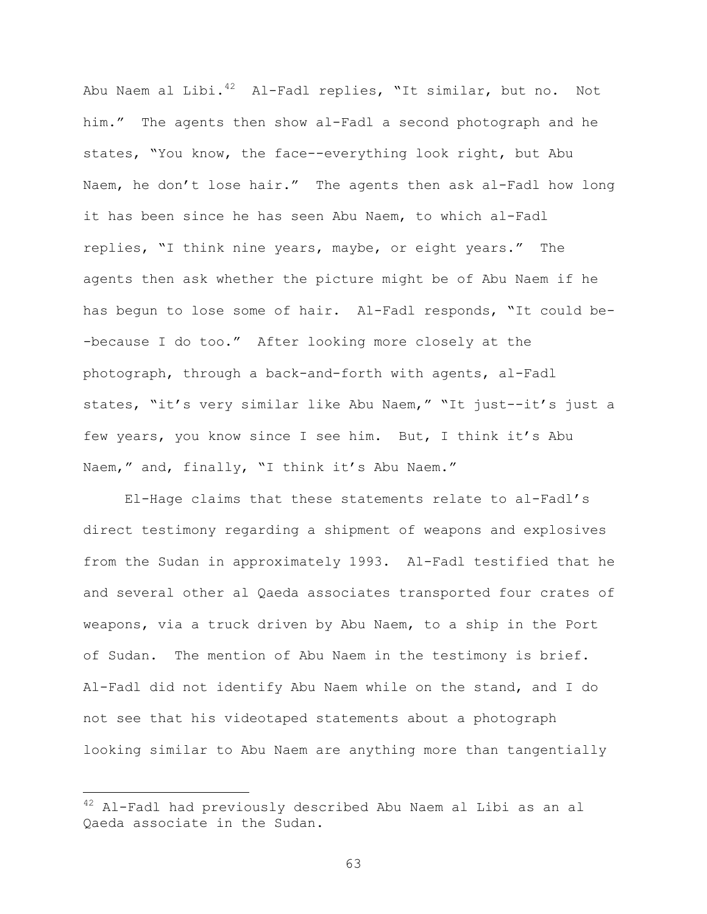Abu Naem al Libi.<sup>42</sup> Al-Fadl replies, "It similar, but no. Not him." The agents then show al-Fadl a second photograph and he states, "You know, the face--everything look right, but Abu Naem, he don't lose hair." The agents then ask al-Fadl how long it has been since he has seen Abu Naem, to which al-Fadl replies, "I think nine years, maybe, or eight years." The agents then ask whether the picture might be of Abu Naem if he has begun to lose some of hair. Al-Fadl responds, "It could be- -because I do too." After looking more closely at the photograph, through a back-and-forth with agents, al-Fadl states, "it's very similar like Abu Naem," "It just--it's just a few years, you know since I see him. But, I think it's Abu Naem," and, finally, "I think it's Abu Naem."

El-Hage claims that these statements relate to al-Fadl's direct testimony regarding a shipment of weapons and explosives from the Sudan in approximately 1993. Al-Fadl testified that he and several other al Qaeda associates transported four crates of weapons, via a truck driven by Abu Naem, to a ship in the Port of Sudan. The mention of Abu Naem in the testimony is brief. Al-Fadl did not identify Abu Naem while on the stand, and I do not see that his videotaped statements about a photograph looking similar to Abu Naem are anything more than tangentially

i<br>Li

<sup>&</sup>lt;sup>42</sup> Al-Fadl had previously described Abu Naem al Libi as an al Qaeda associate in the Sudan.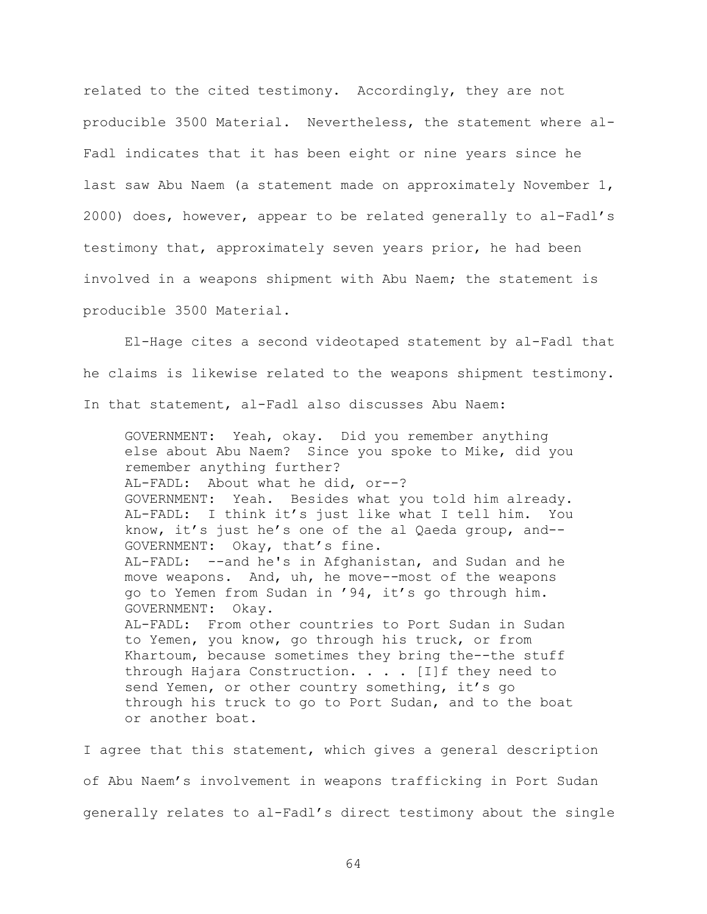related to the cited testimony. Accordingly, they are not producible 3500 Material. Nevertheless, the statement where al-Fadl indicates that it has been eight or nine years since he last saw Abu Naem (a statement made on approximately November 1, 2000) does, however, appear to be related generally to al-Fadl's testimony that, approximately seven years prior, he had been involved in a weapons shipment with Abu Naem; the statement is producible 3500 Material.

El-Hage cites a second videotaped statement by al-Fadl that he claims is likewise related to the weapons shipment testimony. In that statement, al-Fadl also discusses Abu Naem:

GOVERNMENT: Yeah, okay. Did you remember anything else about Abu Naem? Since you spoke to Mike, did you remember anything further? AL-FADL: About what he did, or--? GOVERNMENT: Yeah. Besides what you told him already. AL-FADL: I think it's just like what I tell him. You know, it's just he's one of the al Qaeda group, and-- GOVERNMENT: Okay, that's fine. AL-FADL: --and he's in Afghanistan, and Sudan and he move weapons. And, uh, he move--most of the weapons go to Yemen from Sudan in '94, it's go through him. GOVERNMENT: Okay. AL-FADL: From other countries to Port Sudan in Sudan to Yemen, you know, go through his truck, or from Khartoum, because sometimes they bring the--the stuff through Hajara Construction.  $\cdots$  . [I]f they need to send Yemen, or other country something, it's go through his truck to go to Port Sudan, and to the boat or another boat.

I agree that this statement, which gives a general description of Abu Naem's involvement in weapons trafficking in Port Sudan generally relates to al-Fadl's direct testimony about the single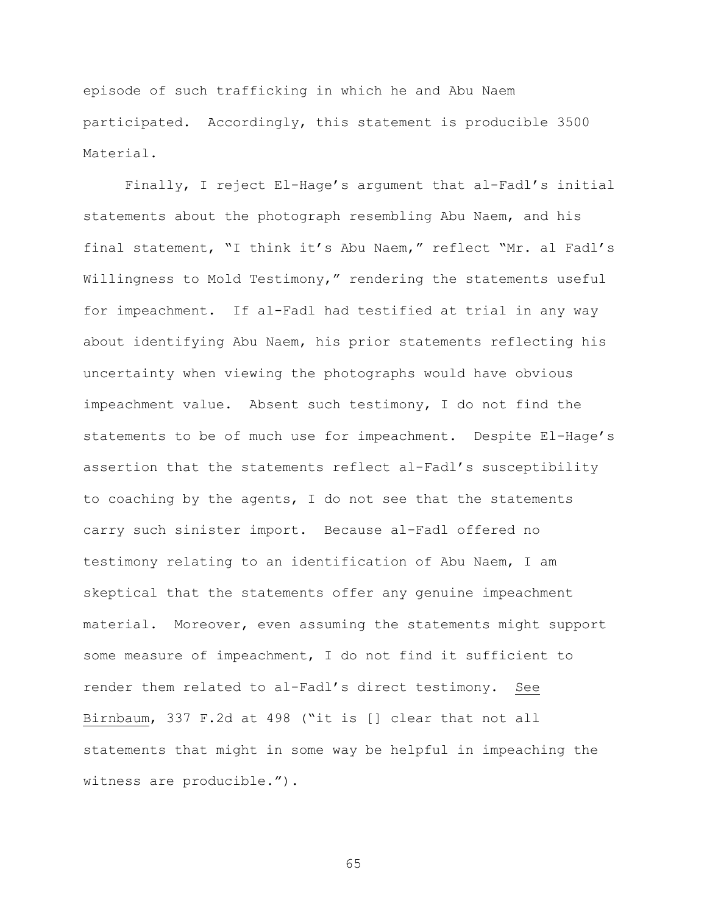episode of such trafficking in which he and Abu Naem participated. Accordingly, this statement is producible 3500 Material.

Finally, I reject El-Hage's argument that al-Fadl's initial statements about the photograph resembling Abu Naem, and his final statement, "I think it's Abu Naem," reflect "Mr. al Fadl's Willingness to Mold Testimony," rendering the statements useful for impeachment. If al-Fadl had testified at trial in any way about identifying Abu Naem, his prior statements reflecting his uncertainty when viewing the photographs would have obvious impeachment value. Absent such testimony, I do not find the statements to be of much use for impeachment. Despite El-Hage's assertion that the statements reflect al-Fadl's susceptibility to coaching by the agents, I do not see that the statements carry such sinister import. Because al-Fadl offered no testimony relating to an identification of Abu Naem, I am skeptical that the statements offer any genuine impeachment material. Moreover, even assuming the statements might support some measure of impeachment, I do not find it sufficient to render them related to al-Fadl's direct testimony. See Birnbaum, 337 F.2d at 498 ("it is [] clear that not all statements that might in some way be helpful in impeaching the witness are producible.").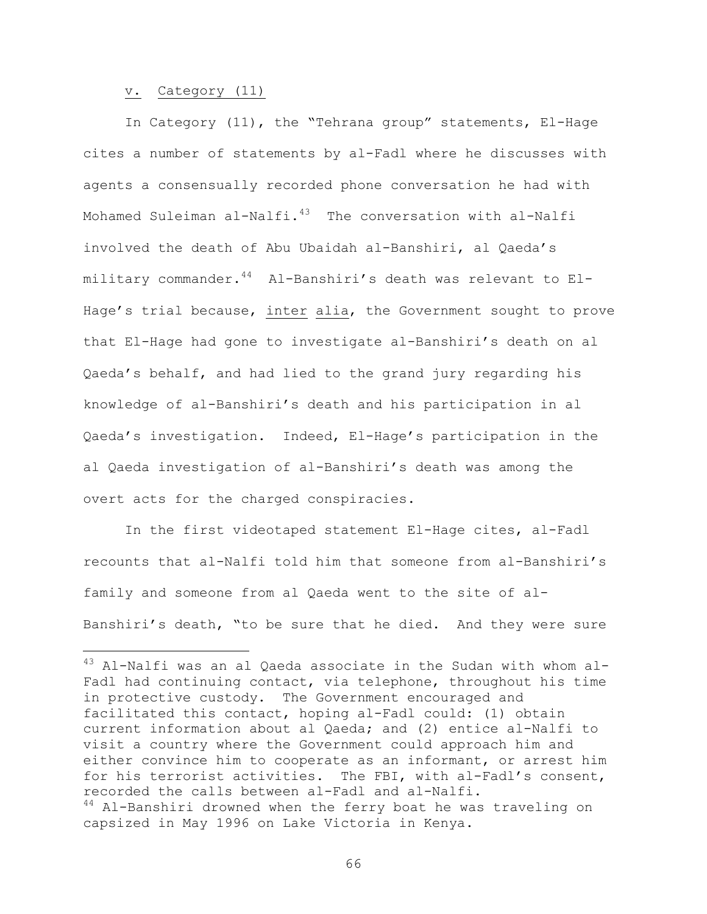#### v. Category (11)

 $\overline{\phantom{0}}$ 

In Category (11), the "Tehrana group" statements, El-Hage cites a number of statements by al-Fadl where he discusses with agents a consensually recorded phone conversation he had with Mohamed Suleiman al-Nalfi. $43$  The conversation with al-Nalfi involved the death of Abu Ubaidah al-Banshiri, al Qaeda's military commander.<sup>44</sup> Al-Banshiri's death was relevant to El-Hage's trial because, inter alia, the Government sought to prove that El-Hage had gone to investigate al-Banshiri's death on al Qaeda's behalf, and had lied to the grand jury regarding his knowledge of al-Banshiri's death and his participation in al Qaeda's investigation. Indeed, El-Hage's participation in the al Qaeda investigation of al-Banshiri's death was among the overt acts for the charged conspiracies.

In the first videotaped statement El-Hage cites, al-Fadl recounts that al-Nalfi told him that someone from al-Banshiri's family and someone from al Qaeda went to the site of al-Banshiri's death, "to be sure that he died. And they were sure

 $43$  Al-Nalfi was an al Qaeda associate in the Sudan with whom al-Fadl had continuing contact, via telephone, throughout his time in protective custody. The Government encouraged and facilitated this contact, hoping al-Fadl could: (1) obtain current information about al Qaeda; and (2) entice al-Nalfi to visit a country where the Government could approach him and either convince him to cooperate as an informant, or arrest him for his terrorist activities. The FBI, with al-Fadl's consent, recorded the calls between al-Fadl and al-Nalfi. <sup>44</sup> Al-Banshiri drowned when the ferry boat he was traveling on capsized in May 1996 on Lake Victoria in Kenya.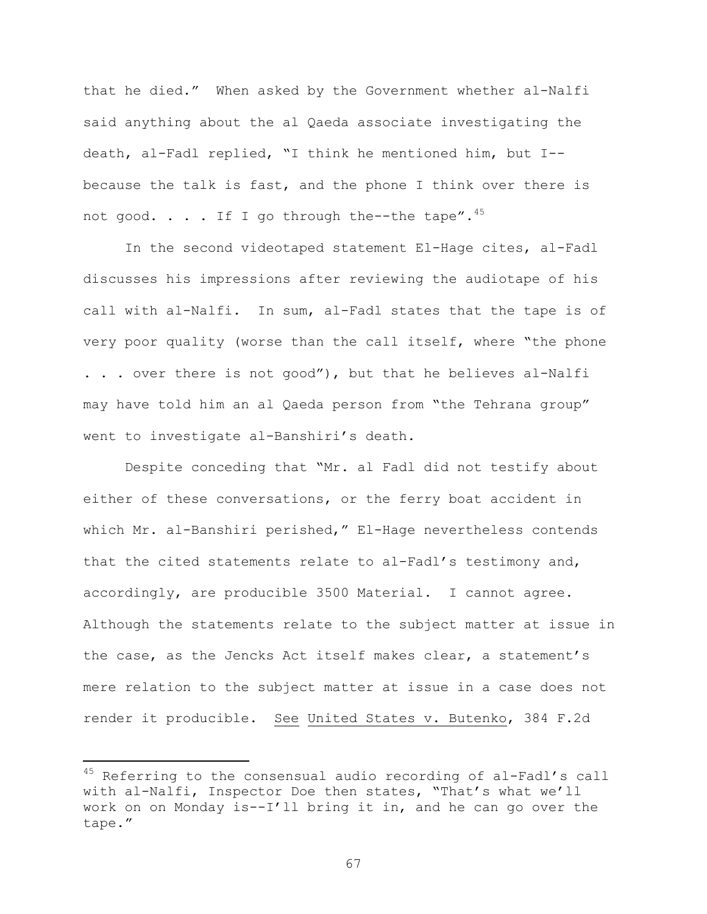that he died." When asked by the Government whether al-Nalfi said anything about the al Qaeda associate investigating the death, al-Fadl replied, "I think he mentioned him, but I- because the talk is fast, and the phone I think over there is not good.  $\ldots$  . If I go through the--the tape".<sup>45</sup>

In the second videotaped statement El-Hage cites, al-Fadl discusses his impressions after reviewing the audiotape of his call with al-Nalfi. In sum, al-Fadl states that the tape is of very poor quality (worse than the call itself, where "the phone . . . over there is not good"), but that he believes al-Nalfi may have told him an al Qaeda person from "the Tehrana group" went to investigate al-Banshiri's death.

Despite conceding that "Mr. al Fadl did not testify about either of these conversations, or the ferry boat accident in which Mr. al-Banshiri perished," El-Hage nevertheless contends that the cited statements relate to al-Fadl's testimony and, accordingly, are producible 3500 Material. I cannot agree. Although the statements relate to the subject matter at issue in the case, as the Jencks Act itself makes clear, a statement's mere relation to the subject matter at issue in a case does not render it producible. See United States v. Butenko, 384 F.2d

i

 $45$  Referring to the consensual audio recording of al-Fadl's call with al-Nalfi, Inspector Doe then states, "That's what we'll work on on Monday is--I'll bring it in, and he can go over the tape."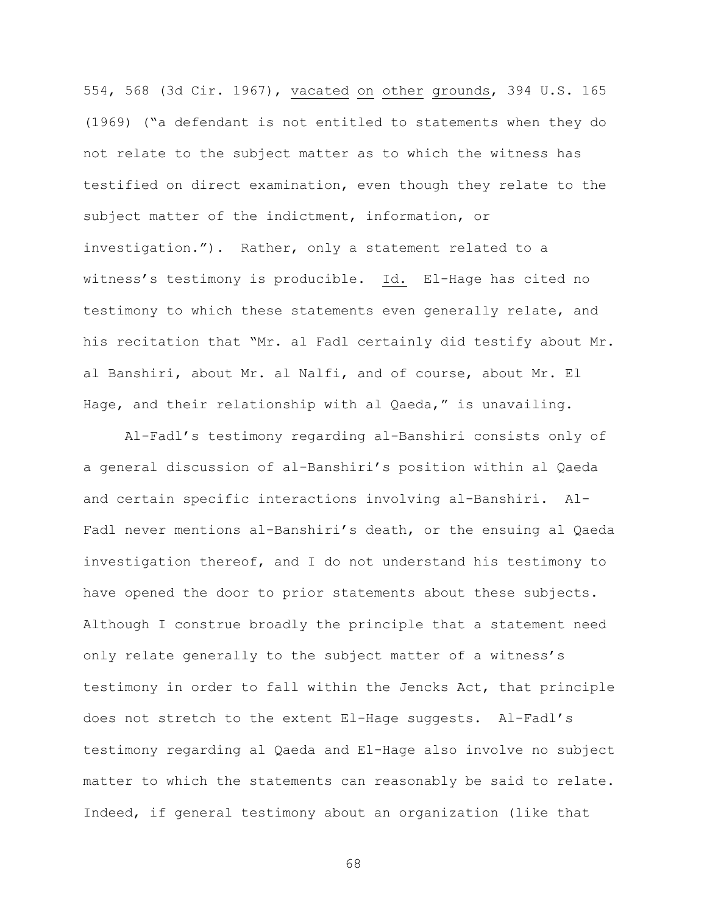554, 568 (3d Cir. 1967), vacated on other grounds, 394 U.S. 165 (1969) ("a defendant is not entitled to statements when they do not relate to the subject matter as to which the witness has testified on direct examination, even though they relate to the subject matter of the indictment, information, or investigation."). Rather, only a statement related to a witness's testimony is producible. Id. El-Hage has cited no testimony to which these statements even generally relate, and his recitation that "Mr. al Fadl certainly did testify about Mr. al Banshiri, about Mr. al Nalfi, and of course, about Mr. El Hage, and their relationship with al Qaeda," is unavailing.

Al-Fadl's testimony regarding al-Banshiri consists only of a general discussion of al-Banshiri's position within al Qaeda and certain specific interactions involving al-Banshiri. Al-Fadl never mentions al-Banshiri's death, or the ensuing al Qaeda investigation thereof, and I do not understand his testimony to have opened the door to prior statements about these subjects. Although I construe broadly the principle that a statement need only relate generally to the subject matter of a witness's testimony in order to fall within the Jencks Act, that principle does not stretch to the extent El-Hage suggests. Al-Fadl's testimony regarding al Qaeda and El-Hage also involve no subject matter to which the statements can reasonably be said to relate. Indeed, if general testimony about an organization (like that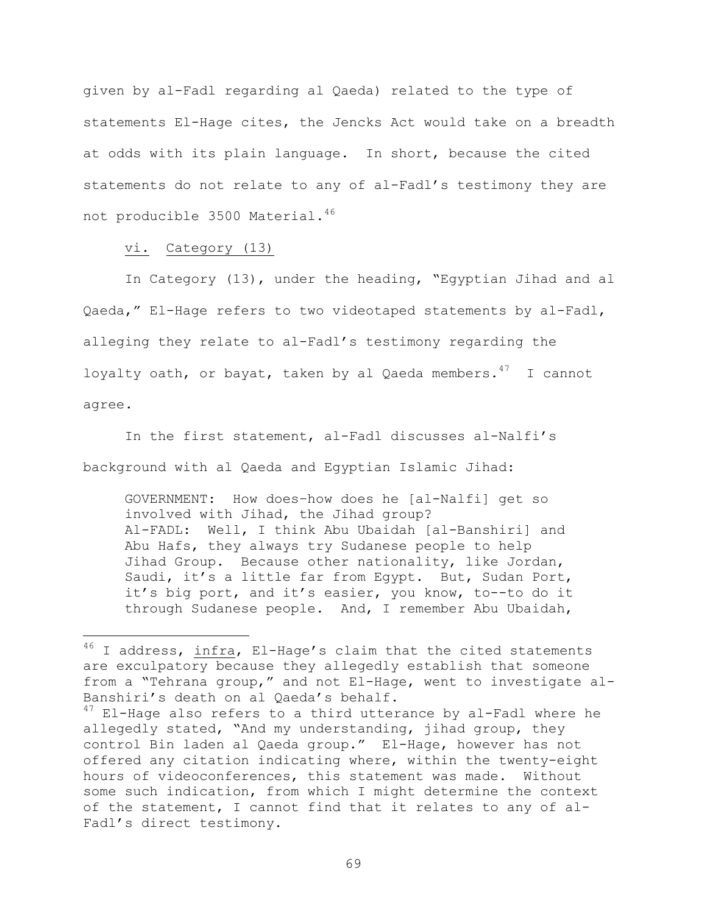given by al-Fadl regarding al Qaeda) related to the type of statements El-Hage cites, the Jencks Act would take on a breadth at odds with its plain language. In short, because the cited statements do not relate to any of al-Fadl's testimony they are not producible 3500 Material.<sup>46</sup>

vi. Category (13)

i

In Category (13), under the heading, "Egyptian Jihad and al Qaeda," El-Hage refers to two videotaped statements by al-Fadl, alleging they relate to al-Fadl's testimony regarding the loyalty oath, or bayat, taken by al Qaeda members.  $47$  I cannot agree.

In the first statement, al-Fadl discusses al-Nalfi's background with al Qaeda and Egyptian Islamic Jihad:

GOVERNMENT: How does–how does he [al-Nalfi] get so involved with Jihad, the Jihad group? Al-FADL: Well, I think Abu Ubaidah [al-Banshiri] and Abu Hafs, they always try Sudanese people to help Jihad Group. Because other nationality, like Jordan, Saudi, it's a little far from Egypt. But, Sudan Port, it's big port, and it's easier, you know, to--to do it through Sudanese people. And, I remember Abu Ubaidah,

 $46$  I address, infra, El-Hage's claim that the cited statements are exculpatory because they allegedly establish that someone from a "Tehrana group," and not El-Hage, went to investigate al-Banshiri's death on al Qaeda's behalf.

 $47$  El-Hage also refers to a third utterance by al-Fadl where he allegedly stated, "And my understanding, jihad group, they control Bin laden al Qaeda group." El-Hage, however has not offered any citation indicating where, within the twenty-eight hours of videoconferences, this statement was made. Without some such indication, from which I might determine the context of the statement, I cannot find that it relates to any of al-Fadl's direct testimony.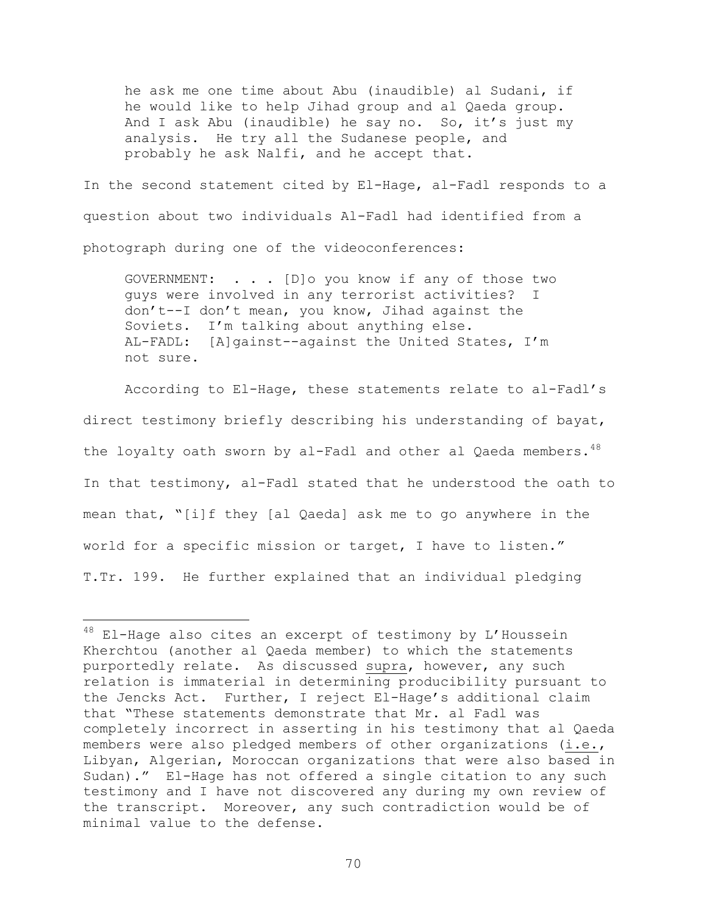he ask me one time about Abu (inaudible) al Sudani, if he would like to help Jihad group and al Qaeda group. And I ask Abu (inaudible) he say no. So, it's just my analysis. He try all the Sudanese people, and probably he ask Nalfi, and he accept that.

In the second statement cited by El-Hage, al-Fadl responds to a question about two individuals Al-Fadl had identified from a photograph during one of the videoconferences:

GOVERNMENT: . . . [D]o you know if any of those two guys were involved in any terrorist activities? I don't--I don't mean, you know, Jihad against the Soviets. I'm talking about anything else. AL-FADL: [A]gainst--against the United States, I'm not sure.

According to El-Hage, these statements relate to al-Fadl's direct testimony briefly describing his understanding of bayat, the loyalty oath sworn by al-Fadl and other al Qaeda members. 48 In that testimony, al-Fadl stated that he understood the oath to mean that, "[i]f they [al Qaeda] ask me to go anywhere in the world for a specific mission or target, I have to listen." T.Tr. 199. He further explained that an individual pledging

 $\overline{\phantom{0}}$ 

<sup>48</sup> El-Hage also cites an excerpt of testimony by L'Houssein Kherchtou (another al Qaeda member) to which the statements purportedly relate. As discussed supra, however, any such relation is immaterial in determining producibility pursuant to the Jencks Act. Further, I reject El-Hage's additional claim that "These statements demonstrate that Mr. al Fadl was completely incorrect in asserting in his testimony that al Qaeda members were also pledged members of other organizations (i.e., Libyan, Algerian, Moroccan organizations that were also based in Sudan)." El-Hage has not offered a single citation to any such testimony and I have not discovered any during my own review of the transcript. Moreover, any such contradiction would be of minimal value to the defense.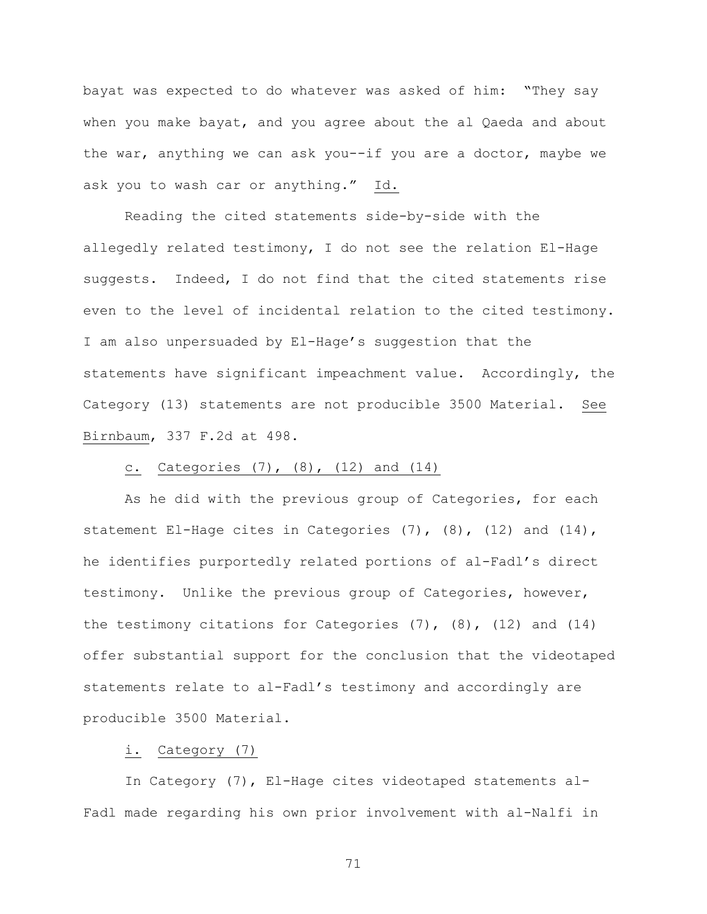bayat was expected to do whatever was asked of him: "They say when you make bayat, and you agree about the al Qaeda and about the war, anything we can ask you--if you are a doctor, maybe we ask you to wash car or anything." Id.

Reading the cited statements side-by-side with the allegedly related testimony, I do not see the relation El-Hage suggests. Indeed, I do not find that the cited statements rise even to the level of incidental relation to the cited testimony. I am also unpersuaded by El-Hage's suggestion that the statements have significant impeachment value. Accordingly, the Category (13) statements are not producible 3500 Material. See Birnbaum, 337 F.2d at 498.

# c. Categories (7), (8), (12) and (14)

As he did with the previous group of Categories, for each statement El-Hage cites in Categories  $(7)$ ,  $(8)$ ,  $(12)$  and  $(14)$ , he identifies purportedly related portions of al-Fadl's direct testimony. Unlike the previous group of Categories, however, the testimony citations for Categories  $(7)$ ,  $(8)$ ,  $(12)$  and  $(14)$ offer substantial support for the conclusion that the videotaped statements relate to al-Fadl's testimony and accordingly are producible 3500 Material.

### i. Category (7)

In Category (7), El-Hage cites videotaped statements al-Fadl made regarding his own prior involvement with al-Nalfi in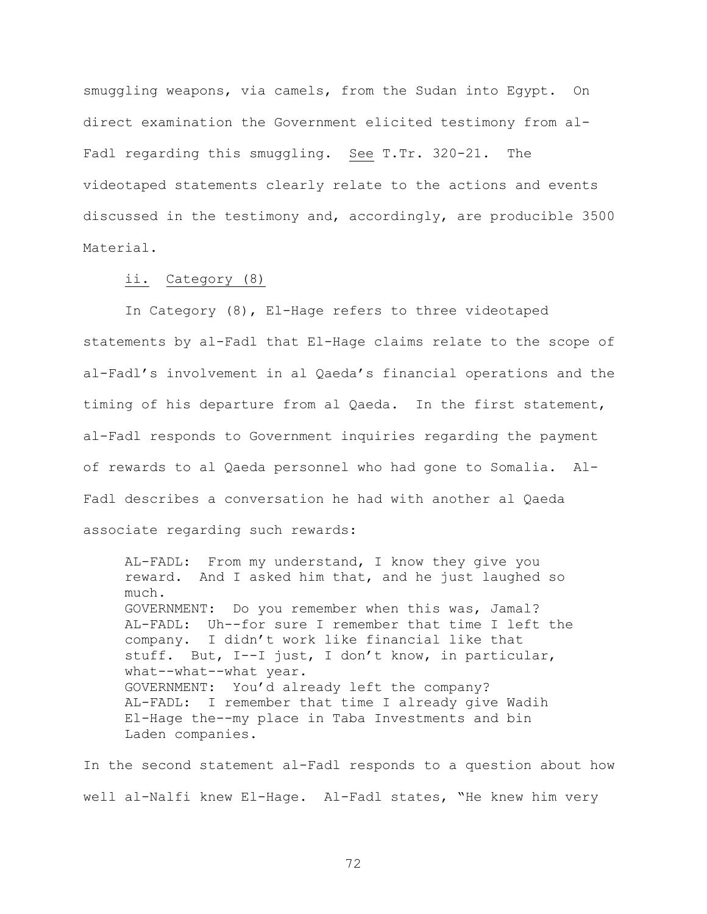smuggling weapons, via camels, from the Sudan into Egypt. On direct examination the Government elicited testimony from al-Fadl regarding this smuggling. See T.Tr. 320-21. The videotaped statements clearly relate to the actions and events discussed in the testimony and, accordingly, are producible 3500 Material.

### ii. Category (8)

In Category (8), El-Hage refers to three videotaped statements by al-Fadl that El-Hage claims relate to the scope of al-Fadl's involvement in al Qaeda's financial operations and the timing of his departure from al Qaeda. In the first statement, al-Fadl responds to Government inquiries regarding the payment of rewards to al Qaeda personnel who had gone to Somalia. Al-Fadl describes a conversation he had with another al Qaeda associate regarding such rewards:

AL-FADL: From my understand, I know they give you reward. And I asked him that, and he just laughed so much. GOVERNMENT: Do you remember when this was, Jamal? AL-FADL: Uh--for sure I remember that time I left the company. I didn't work like financial like that stuff. But, I--I just, I don't know, in particular, what--what--what year. GOVERNMENT: You'd already left the company? AL-FADL: I remember that time I already give Wadih El-Hage the--my place in Taba Investments and bin Laden companies.

In the second statement al-Fadl responds to a question about how well al-Nalfi knew El-Hage. Al-Fadl states, "He knew him very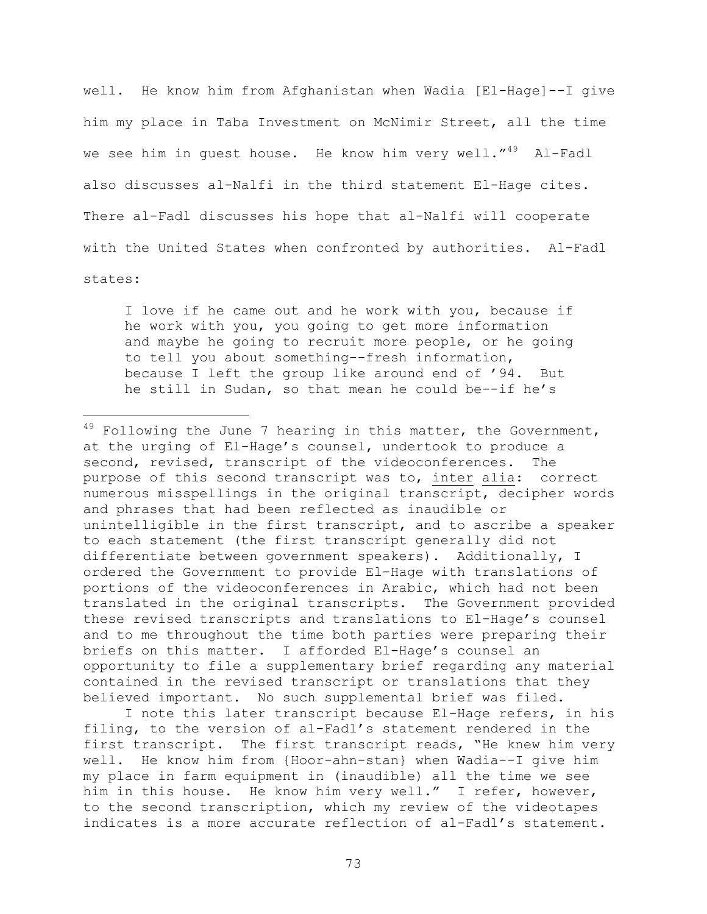well. He know him from Afghanistan when Wadia [El-Hage]--I give him my place in Taba Investment on McNimir Street, all the time we see him in quest house. He know him very well."<sup>49</sup> Al-Fadl also discusses al-Nalfi in the third statement El-Hage cites. There al-Fadl discusses his hope that al-Nalfi will cooperate with the United States when confronted by authorities. Al-Fadl states:

I love if he came out and he work with you, because if he work with you, you going to get more information and maybe he going to recruit more people, or he going to tell you about something--fresh information, because I left the group like around end of '94. But he still in Sudan, so that mean he could be--if he's

i<br>Li

 $49$  Following the June 7 hearing in this matter, the Government, at the urging of El-Hage's counsel, undertook to produce a second, revised, transcript of the videoconferences. The purpose of this second transcript was to, inter alia: correct numerous misspellings in the original transcript, decipher words and phrases that had been reflected as inaudible or unintelligible in the first transcript, and to ascribe a speaker to each statement (the first transcript generally did not differentiate between government speakers). Additionally, I ordered the Government to provide El-Hage with translations of portions of the videoconferences in Arabic, which had not been translated in the original transcripts. The Government provided these revised transcripts and translations to El-Hage's counsel and to me throughout the time both parties were preparing their briefs on this matter. I afforded El-Hage's counsel an opportunity to file a supplementary brief regarding any material contained in the revised transcript or translations that they believed important. No such supplemental brief was filed.

 I note this later transcript because El-Hage refers, in his filing, to the version of al-Fadl's statement rendered in the first transcript. The first transcript reads, "He knew him very well. He know him from {Hoor-ahn-stan} when Wadia--I give him my place in farm equipment in (inaudible) all the time we see him in this house. He know him very well." I refer, however, to the second transcription, which my review of the videotapes indicates is a more accurate reflection of al-Fadl's statement.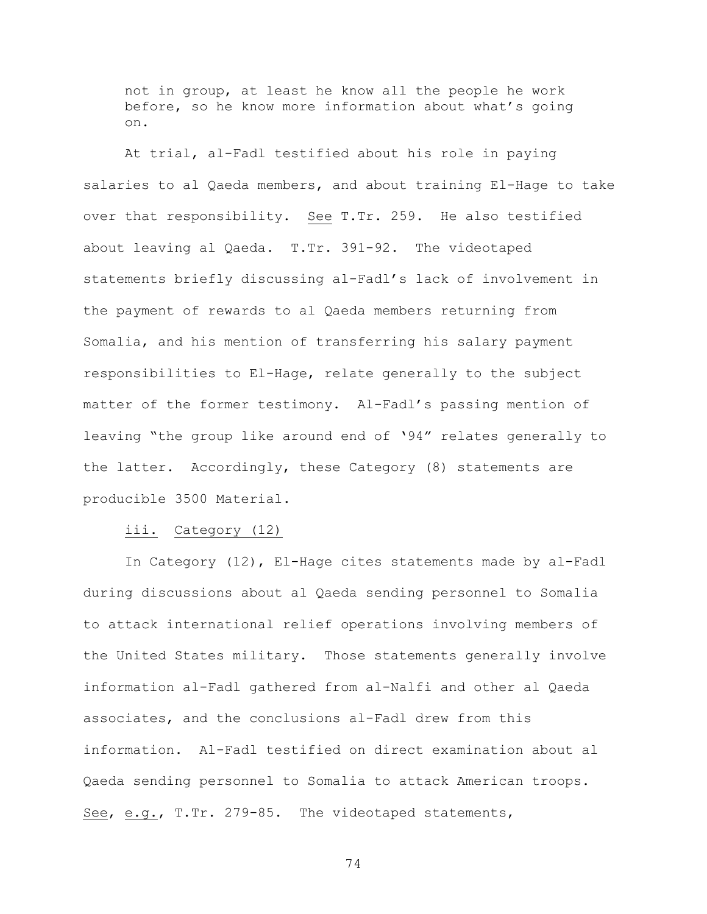not in group, at least he know all the people he work before, so he know more information about what's going on.

At trial, al-Fadl testified about his role in paying salaries to al Qaeda members, and about training El-Hage to take over that responsibility. See T.Tr. 259. He also testified about leaving al Qaeda. T.Tr. 391-92. The videotaped statements briefly discussing al-Fadl's lack of involvement in the payment of rewards to al Qaeda members returning from Somalia, and his mention of transferring his salary payment responsibilities to El-Hage, relate generally to the subject matter of the former testimony. Al-Fadl's passing mention of leaving "the group like around end of '94" relates generally to the latter. Accordingly, these Category (8) statements are producible 3500 Material.

iii. Category (12)

In Category (12), El-Hage cites statements made by al-Fadl during discussions about al Qaeda sending personnel to Somalia to attack international relief operations involving members of the United States military. Those statements generally involve information al-Fadl gathered from al-Nalfi and other al Qaeda associates, and the conclusions al-Fadl drew from this information. Al-Fadl testified on direct examination about al Qaeda sending personnel to Somalia to attack American troops. See, e.g., T.Tr. 279-85. The videotaped statements,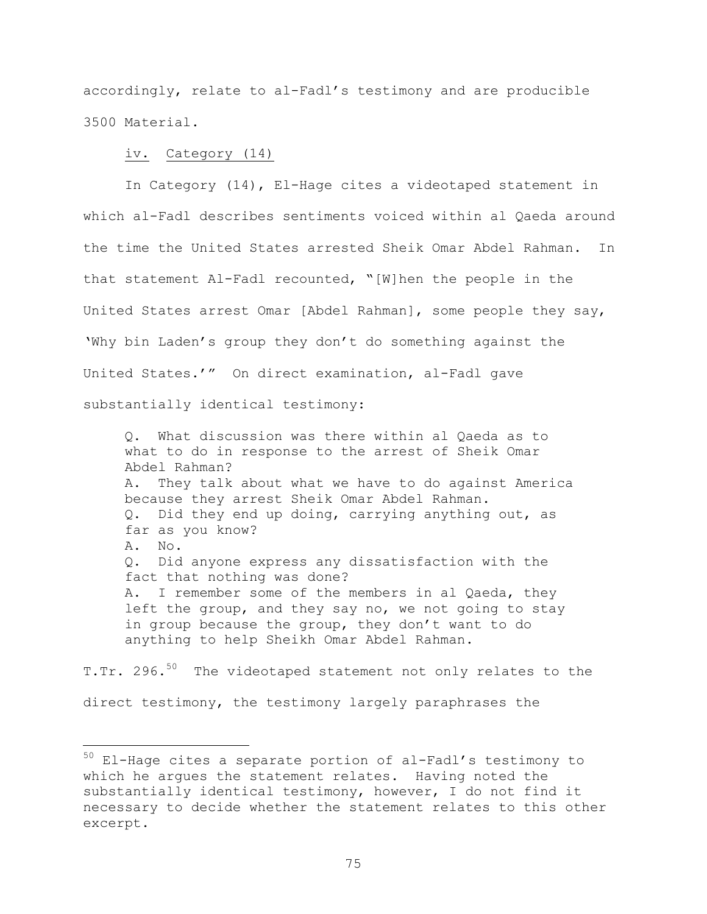accordingly, relate to al-Fadl's testimony and are producible 3500 Material.

#### iv. Category (14)

i<br>Li

In Category (14), El-Hage cites a videotaped statement in which al-Fadl describes sentiments voiced within al Qaeda around the time the United States arrested Sheik Omar Abdel Rahman. In that statement Al-Fadl recounted, "[W]hen the people in the United States arrest Omar [Abdel Rahman], some people they say, 'Why bin Laden's group they don't do something against the United States.'" On direct examination, al-Fadl gave substantially identical testimony:

Q. What discussion was there within al Qaeda as to what to do in response to the arrest of Sheik Omar Abdel Rahman? A. They talk about what we have to do against America because they arrest Sheik Omar Abdel Rahman. Q. Did they end up doing, carrying anything out, as far as you know? A. No. Q. Did anyone express any dissatisfaction with the fact that nothing was done? A. I remember some of the members in al Qaeda, they left the group, and they say no, we not going to stay in group because the group, they don't want to do anything to help Sheikh Omar Abdel Rahman.

T.Tr. 296.<sup>50</sup> The videotaped statement not only relates to the direct testimony, the testimony largely paraphrases the

<sup>&</sup>lt;sup>50</sup> El-Hage cites a separate portion of al-Fadl's testimony to which he argues the statement relates. Having noted the substantially identical testimony, however, I do not find it necessary to decide whether the statement relates to this other excerpt.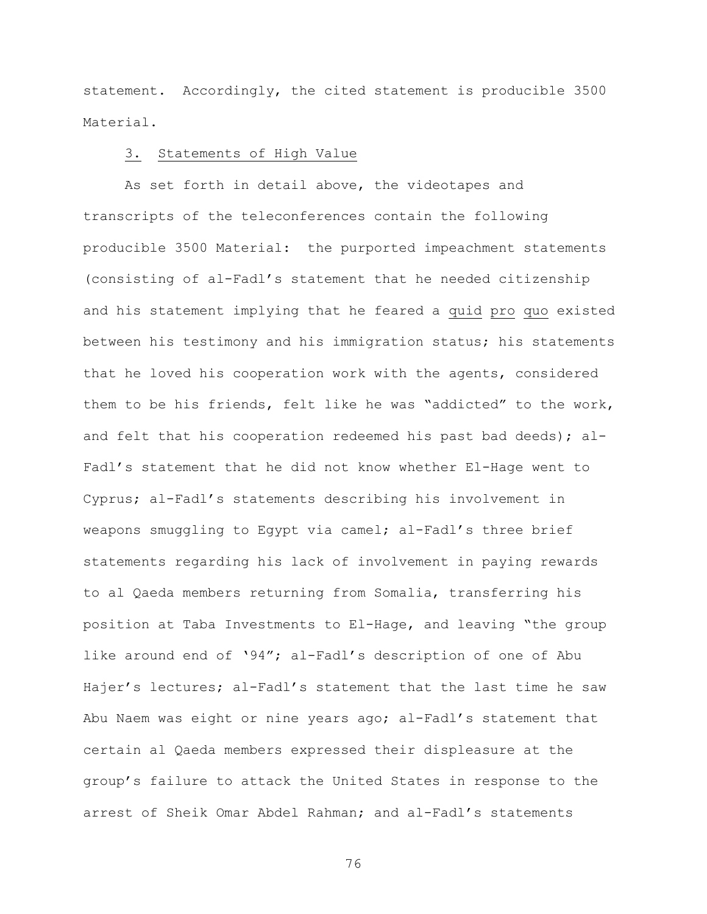statement. Accordingly, the cited statement is producible 3500 Material.

### 3. Statements of High Value

As set forth in detail above, the videotapes and transcripts of the teleconferences contain the following producible 3500 Material: the purported impeachment statements (consisting of al-Fadl's statement that he needed citizenship and his statement implying that he feared a quid pro quo existed between his testimony and his immigration status; his statements that he loved his cooperation work with the agents, considered them to be his friends, felt like he was "addicted" to the work, and felt that his cooperation redeemed his past bad deeds); al-Fadl's statement that he did not know whether El-Hage went to Cyprus; al-Fadl's statements describing his involvement in weapons smuggling to Egypt via camel; al-Fadl's three brief statements regarding his lack of involvement in paying rewards to al Qaeda members returning from Somalia, transferring his position at Taba Investments to El-Hage, and leaving "the group like around end of '94"; al-Fadl's description of one of Abu Hajer's lectures; al-Fadl's statement that the last time he saw Abu Naem was eight or nine years ago; al-Fadl's statement that certain al Qaeda members expressed their displeasure at the group's failure to attack the United States in response to the arrest of Sheik Omar Abdel Rahman; and al-Fadl's statements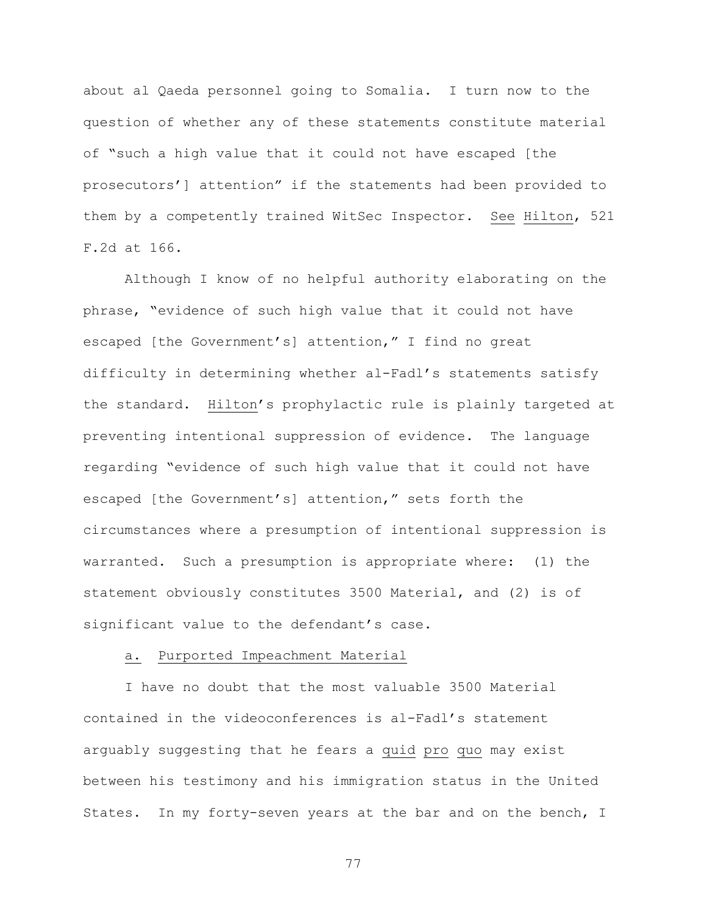about al Qaeda personnel going to Somalia. I turn now to the question of whether any of these statements constitute material of "such a high value that it could not have escaped [the prosecutors'] attention" if the statements had been provided to them by a competently trained WitSec Inspector. See Hilton, 521 F.2d at 166.

Although I know of no helpful authority elaborating on the phrase, "evidence of such high value that it could not have escaped [the Government's] attention," I find no great difficulty in determining whether al-Fadl's statements satisfy the standard. Hilton's prophylactic rule is plainly targeted at preventing intentional suppression of evidence. The language regarding "evidence of such high value that it could not have escaped [the Government's] attention," sets forth the circumstances where a presumption of intentional suppression is warranted. Such a presumption is appropriate where: (1) the statement obviously constitutes 3500 Material, and (2) is of significant value to the defendant's case.

### a. Purported Impeachment Material

I have no doubt that the most valuable 3500 Material contained in the videoconferences is al-Fadl's statement arguably suggesting that he fears a quid pro quo may exist between his testimony and his immigration status in the United States. In my forty-seven years at the bar and on the bench, I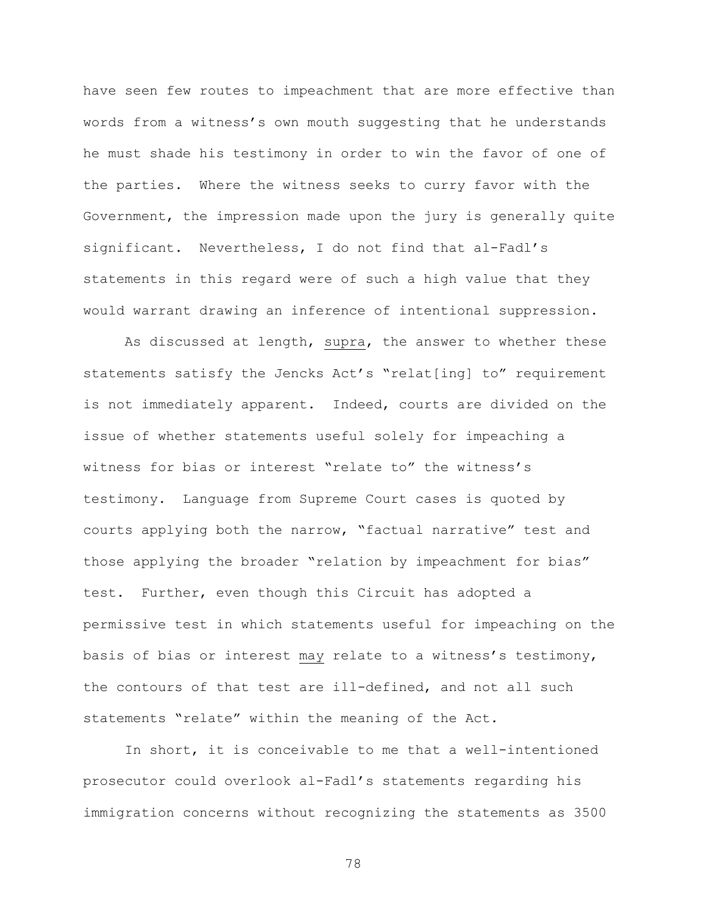have seen few routes to impeachment that are more effective than words from a witness's own mouth suggesting that he understands he must shade his testimony in order to win the favor of one of the parties. Where the witness seeks to curry favor with the Government, the impression made upon the jury is generally quite significant. Nevertheless, I do not find that al-Fadl's statements in this regard were of such a high value that they would warrant drawing an inference of intentional suppression.

As discussed at length, supra, the answer to whether these statements satisfy the Jencks Act's "relat[ing] to" requirement is not immediately apparent. Indeed, courts are divided on the issue of whether statements useful solely for impeaching a witness for bias or interest "relate to" the witness's testimony. Language from Supreme Court cases is quoted by courts applying both the narrow, "factual narrative" test and those applying the broader "relation by impeachment for bias" test. Further, even though this Circuit has adopted a permissive test in which statements useful for impeaching on the basis of bias or interest may relate to a witness's testimony, the contours of that test are ill-defined, and not all such statements "relate" within the meaning of the Act.

In short, it is conceivable to me that a well-intentioned prosecutor could overlook al-Fadl's statements regarding his immigration concerns without recognizing the statements as 3500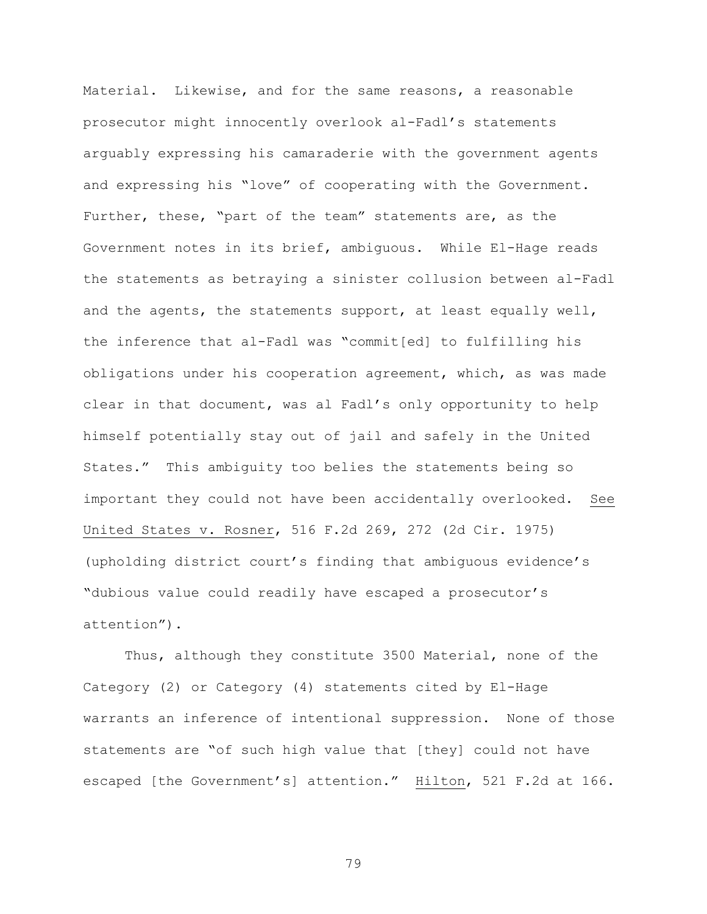Material. Likewise, and for the same reasons, a reasonable prosecutor might innocently overlook al-Fadl's statements arguably expressing his camaraderie with the government agents and expressing his "love" of cooperating with the Government. Further, these, "part of the team" statements are, as the Government notes in its brief, ambiguous. While El-Hage reads the statements as betraying a sinister collusion between al-Fadl and the agents, the statements support, at least equally well, the inference that al-Fadl was "commit[ed] to fulfilling his obligations under his cooperation agreement, which, as was made clear in that document, was al Fadl's only opportunity to help himself potentially stay out of jail and safely in the United States." This ambiguity too belies the statements being so important they could not have been accidentally overlooked. See United States v. Rosner, 516 F.2d 269, 272 (2d Cir. 1975) (upholding district court's finding that ambiguous evidence's "dubious value could readily have escaped a prosecutor's attention").

Thus, although they constitute 3500 Material, none of the Category (2) or Category (4) statements cited by El-Hage warrants an inference of intentional suppression. None of those statements are "of such high value that [they] could not have escaped [the Government's] attention." Hilton, 521 F.2d at 166.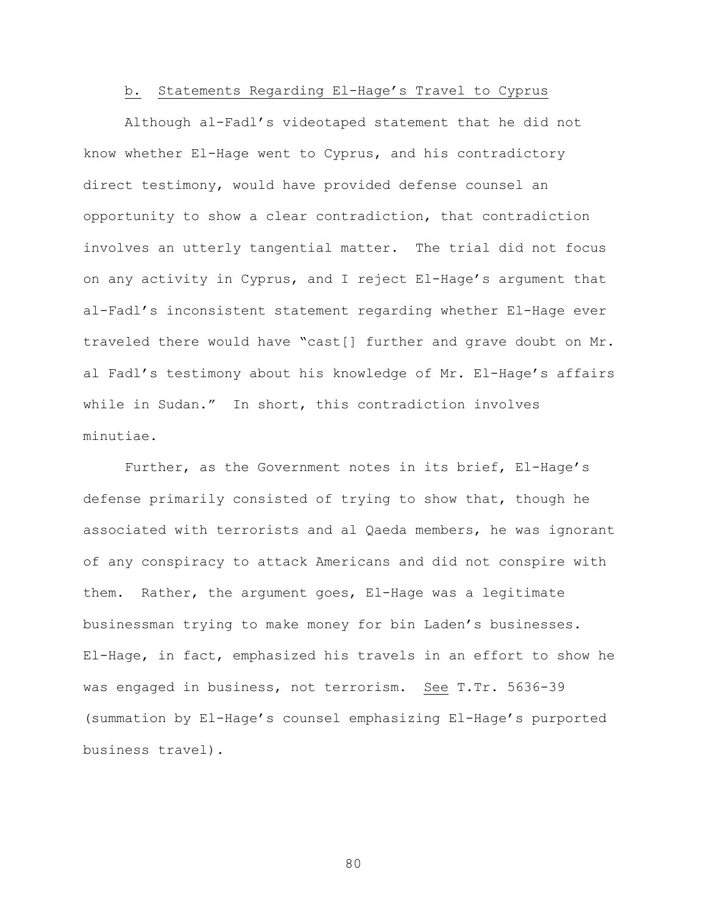### b. Statements Regarding El-Hage's Travel to Cyprus

Although al-Fadl's videotaped statement that he did not know whether El-Hage went to Cyprus, and his contradictory direct testimony, would have provided defense counsel an opportunity to show a clear contradiction, that contradiction involves an utterly tangential matter. The trial did not focus on any activity in Cyprus, and I reject El-Hage's argument that al-Fadl's inconsistent statement regarding whether El-Hage ever traveled there would have "cast[] further and grave doubt on Mr. al Fadl's testimony about his knowledge of Mr. El-Hage's affairs while in Sudan." In short, this contradiction involves minutiae.

Further, as the Government notes in its brief, El-Hage's defense primarily consisted of trying to show that, though he associated with terrorists and al Qaeda members, he was ignorant of any conspiracy to attack Americans and did not conspire with them. Rather, the argument goes, El-Hage was a legitimate businessman trying to make money for bin Laden's businesses. El-Hage, in fact, emphasized his travels in an effort to show he was engaged in business, not terrorism. See T.Tr. 5636-39 (summation by El-Hage's counsel emphasizing El-Hage's purported business travel).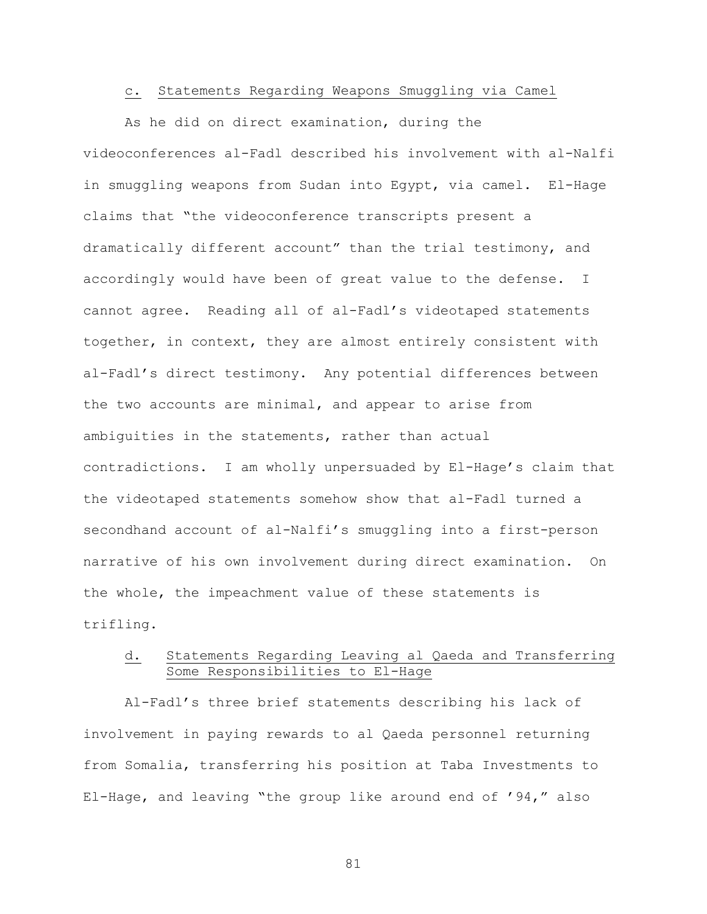#### c. Statements Regarding Weapons Smuggling via Camel

As he did on direct examination, during the videoconferences al-Fadl described his involvement with al-Nalfi in smuggling weapons from Sudan into Egypt, via camel. El-Hage claims that "the videoconference transcripts present a dramatically different account" than the trial testimony, and accordingly would have been of great value to the defense. I cannot agree. Reading all of al-Fadl's videotaped statements together, in context, they are almost entirely consistent with al-Fadl's direct testimony. Any potential differences between the two accounts are minimal, and appear to arise from ambiguities in the statements, rather than actual contradictions. I am wholly unpersuaded by El-Hage's claim that the videotaped statements somehow show that al-Fadl turned a secondhand account of al-Nalfi's smuggling into a first-person narrative of his own involvement during direct examination. On the whole, the impeachment value of these statements is trifling.

# d. Statements Regarding Leaving al Qaeda and Transferring Some Responsibilities to El-Hage

Al-Fadl's three brief statements describing his lack of involvement in paying rewards to al Qaeda personnel returning from Somalia, transferring his position at Taba Investments to El-Hage, and leaving "the group like around end of '94," also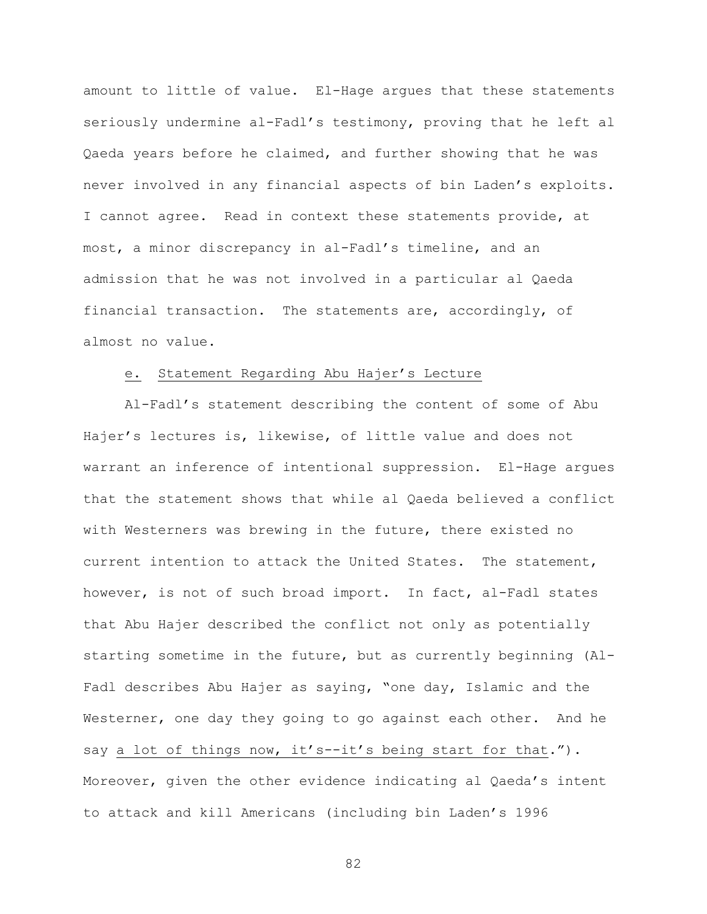amount to little of value. El-Hage argues that these statements seriously undermine al-Fadl's testimony, proving that he left al Qaeda years before he claimed, and further showing that he was never involved in any financial aspects of bin Laden's exploits. I cannot agree. Read in context these statements provide, at most, a minor discrepancy in al-Fadl's timeline, and an admission that he was not involved in a particular al Qaeda financial transaction. The statements are, accordingly, of almost no value.

### e. Statement Regarding Abu Hajer's Lecture

Al-Fadl's statement describing the content of some of Abu Hajer's lectures is, likewise, of little value and does not warrant an inference of intentional suppression. El-Hage argues that the statement shows that while al Qaeda believed a conflict with Westerners was brewing in the future, there existed no current intention to attack the United States. The statement, however, is not of such broad import. In fact, al-Fadl states that Abu Hajer described the conflict not only as potentially starting sometime in the future, but as currently beginning (Al-Fadl describes Abu Hajer as saying, "one day, Islamic and the Westerner, one day they going to go against each other. And he say a lot of things now, it's--it's being start for that."). Moreover, given the other evidence indicating al Qaeda's intent to attack and kill Americans (including bin Laden's 1996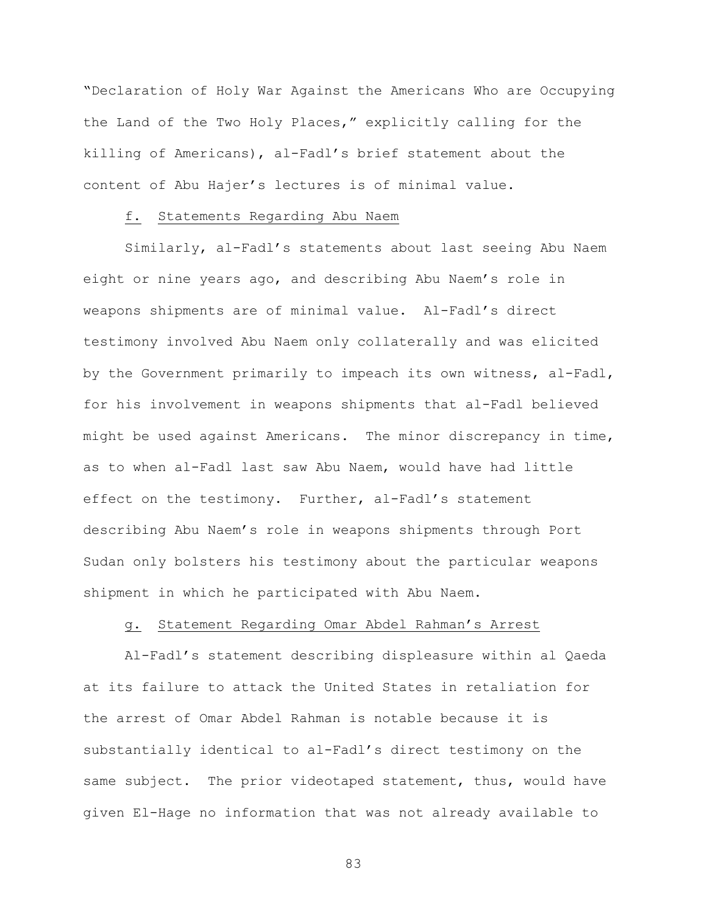"Declaration of Holy War Against the Americans Who are Occupying the Land of the Two Holy Places," explicitly calling for the killing of Americans), al-Fadl's brief statement about the content of Abu Hajer's lectures is of minimal value.

### f. Statements Regarding Abu Naem

Similarly, al-Fadl's statements about last seeing Abu Naem eight or nine years ago, and describing Abu Naem's role in weapons shipments are of minimal value. Al-Fadl's direct testimony involved Abu Naem only collaterally and was elicited by the Government primarily to impeach its own witness, al-Fadl, for his involvement in weapons shipments that al-Fadl believed might be used against Americans. The minor discrepancy in time, as to when al-Fadl last saw Abu Naem, would have had little effect on the testimony. Further, al-Fadl's statement describing Abu Naem's role in weapons shipments through Port Sudan only bolsters his testimony about the particular weapons shipment in which he participated with Abu Naem.

## g. Statement Regarding Omar Abdel Rahman's Arrest

Al-Fadl's statement describing displeasure within al Qaeda at its failure to attack the United States in retaliation for the arrest of Omar Abdel Rahman is notable because it is substantially identical to al-Fadl's direct testimony on the same subject. The prior videotaped statement, thus, would have given El-Hage no information that was not already available to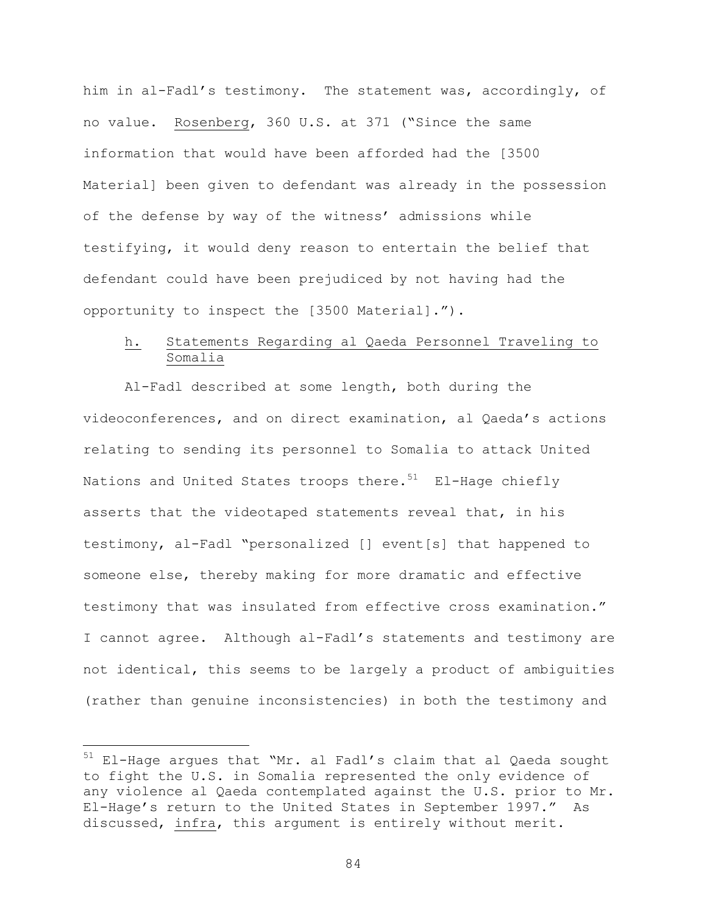him in al-Fadl's testimony. The statement was, accordingly, of no value. Rosenberg, 360 U.S. at 371 ("Since the same information that would have been afforded had the [3500 Material] been given to defendant was already in the possession of the defense by way of the witness' admissions while testifying, it would deny reason to entertain the belief that defendant could have been prejudiced by not having had the opportunity to inspect the [3500 Material].").

# h. Statements Regarding al Qaeda Personnel Traveling to Somalia

Al-Fadl described at some length, both during the videoconferences, and on direct examination, al Qaeda's actions relating to sending its personnel to Somalia to attack United Nations and United States troops there.<sup>51</sup> El-Hage chiefly asserts that the videotaped statements reveal that, in his testimony, al-Fadl "personalized [] event[s] that happened to someone else, thereby making for more dramatic and effective testimony that was insulated from effective cross examination." I cannot agree. Although al-Fadl's statements and testimony are not identical, this seems to be largely a product of ambiguities (rather than genuine inconsistencies) in both the testimony and

 $\overline{\phantom{0}}$ 

<sup>&</sup>lt;sup>51</sup> El-Hage argues that "Mr. al Fadl's claim that al Qaeda sought to fight the U.S. in Somalia represented the only evidence of any violence al Qaeda contemplated against the U.S. prior to Mr. El-Hage's return to the United States in September 1997." As discussed, infra, this argument is entirely without merit.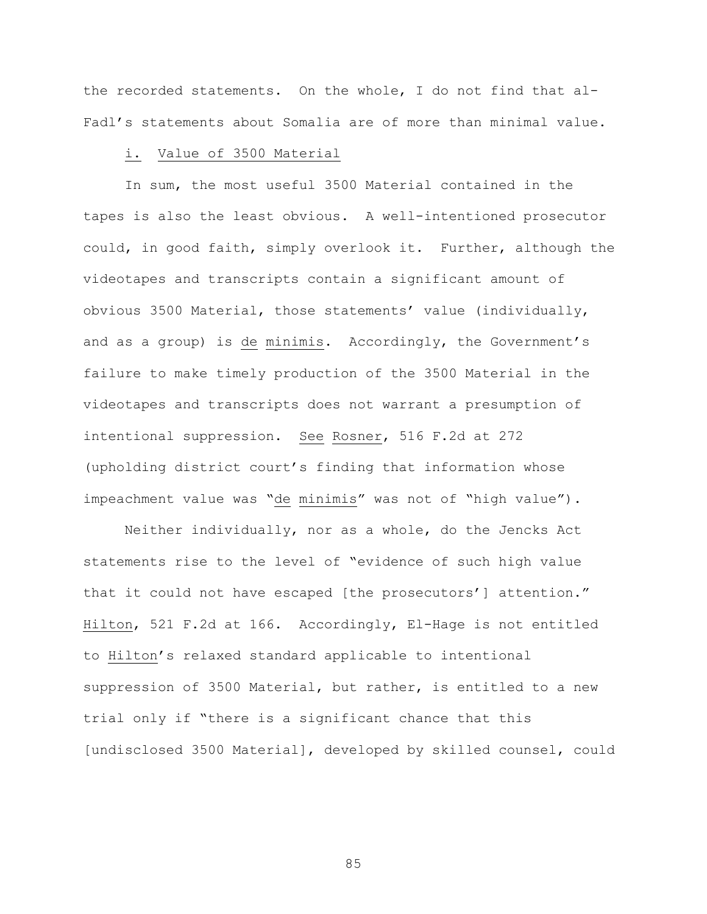the recorded statements. On the whole, I do not find that al-Fadl's statements about Somalia are of more than minimal value.

### i. Value of 3500 Material

In sum, the most useful 3500 Material contained in the tapes is also the least obvious. A well-intentioned prosecutor could, in good faith, simply overlook it. Further, although the videotapes and transcripts contain a significant amount of obvious 3500 Material, those statements' value (individually, and as a group) is de minimis. Accordingly, the Government's failure to make timely production of the 3500 Material in the videotapes and transcripts does not warrant a presumption of intentional suppression. See Rosner, 516 F.2d at 272 (upholding district court's finding that information whose impeachment value was "de minimis" was not of "high value").

Neither individually, nor as a whole, do the Jencks Act statements rise to the level of "evidence of such high value that it could not have escaped [the prosecutors'] attention." Hilton, 521 F.2d at 166. Accordingly, El-Hage is not entitled to Hilton's relaxed standard applicable to intentional suppression of 3500 Material, but rather, is entitled to a new trial only if "there is a significant chance that this [undisclosed 3500 Material], developed by skilled counsel, could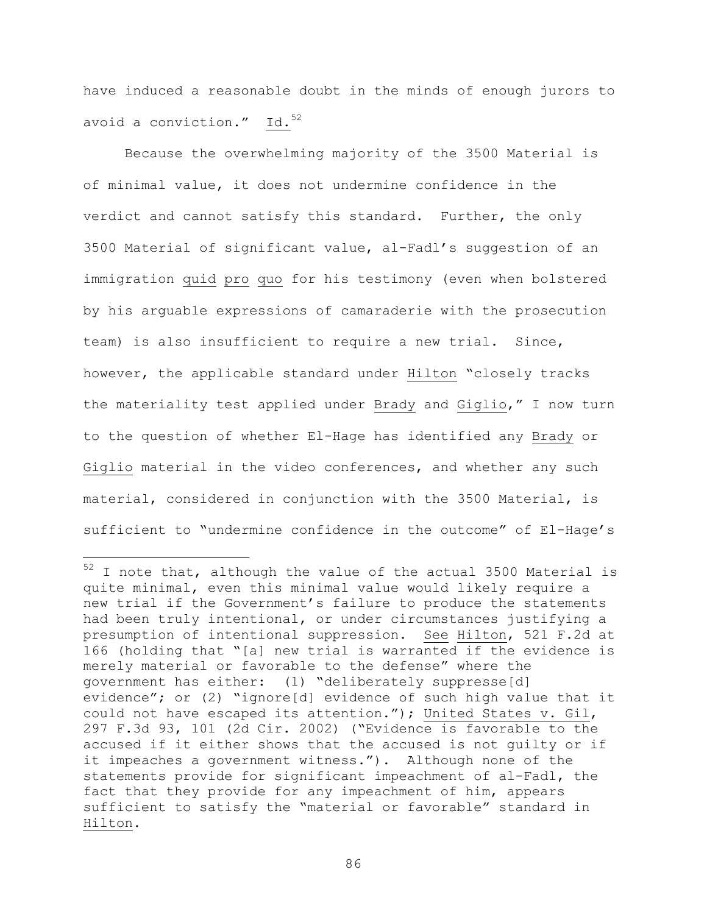have induced a reasonable doubt in the minds of enough jurors to avoid a conviction."  $Id.<sup>52</sup>$ 

Because the overwhelming majority of the 3500 Material is of minimal value, it does not undermine confidence in the verdict and cannot satisfy this standard. Further, the only 3500 Material of significant value, al-Fadl's suggestion of an immigration quid pro quo for his testimony (even when bolstered by his arguable expressions of camaraderie with the prosecution team) is also insufficient to require a new trial. Since, however, the applicable standard under Hilton "closely tracks the materiality test applied under Brady and Giglio," I now turn to the question of whether El-Hage has identified any Brady or Giglio material in the video conferences, and whether any such material, considered in conjunction with the 3500 Material, is sufficient to "undermine confidence in the outcome" of El-Hage's

i<br>Li

 $52$  I note that, although the value of the actual 3500 Material is quite minimal, even this minimal value would likely require a new trial if the Government's failure to produce the statements had been truly intentional, or under circumstances justifying a presumption of intentional suppression. See Hilton, 521 F.2d at 166 (holding that "[a] new trial is warranted if the evidence is merely material or favorable to the defense" where the government has either: (1) "deliberately suppresse[d] evidence"; or (2) "ignore[d] evidence of such high value that it could not have escaped its attention."); United States v. Gil, 297 F.3d 93, 101 (2d Cir. 2002) ("Evidence is favorable to the accused if it either shows that the accused is not guilty or if it impeaches a government witness."). Although none of the statements provide for significant impeachment of al-Fadl, the fact that they provide for any impeachment of him, appears sufficient to satisfy the "material or favorable" standard in Hilton.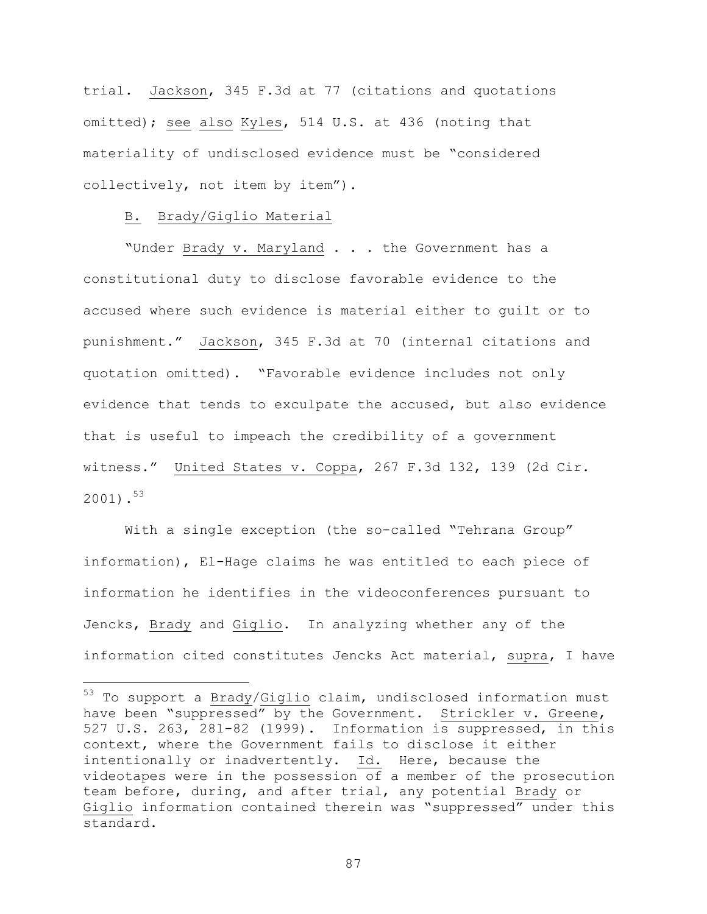trial. Jackson, 345 F.3d at 77 (citations and quotations omitted); see also Kyles, 514 U.S. at 436 (noting that materiality of undisclosed evidence must be "considered collectively, not item by item").

### B. Brady/Giglio Material

i<br>Li

"Under Brady v. Maryland . . . the Government has a constitutional duty to disclose favorable evidence to the accused where such evidence is material either to guilt or to punishment." Jackson, 345 F.3d at 70 (internal citations and quotation omitted). "Favorable evidence includes not only evidence that tends to exculpate the accused, but also evidence that is useful to impeach the credibility of a government witness." United States v. Coppa, 267 F.3d 132, 139 (2d Cir. 2001).<sup>53</sup>

With a single exception (the so-called "Tehrana Group" information), El-Hage claims he was entitled to each piece of information he identifies in the videoconferences pursuant to Jencks, Brady and Giglio. In analyzing whether any of the information cited constitutes Jencks Act material, supra, I have

<sup>&</sup>lt;sup>53</sup> To support a Brady/Giglio claim, undisclosed information must have been "suppressed" by the Government. Strickler v. Greene, 527 U.S. 263, 281-82 (1999). Information is suppressed, in this context, where the Government fails to disclose it either intentionally or inadvertently. Id. Here, because the videotapes were in the possession of a member of the prosecution team before, during, and after trial, any potential Brady or Giglio information contained therein was "suppressed" under this standard.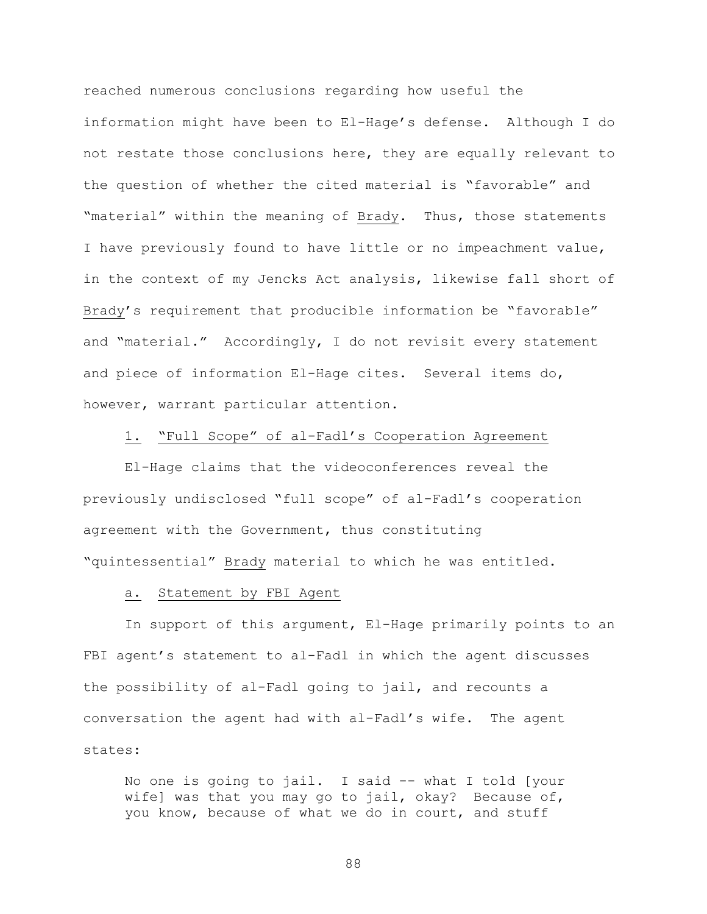reached numerous conclusions regarding how useful the information might have been to El-Hage's defense. Although I do not restate those conclusions here, they are equally relevant to the question of whether the cited material is "favorable" and "material" within the meaning of Brady. Thus, those statements I have previously found to have little or no impeachment value, in the context of my Jencks Act analysis, likewise fall short of Brady's requirement that producible information be "favorable" and "material." Accordingly, I do not revisit every statement and piece of information El-Hage cites. Several items do, however, warrant particular attention.

## 1. "Full Scope" of al-Fadl's Cooperation Agreement

El-Hage claims that the videoconferences reveal the previously undisclosed "full scope" of al-Fadl's cooperation agreement with the Government, thus constituting "quintessential" Brady material to which he was entitled.

#### a. Statement by FBI Agent

In support of this argument, El-Hage primarily points to an FBI agent's statement to al-Fadl in which the agent discusses the possibility of al-Fadl going to jail, and recounts a conversation the agent had with al-Fadl's wife. The agent states:

No one is going to jail. I said -- what I told [your wife] was that you may go to jail, okay? Because of, you know, because of what we do in court, and stuff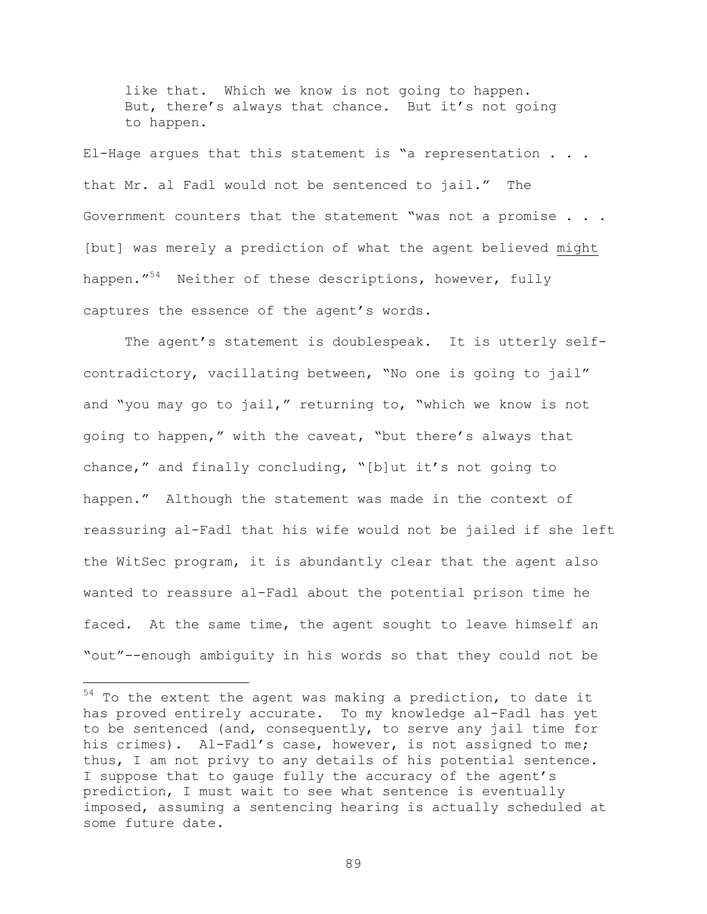like that. Which we know is not going to happen. But, there's always that chance. But it's not going to happen.

El-Hage argues that this statement is "a representation . . . that Mr. al Fadl would not be sentenced to jail." The Government counters that the statement "was not a promise . . . [but] was merely a prediction of what the agent believed might happen."<sup>54</sup> Neither of these descriptions, however, fully captures the essence of the agent's words.

The agent's statement is doublespeak. It is utterly selfcontradictory, vacillating between, "No one is going to jail" and "you may go to jail," returning to, "which we know is not going to happen," with the caveat, "but there's always that chance," and finally concluding, "[b]ut it's not going to happen." Although the statement was made in the context of reassuring al-Fadl that his wife would not be jailed if she left the WitSec program, it is abundantly clear that the agent also wanted to reassure al-Fadl about the potential prison time he faced. At the same time, the agent sought to leave himself an "out"--enough ambiguity in his words so that they could not be

i<br>Li

 $54$  To the extent the agent was making a prediction, to date it has proved entirely accurate. To my knowledge al-Fadl has yet to be sentenced (and, consequently, to serve any jail time for his crimes). Al-Fadl's case, however, is not assigned to me; thus, I am not privy to any details of his potential sentence. I suppose that to gauge fully the accuracy of the agent's prediction, I must wait to see what sentence is eventually imposed, assuming a sentencing hearing is actually scheduled at some future date.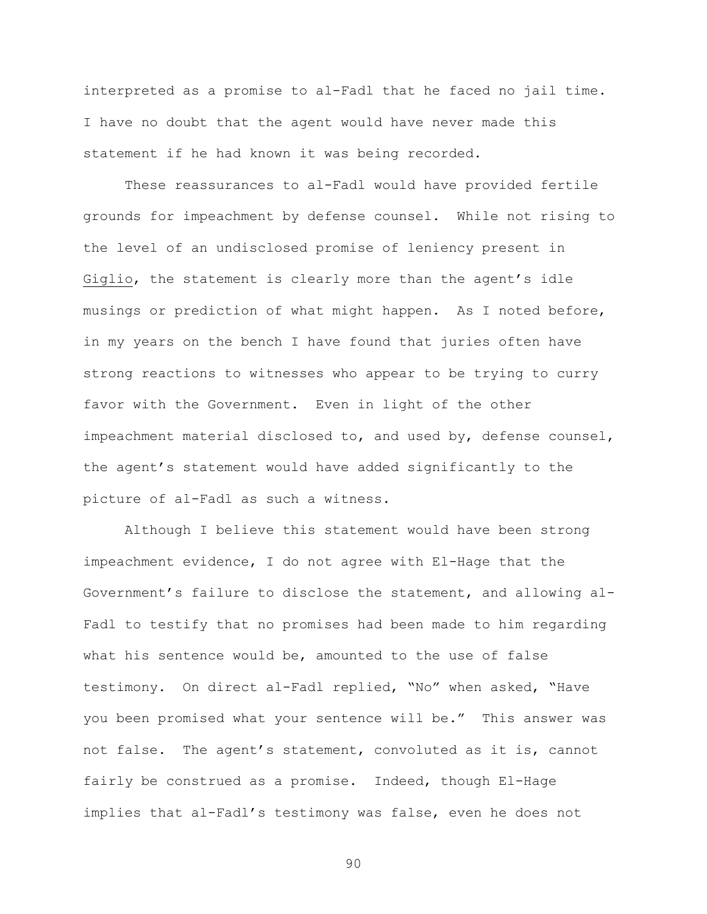interpreted as a promise to al-Fadl that he faced no jail time. I have no doubt that the agent would have never made this statement if he had known it was being recorded.

These reassurances to al-Fadl would have provided fertile grounds for impeachment by defense counsel. While not rising to the level of an undisclosed promise of leniency present in Giglio, the statement is clearly more than the agent's idle musings or prediction of what might happen. As I noted before, in my years on the bench I have found that juries often have strong reactions to witnesses who appear to be trying to curry favor with the Government. Even in light of the other impeachment material disclosed to, and used by, defense counsel, the agent's statement would have added significantly to the picture of al-Fadl as such a witness.

Although I believe this statement would have been strong impeachment evidence, I do not agree with El-Hage that the Government's failure to disclose the statement, and allowing al-Fadl to testify that no promises had been made to him regarding what his sentence would be, amounted to the use of false testimony. On direct al-Fadl replied, "No" when asked, "Have you been promised what your sentence will be." This answer was not false. The agent's statement, convoluted as it is, cannot fairly be construed as a promise. Indeed, though El-Hage implies that al-Fadl's testimony was false, even he does not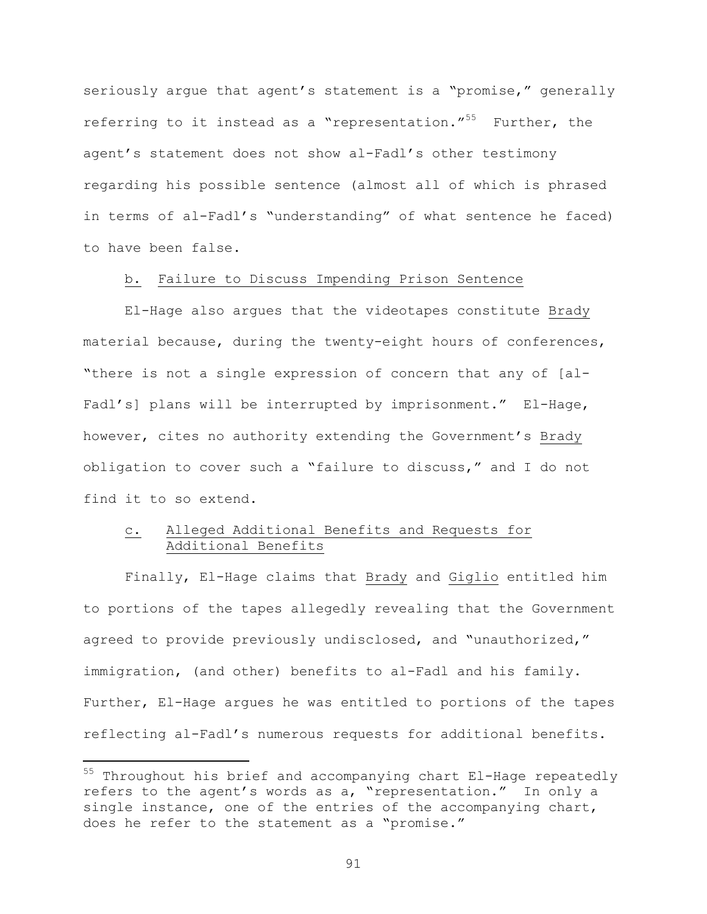seriously argue that agent's statement is a "promise," generally referring to it instead as a "representation."<sup>55</sup> Further, the agent's statement does not show al-Fadl's other testimony regarding his possible sentence (almost all of which is phrased in terms of al-Fadl's "understanding" of what sentence he faced) to have been false.

# b. Failure to Discuss Impending Prison Sentence

El-Hage also argues that the videotapes constitute Brady material because, during the twenty-eight hours of conferences, "there is not a single expression of concern that any of [al-Fadl's] plans will be interrupted by imprisonment." El-Hage, however, cites no authority extending the Government's Brady obligation to cover such a "failure to discuss," and I do not find it to so extend.

# c. Alleged Additional Benefits and Requests for Additional Benefits

Finally, El-Hage claims that Brady and Giglio entitled him to portions of the tapes allegedly revealing that the Government agreed to provide previously undisclosed, and "unauthorized," immigration, (and other) benefits to al-Fadl and his family. Further, El-Hage argues he was entitled to portions of the tapes reflecting al-Fadl's numerous requests for additional benefits.

i

<sup>&</sup>lt;sup>55</sup> Throughout his brief and accompanying chart El-Hage repeatedly refers to the agent's words as a, "representation." In only a single instance, one of the entries of the accompanying chart, does he refer to the statement as a "promise."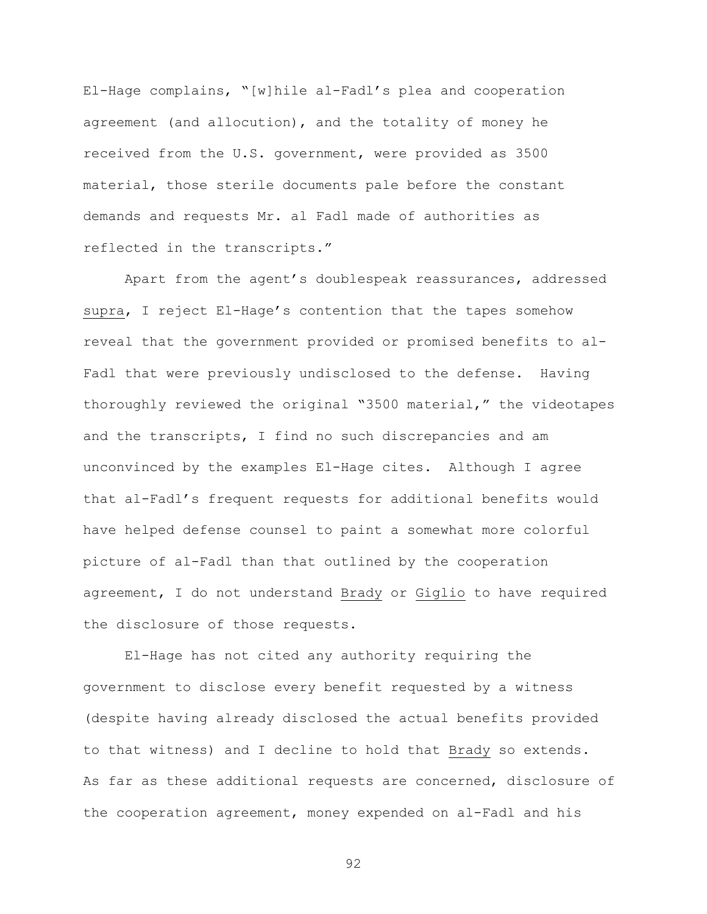El-Hage complains, "[w]hile al-Fadl's plea and cooperation agreement (and allocution), and the totality of money he received from the U.S. government, were provided as 3500 material, those sterile documents pale before the constant demands and requests Mr. al Fadl made of authorities as reflected in the transcripts."

Apart from the agent's doublespeak reassurances, addressed supra, I reject El-Hage's contention that the tapes somehow reveal that the government provided or promised benefits to al-Fadl that were previously undisclosed to the defense. Having thoroughly reviewed the original "3500 material," the videotapes and the transcripts, I find no such discrepancies and am unconvinced by the examples El-Hage cites. Although I agree that al-Fadl's frequent requests for additional benefits would have helped defense counsel to paint a somewhat more colorful picture of al-Fadl than that outlined by the cooperation agreement, I do not understand Brady or Giglio to have required the disclosure of those requests.

El-Hage has not cited any authority requiring the government to disclose every benefit requested by a witness (despite having already disclosed the actual benefits provided to that witness) and I decline to hold that Brady so extends. As far as these additional requests are concerned, disclosure of the cooperation agreement, money expended on al-Fadl and his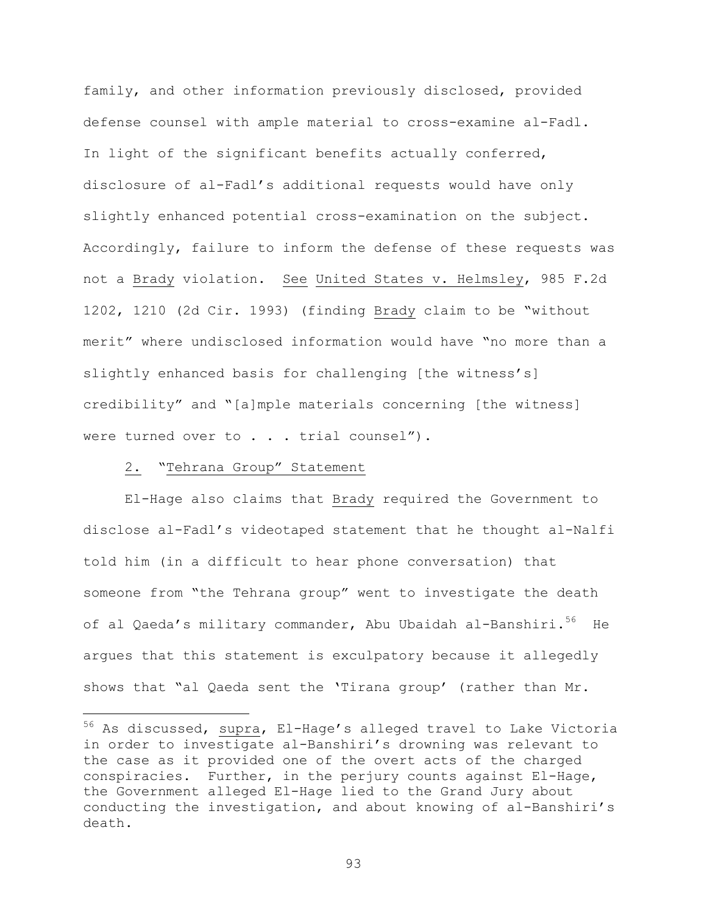family, and other information previously disclosed, provided defense counsel with ample material to cross-examine al-Fadl. In light of the significant benefits actually conferred, disclosure of al-Fadl's additional requests would have only slightly enhanced potential cross-examination on the subject. Accordingly, failure to inform the defense of these requests was not a Brady violation. See United States v. Helmsley, 985 F.2d 1202, 1210 (2d Cir. 1993) (finding Brady claim to be "without merit" where undisclosed information would have "no more than a slightly enhanced basis for challenging [the witness's] credibility" and "[a]mple materials concerning [the witness] were turned over to . . . trial counsel").

# 2. "Tehrana Group" Statement

i

El-Hage also claims that Brady required the Government to disclose al-Fadl's videotaped statement that he thought al-Nalfi told him (in a difficult to hear phone conversation) that someone from "the Tehrana group" went to investigate the death of al Qaeda's military commander, Abu Ubaidah al-Banshiri.<sup>56</sup> He argues that this statement is exculpatory because it allegedly shows that "al Qaeda sent the 'Tirana group' (rather than Mr.

<sup>&</sup>lt;sup>56</sup> As discussed, supra, El-Hage's alleged travel to Lake Victoria in order to investigate al-Banshiri's drowning was relevant to the case as it provided one of the overt acts of the charged conspiracies. Further, in the perjury counts against El-Hage, the Government alleged El-Hage lied to the Grand Jury about conducting the investigation, and about knowing of al-Banshiri's death.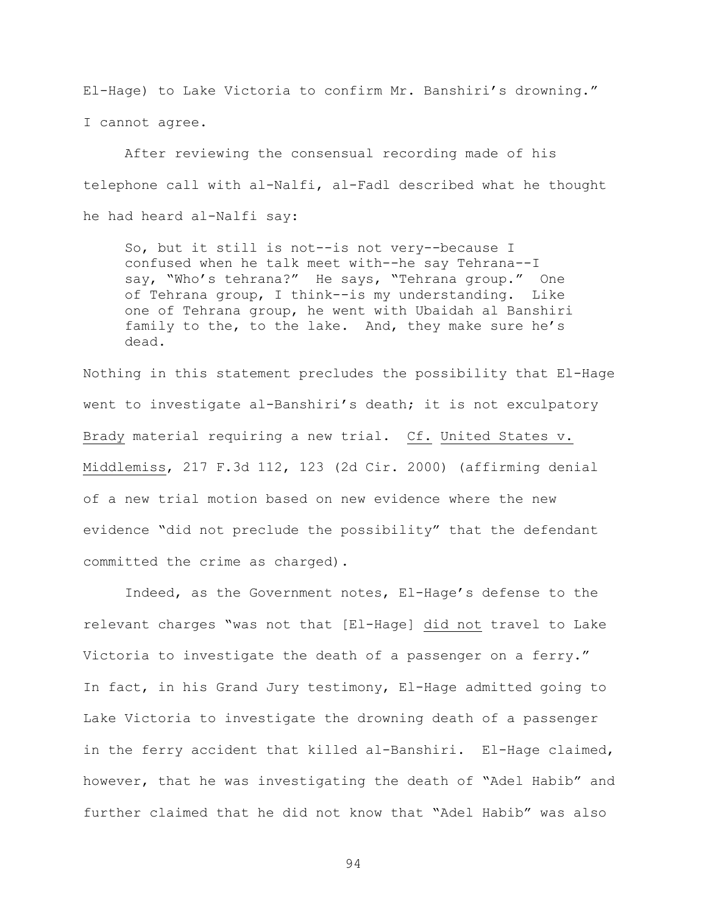El-Hage) to Lake Victoria to confirm Mr. Banshiri's drowning." I cannot agree.

After reviewing the consensual recording made of his telephone call with al-Nalfi, al-Fadl described what he thought he had heard al-Nalfi say:

So, but it still is not--is not very--because I confused when he talk meet with--he say Tehrana--I say, "Who's tehrana?" He says, "Tehrana group." One of Tehrana group, I think--is my understanding. Like one of Tehrana group, he went with Ubaidah al Banshiri family to the, to the lake. And, they make sure he's dead.

Nothing in this statement precludes the possibility that El-Hage went to investigate al-Banshiri's death; it is not exculpatory Brady material requiring a new trial. Cf. United States v. Middlemiss, 217 F.3d 112, 123 (2d Cir. 2000) (affirming denial of a new trial motion based on new evidence where the new evidence "did not preclude the possibility" that the defendant committed the crime as charged).

Indeed, as the Government notes, El-Hage's defense to the relevant charges "was not that [El-Hage] did not travel to Lake Victoria to investigate the death of a passenger on a ferry." In fact, in his Grand Jury testimony, El-Hage admitted going to Lake Victoria to investigate the drowning death of a passenger in the ferry accident that killed al-Banshiri. El-Hage claimed, however, that he was investigating the death of "Adel Habib" and further claimed that he did not know that "Adel Habib" was also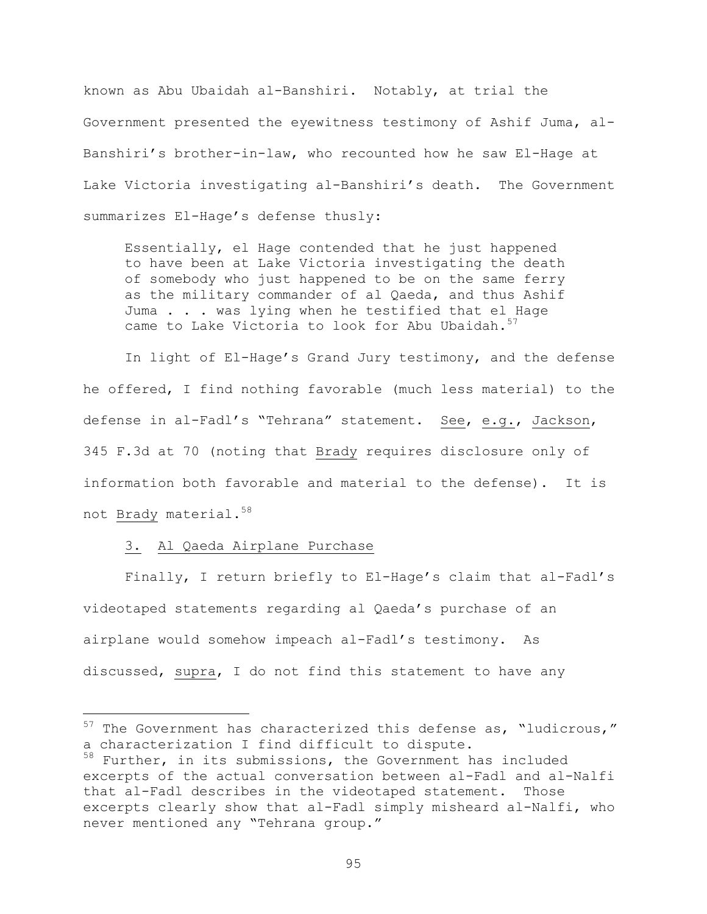known as Abu Ubaidah al-Banshiri. Notably, at trial the Government presented the eyewitness testimony of Ashif Juma, al-Banshiri's brother-in-law, who recounted how he saw El-Hage at Lake Victoria investigating al-Banshiri's death. The Government summarizes El-Hage's defense thusly:

Essentially, el Hage contended that he just happened to have been at Lake Victoria investigating the death of somebody who just happened to be on the same ferry as the military commander of al Qaeda, and thus Ashif Juma . . . was lying when he testified that el Hage came to Lake Victoria to look for Abu Ubaidah. $57$ 

In light of El-Hage's Grand Jury testimony, and the defense he offered, I find nothing favorable (much less material) to the defense in al-Fadl's "Tehrana" statement. See, e.g., Jackson, 345 F.3d at 70 (noting that Brady requires disclosure only of information both favorable and material to the defense). It is not Brady material.<sup>58</sup>

## 3. Al Qaeda Airplane Purchase

 $\overline{\phantom{0}}$ 

Finally, I return briefly to El-Hage's claim that al-Fadl's videotaped statements regarding al Qaeda's purchase of an airplane would somehow impeach al-Fadl's testimony. As discussed, supra, I do not find this statement to have any

 $57$  The Government has characterized this defense as, "ludicrous," a characterization I find difficult to dispute. 58 Further, in its submissions, the Government has included excerpts of the actual conversation between al-Fadl and al-Nalfi that al-Fadl describes in the videotaped statement. Those excerpts clearly show that al-Fadl simply misheard al-Nalfi, who never mentioned any "Tehrana group."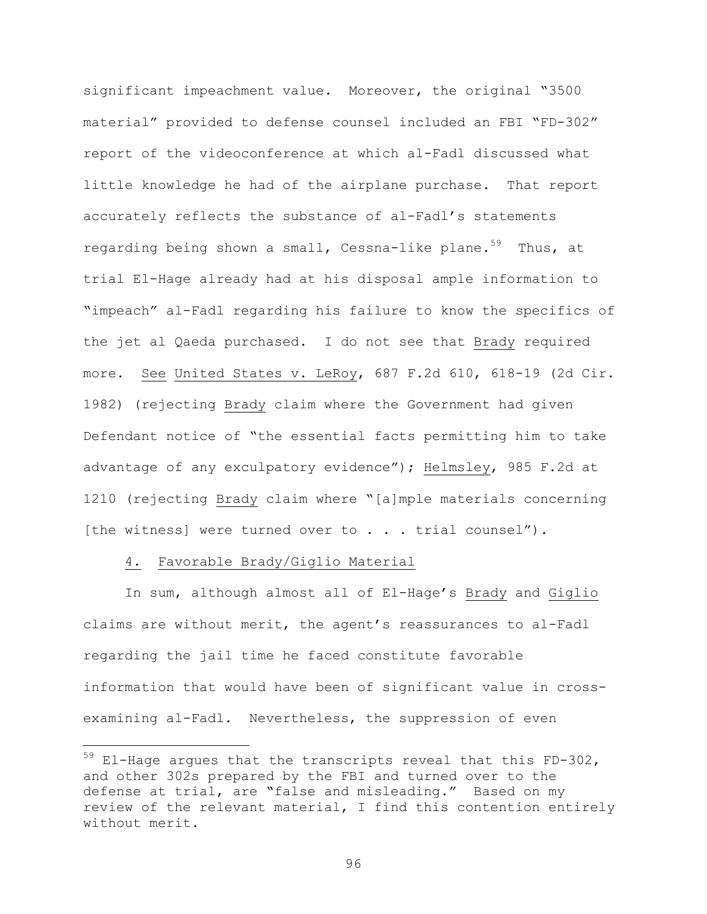significant impeachment value. Moreover, the original "3500 material" provided to defense counsel included an FBI "FD-302" report of the videoconference at which al-Fadl discussed what little knowledge he had of the airplane purchase. That report accurately reflects the substance of al-Fadl's statements regarding being shown a small, Cessna-like plane.<sup>59</sup> Thus, at trial El-Hage already had at his disposal ample information to "impeach" al-Fadl regarding his failure to know the specifics of the jet al Qaeda purchased. I do not see that Brady required more. See United States v. LeRoy, 687 F.2d 610, 618-19 (2d Cir. 1982) (rejecting Brady claim where the Government had given Defendant notice of "the essential facts permitting him to take advantage of any exculpatory evidence"); Helmsley, 985 F.2d at 1210 (rejecting Brady claim where "[a]mple materials concerning [the witness] were turned over to . . . trial counsel").

### 4. Favorable Brady/Giglio Material

i<br>Li

In sum, although almost all of El-Hage's Brady and Giglio claims are without merit, the agent's reassurances to al-Fadl regarding the jail time he faced constitute favorable information that would have been of significant value in crossexamining al-Fadl. Nevertheless, the suppression of even

 $^{59}$  El-Hage argues that the transcripts reveal that this FD-302, and other 302s prepared by the FBI and turned over to the defense at trial, are "false and misleading." Based on my review of the relevant material, I find this contention entirely without merit.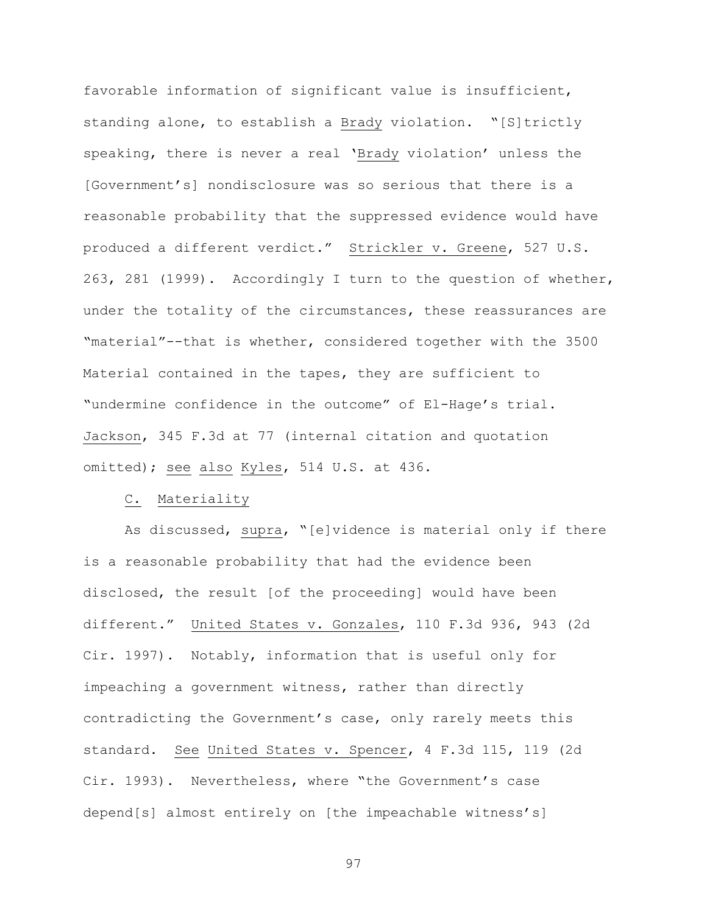favorable information of significant value is insufficient, standing alone, to establish a Brady violation. "[S]trictly speaking, there is never a real 'Brady violation' unless the [Government's] nondisclosure was so serious that there is a reasonable probability that the suppressed evidence would have produced a different verdict." Strickler v. Greene, 527 U.S. 263, 281 (1999). Accordingly I turn to the question of whether, under the totality of the circumstances, these reassurances are "material"--that is whether, considered together with the 3500 Material contained in the tapes, they are sufficient to "undermine confidence in the outcome" of El-Hage's trial. Jackson, 345 F.3d at 77 (internal citation and quotation omitted); see also Kyles, 514 U.S. at 436.

# C. Materiality

As discussed, supra, "[e]vidence is material only if there is a reasonable probability that had the evidence been disclosed, the result [of the proceeding] would have been different." United States v. Gonzales, 110 F.3d 936, 943 (2d Cir. 1997). Notably, information that is useful only for impeaching a government witness, rather than directly contradicting the Government's case, only rarely meets this standard. See United States v. Spencer, 4 F.3d 115, 119 (2d Cir. 1993). Nevertheless, where "the Government's case depend[s] almost entirely on [the impeachable witness's]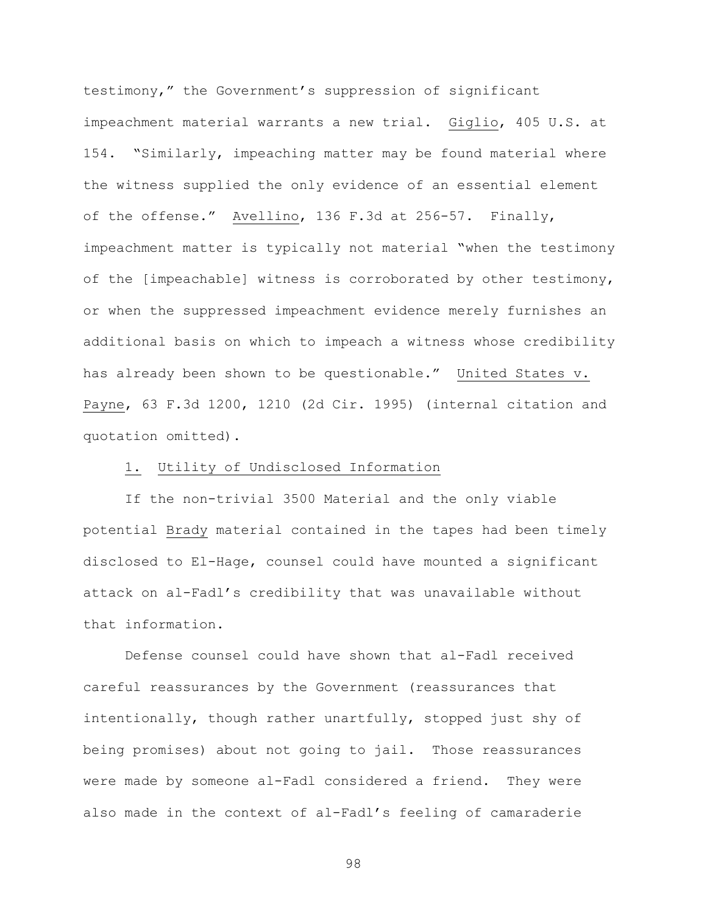testimony," the Government's suppression of significant impeachment material warrants a new trial. Giglio, 405 U.S. at 154. "Similarly, impeaching matter may be found material where the witness supplied the only evidence of an essential element of the offense." Avellino, 136 F.3d at 256-57. Finally, impeachment matter is typically not material "when the testimony of the [impeachable] witness is corroborated by other testimony, or when the suppressed impeachment evidence merely furnishes an additional basis on which to impeach a witness whose credibility has already been shown to be questionable." United States v. Payne, 63 F.3d 1200, 1210 (2d Cir. 1995) (internal citation and quotation omitted).

## 1. Utility of Undisclosed Information

If the non-trivial 3500 Material and the only viable potential Brady material contained in the tapes had been timely disclosed to El-Hage, counsel could have mounted a significant attack on al-Fadl's credibility that was unavailable without that information.

Defense counsel could have shown that al-Fadl received careful reassurances by the Government (reassurances that intentionally, though rather unartfully, stopped just shy of being promises) about not going to jail. Those reassurances were made by someone al-Fadl considered a friend. They were also made in the context of al-Fadl's feeling of camaraderie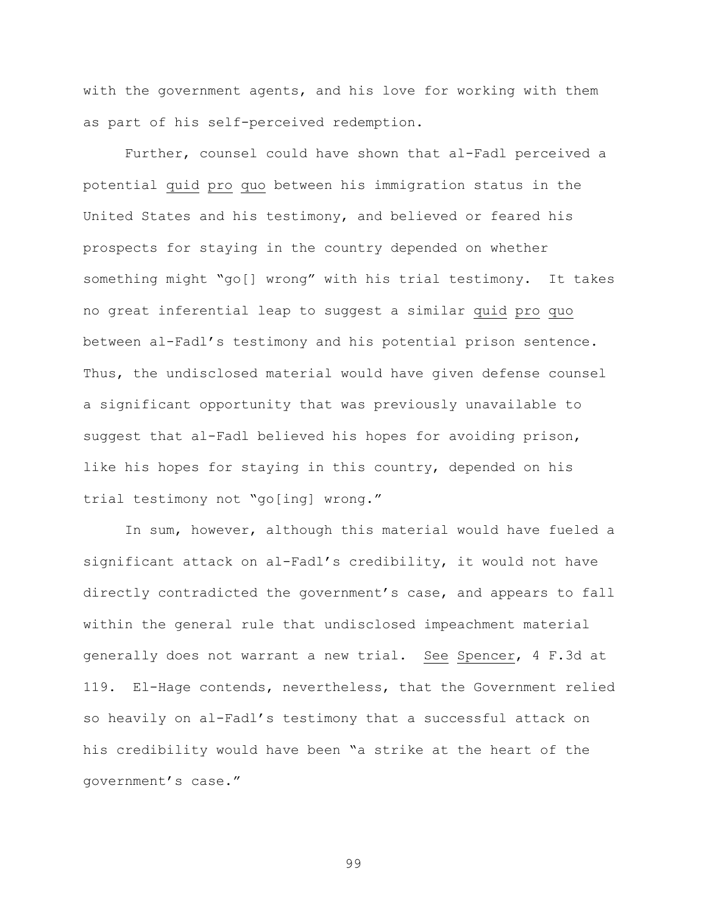with the government agents, and his love for working with them as part of his self-perceived redemption.

Further, counsel could have shown that al-Fadl perceived a potential quid pro quo between his immigration status in the United States and his testimony, and believed or feared his prospects for staying in the country depended on whether something might "go[] wrong" with his trial testimony. It takes no great inferential leap to suggest a similar quid pro quo between al-Fadl's testimony and his potential prison sentence. Thus, the undisclosed material would have given defense counsel a significant opportunity that was previously unavailable to suggest that al-Fadl believed his hopes for avoiding prison, like his hopes for staying in this country, depended on his trial testimony not "go[ing] wrong."

In sum, however, although this material would have fueled a significant attack on al-Fadl's credibility, it would not have directly contradicted the government's case, and appears to fall within the general rule that undisclosed impeachment material generally does not warrant a new trial. See Spencer, 4 F.3d at 119. El-Hage contends, nevertheless, that the Government relied so heavily on al-Fadl's testimony that a successful attack on his credibility would have been "a strike at the heart of the government's case."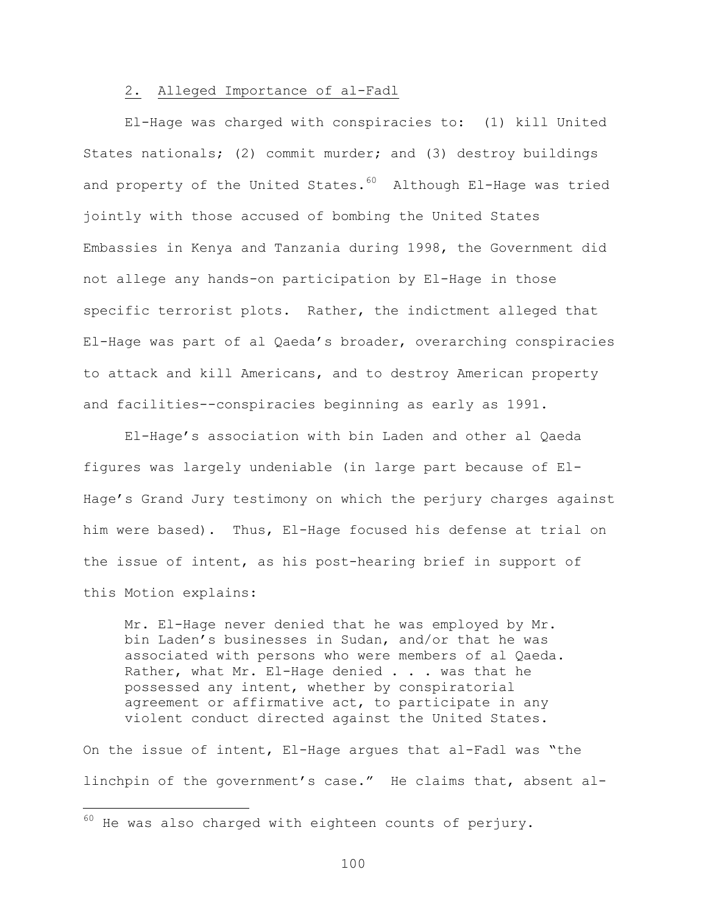### 2. Alleged Importance of al-Fadl

El-Hage was charged with conspiracies to: (1) kill United States nationals; (2) commit murder; and (3) destroy buildings and property of the United States. $60$  Although El-Hage was tried jointly with those accused of bombing the United States Embassies in Kenya and Tanzania during 1998, the Government did not allege any hands-on participation by El-Hage in those specific terrorist plots. Rather, the indictment alleged that El-Hage was part of al Qaeda's broader, overarching conspiracies to attack and kill Americans, and to destroy American property and facilities--conspiracies beginning as early as 1991.

El-Hage's association with bin Laden and other al Qaeda figures was largely undeniable (in large part because of El-Hage's Grand Jury testimony on which the perjury charges against him were based). Thus, El-Hage focused his defense at trial on the issue of intent, as his post-hearing brief in support of this Motion explains:

Mr. El-Hage never denied that he was employed by Mr. bin Laden's businesses in Sudan, and/or that he was associated with persons who were members of al Qaeda. Rather, what Mr. El-Hage denied . . . was that he possessed any intent, whether by conspiratorial agreement or affirmative act, to participate in any violent conduct directed against the United States.

On the issue of intent, El-Hage argues that al-Fadl was "the linchpin of the government's case." He claims that, absent al-

 $\overline{\phantom{0}}$ 

 $60$  He was also charged with eighteen counts of perjury.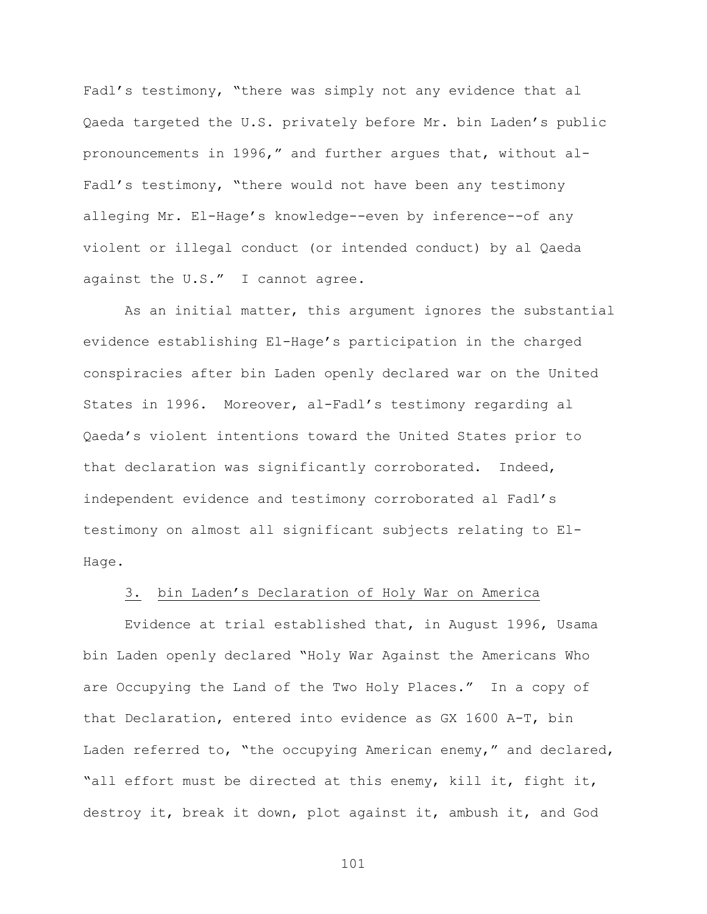Fadl's testimony, "there was simply not any evidence that al Qaeda targeted the U.S. privately before Mr. bin Laden's public pronouncements in 1996," and further argues that, without al-Fadl's testimony, "there would not have been any testimony alleging Mr. El-Hage's knowledge--even by inference--of any violent or illegal conduct (or intended conduct) by al Qaeda against the U.S." I cannot agree.

As an initial matter, this argument ignores the substantial evidence establishing El-Hage's participation in the charged conspiracies after bin Laden openly declared war on the United States in 1996. Moreover, al-Fadl's testimony regarding al Qaeda's violent intentions toward the United States prior to that declaration was significantly corroborated. Indeed, independent evidence and testimony corroborated al Fadl's testimony on almost all significant subjects relating to El-Hage.

# 3. bin Laden's Declaration of Holy War on America

Evidence at trial established that, in August 1996, Usama bin Laden openly declared "Holy War Against the Americans Who are Occupying the Land of the Two Holy Places." In a copy of that Declaration, entered into evidence as GX 1600 A-T, bin Laden referred to, "the occupying American enemy," and declared, "all effort must be directed at this enemy, kill it, fight it, destroy it, break it down, plot against it, ambush it, and God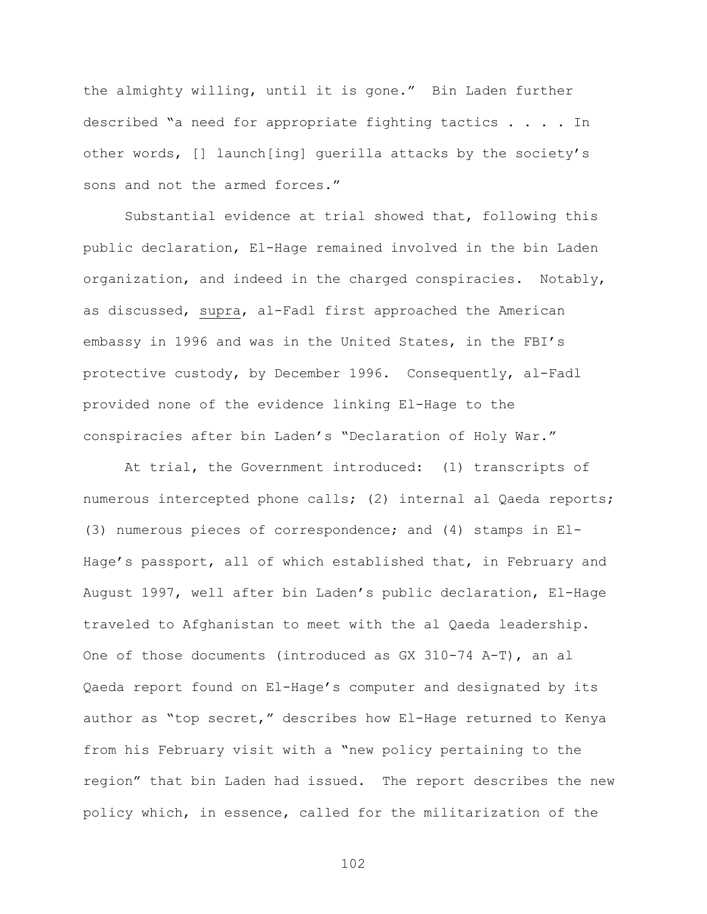the almighty willing, until it is gone." Bin Laden further described "a need for appropriate fighting tactics . . . . In other words, [] launch[ing] guerilla attacks by the society's sons and not the armed forces."

Substantial evidence at trial showed that, following this public declaration, El-Hage remained involved in the bin Laden organization, and indeed in the charged conspiracies. Notably, as discussed, supra, al-Fadl first approached the American embassy in 1996 and was in the United States, in the FBI's protective custody, by December 1996. Consequently, al-Fadl provided none of the evidence linking El-Hage to the conspiracies after bin Laden's "Declaration of Holy War."

At trial, the Government introduced: (1) transcripts of numerous intercepted phone calls; (2) internal al Qaeda reports; (3) numerous pieces of correspondence; and (4) stamps in El-Hage's passport, all of which established that, in February and August 1997, well after bin Laden's public declaration, El-Hage traveled to Afghanistan to meet with the al Qaeda leadership. One of those documents (introduced as GX 310-74 A-T), an al Qaeda report found on El-Hage's computer and designated by its author as "top secret," describes how El-Hage returned to Kenya from his February visit with a "new policy pertaining to the region" that bin Laden had issued. The report describes the new policy which, in essence, called for the militarization of the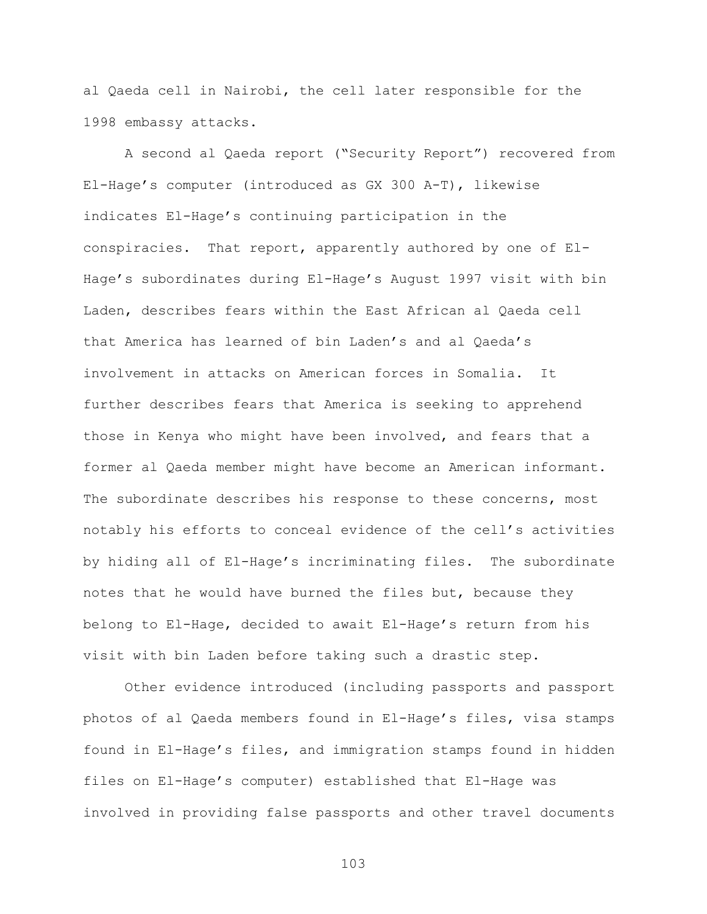al Qaeda cell in Nairobi, the cell later responsible for the 1998 embassy attacks.

A second al Qaeda report ("Security Report") recovered from El-Hage's computer (introduced as GX 300 A-T), likewise indicates El-Hage's continuing participation in the conspiracies. That report, apparently authored by one of El-Hage's subordinates during El-Hage's August 1997 visit with bin Laden, describes fears within the East African al Qaeda cell that America has learned of bin Laden's and al Qaeda's involvement in attacks on American forces in Somalia. It further describes fears that America is seeking to apprehend those in Kenya who might have been involved, and fears that a former al Qaeda member might have become an American informant. The subordinate describes his response to these concerns, most notably his efforts to conceal evidence of the cell's activities by hiding all of El-Hage's incriminating files. The subordinate notes that he would have burned the files but, because they belong to El-Hage, decided to await El-Hage's return from his visit with bin Laden before taking such a drastic step.

Other evidence introduced (including passports and passport photos of al Qaeda members found in El-Hage's files, visa stamps found in El-Hage's files, and immigration stamps found in hidden files on El-Hage's computer) established that El-Hage was involved in providing false passports and other travel documents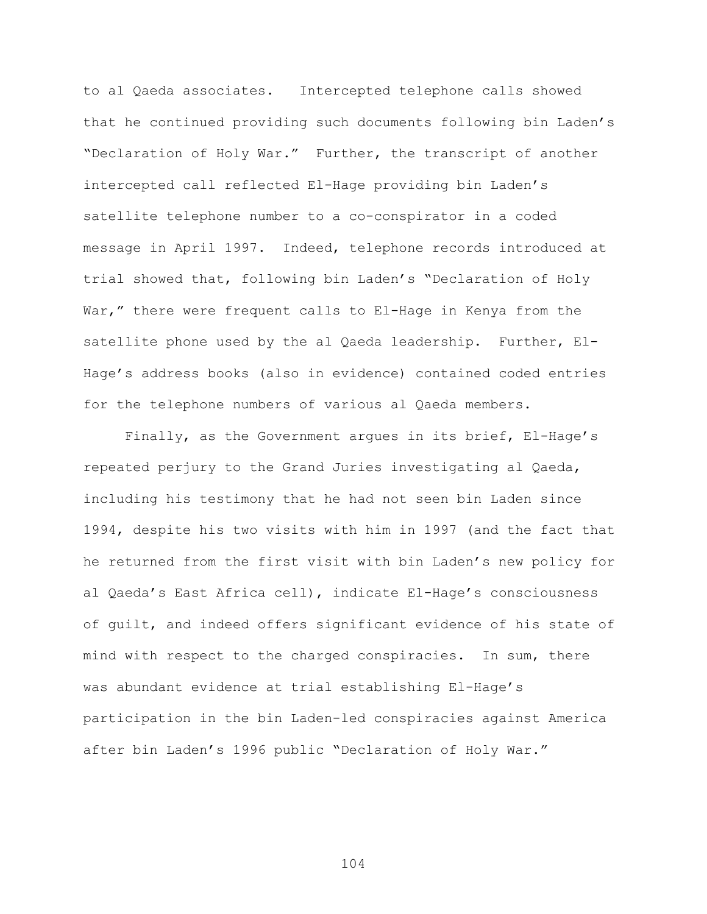to al Qaeda associates. Intercepted telephone calls showed that he continued providing such documents following bin Laden's "Declaration of Holy War." Further, the transcript of another intercepted call reflected El-Hage providing bin Laden's satellite telephone number to a co-conspirator in a coded message in April 1997. Indeed, telephone records introduced at trial showed that, following bin Laden's "Declaration of Holy War," there were frequent calls to El-Hage in Kenya from the satellite phone used by the al Qaeda leadership. Further, El-Hage's address books (also in evidence) contained coded entries for the telephone numbers of various al Qaeda members.

Finally, as the Government argues in its brief, El-Hage's repeated perjury to the Grand Juries investigating al Qaeda, including his testimony that he had not seen bin Laden since 1994, despite his two visits with him in 1997 (and the fact that he returned from the first visit with bin Laden's new policy for al Qaeda's East Africa cell), indicate El-Hage's consciousness of guilt, and indeed offers significant evidence of his state of mind with respect to the charged conspiracies. In sum, there was abundant evidence at trial establishing El-Hage's participation in the bin Laden-led conspiracies against America after bin Laden's 1996 public "Declaration of Holy War."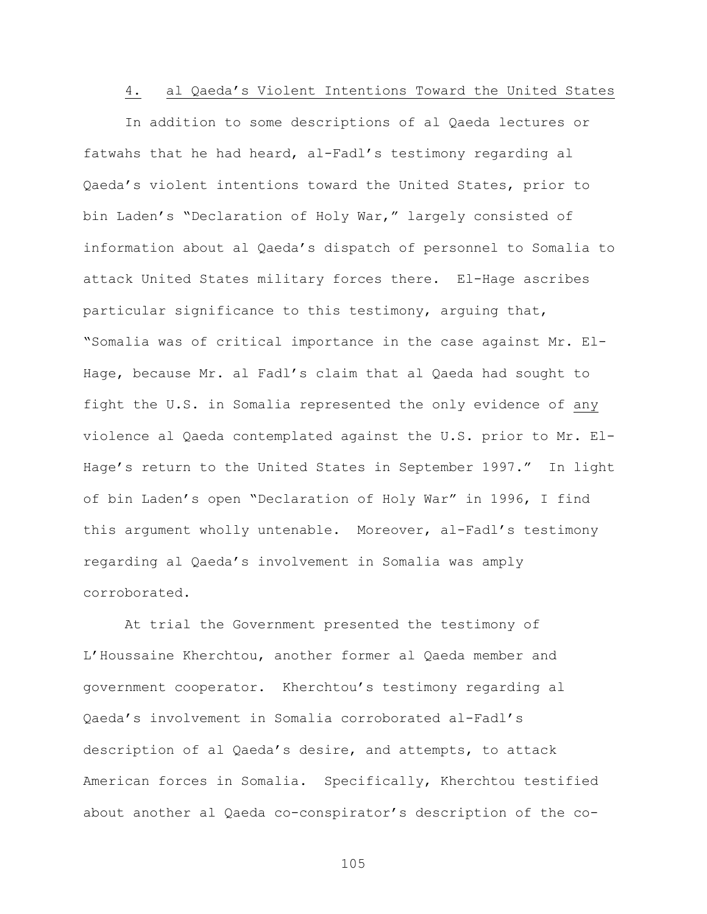### 4. al Qaeda's Violent Intentions Toward the United States

In addition to some descriptions of al Qaeda lectures or fatwahs that he had heard, al-Fadl's testimony regarding al Qaeda's violent intentions toward the United States, prior to bin Laden's "Declaration of Holy War," largely consisted of information about al Qaeda's dispatch of personnel to Somalia to attack United States military forces there. El-Hage ascribes particular significance to this testimony, arguing that, "Somalia was of critical importance in the case against Mr. El-Hage, because Mr. al Fadl's claim that al Qaeda had sought to fight the U.S. in Somalia represented the only evidence of any violence al Qaeda contemplated against the U.S. prior to Mr. El-Hage's return to the United States in September 1997." In light of bin Laden's open "Declaration of Holy War" in 1996, I find this argument wholly untenable. Moreover, al-Fadl's testimony regarding al Qaeda's involvement in Somalia was amply corroborated.

At trial the Government presented the testimony of L'Houssaine Kherchtou, another former al Qaeda member and government cooperator. Kherchtou's testimony regarding al Qaeda's involvement in Somalia corroborated al-Fadl's description of al Qaeda's desire, and attempts, to attack American forces in Somalia. Specifically, Kherchtou testified about another al Qaeda co-conspirator's description of the co-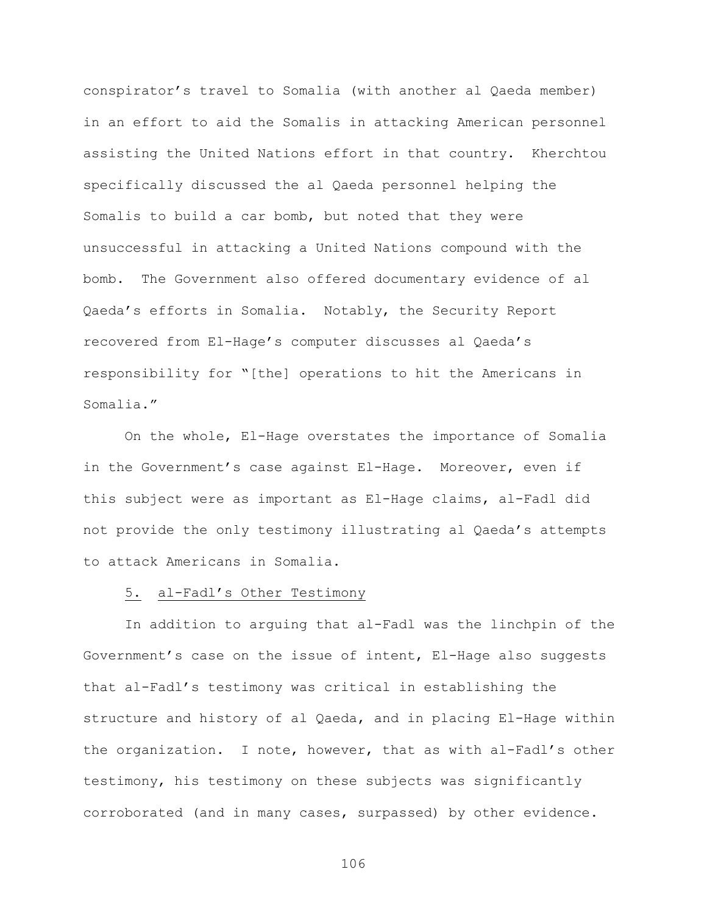conspirator's travel to Somalia (with another al Qaeda member) in an effort to aid the Somalis in attacking American personnel assisting the United Nations effort in that country. Kherchtou specifically discussed the al Qaeda personnel helping the Somalis to build a car bomb, but noted that they were unsuccessful in attacking a United Nations compound with the bomb. The Government also offered documentary evidence of al Qaeda's efforts in Somalia. Notably, the Security Report recovered from El-Hage's computer discusses al Qaeda's responsibility for "[the] operations to hit the Americans in Somalia."

On the whole, El-Hage overstates the importance of Somalia in the Government's case against El-Hage. Moreover, even if this subject were as important as El-Hage claims, al-Fadl did not provide the only testimony illustrating al Qaeda's attempts to attack Americans in Somalia.

## 5. al-Fadl's Other Testimony

In addition to arguing that al-Fadl was the linchpin of the Government's case on the issue of intent, El-Hage also suggests that al-Fadl's testimony was critical in establishing the structure and history of al Qaeda, and in placing El-Hage within the organization. I note, however, that as with al-Fadl's other testimony, his testimony on these subjects was significantly corroborated (and in many cases, surpassed) by other evidence.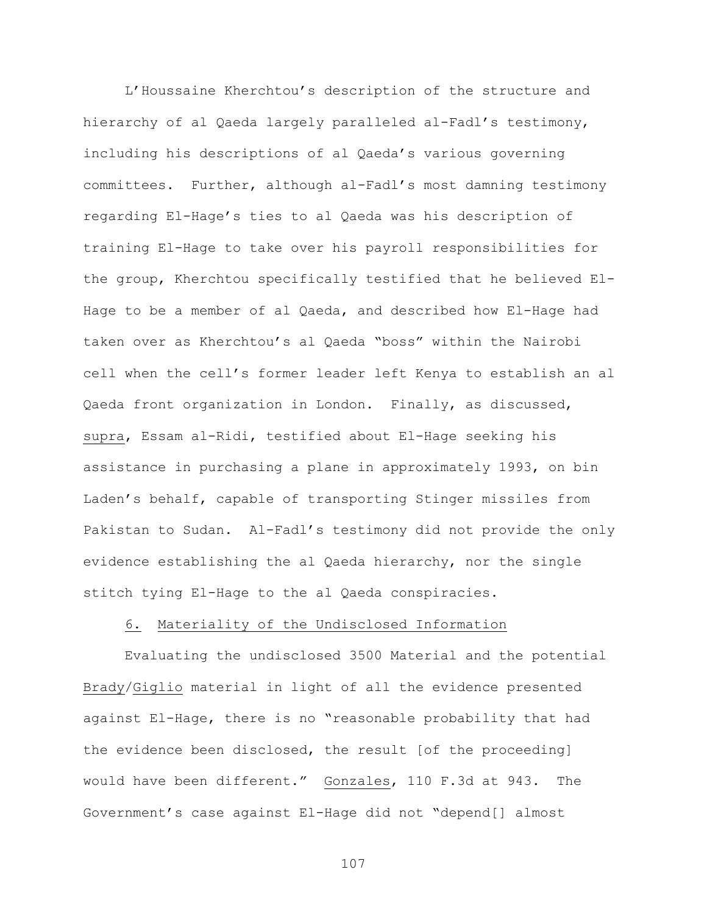L'Houssaine Kherchtou's description of the structure and hierarchy of al Qaeda largely paralleled al-Fadl's testimony, including his descriptions of al Qaeda's various governing committees. Further, although al-Fadl's most damning testimony regarding El-Hage's ties to al Qaeda was his description of training El-Hage to take over his payroll responsibilities for the group, Kherchtou specifically testified that he believed El-Hage to be a member of al Qaeda, and described how El-Hage had taken over as Kherchtou's al Qaeda "boss" within the Nairobi cell when the cell's former leader left Kenya to establish an al Qaeda front organization in London. Finally, as discussed, supra, Essam al-Ridi, testified about El-Hage seeking his assistance in purchasing a plane in approximately 1993, on bin Laden's behalf, capable of transporting Stinger missiles from Pakistan to Sudan. Al-Fadl's testimony did not provide the only evidence establishing the al Qaeda hierarchy, nor the single stitch tying El-Hage to the al Qaeda conspiracies.

## 6. Materiality of the Undisclosed Information

Evaluating the undisclosed 3500 Material and the potential Brady/Giglio material in light of all the evidence presented against El-Hage, there is no "reasonable probability that had the evidence been disclosed, the result [of the proceeding] would have been different." Gonzales, 110 F.3d at 943. The Government's case against El-Hage did not "depend[] almost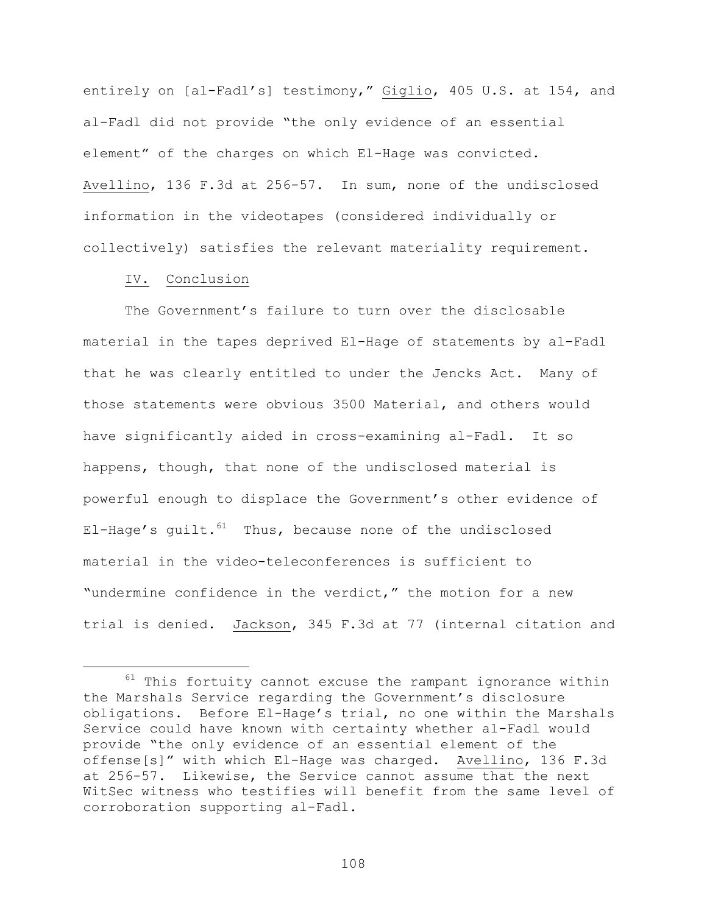entirely on [al-Fadl's] testimony," Giglio, 405 U.S. at 154, and al-Fadl did not provide "the only evidence of an essential element" of the charges on which El-Hage was convicted. Avellino, 136 F.3d at 256-57. In sum, none of the undisclosed information in the videotapes (considered individually or collectively) satisfies the relevant materiality requirement.

# IV. Conclusion

The Government's failure to turn over the disclosable material in the tapes deprived El-Hage of statements by al-Fadl that he was clearly entitled to under the Jencks Act. Many of those statements were obvious 3500 Material, and others would have significantly aided in cross-examining al-Fadl. It so happens, though, that none of the undisclosed material is powerful enough to displace the Government's other evidence of El-Hage's guilt. $61$  Thus, because none of the undisclosed material in the video-teleconferences is sufficient to "undermine confidence in the verdict," the motion for a new trial is denied. Jackson, 345 F.3d at 77 (internal citation and

 $61$  This fortuity cannot excuse the rampant ignorance within the Marshals Service regarding the Government's disclosure obligations. Before El-Hage's trial, no one within the Marshals Service could have known with certainty whether al-Fadl would provide "the only evidence of an essential element of the offense[s]" with which El-Hage was charged. Avellino, 136 F.3d at 256-57. Likewise, the Service cannot assume that the next WitSec witness who testifies will benefit from the same level of corroboration supporting al-Fadl.